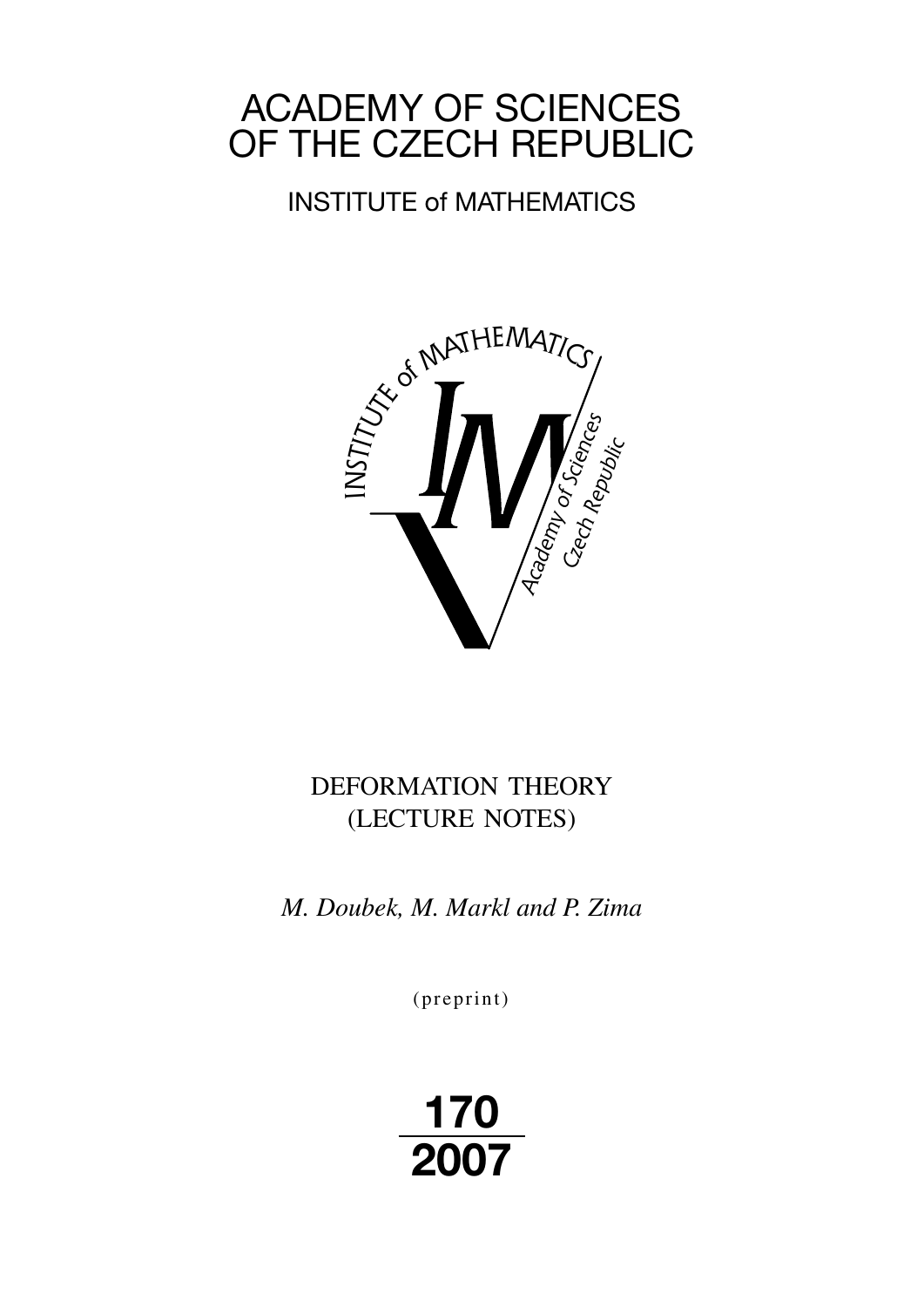# ACADEMY OF SCIENCES OF THE CZECH REPUBLIC

## INSTITUTE of MATHEMATICS



## DEFORMATION THEORY (LECTURE NOTES)

*M. Doubek, M. Markl and P. Zima*

 $(p$  reprint $)$ 

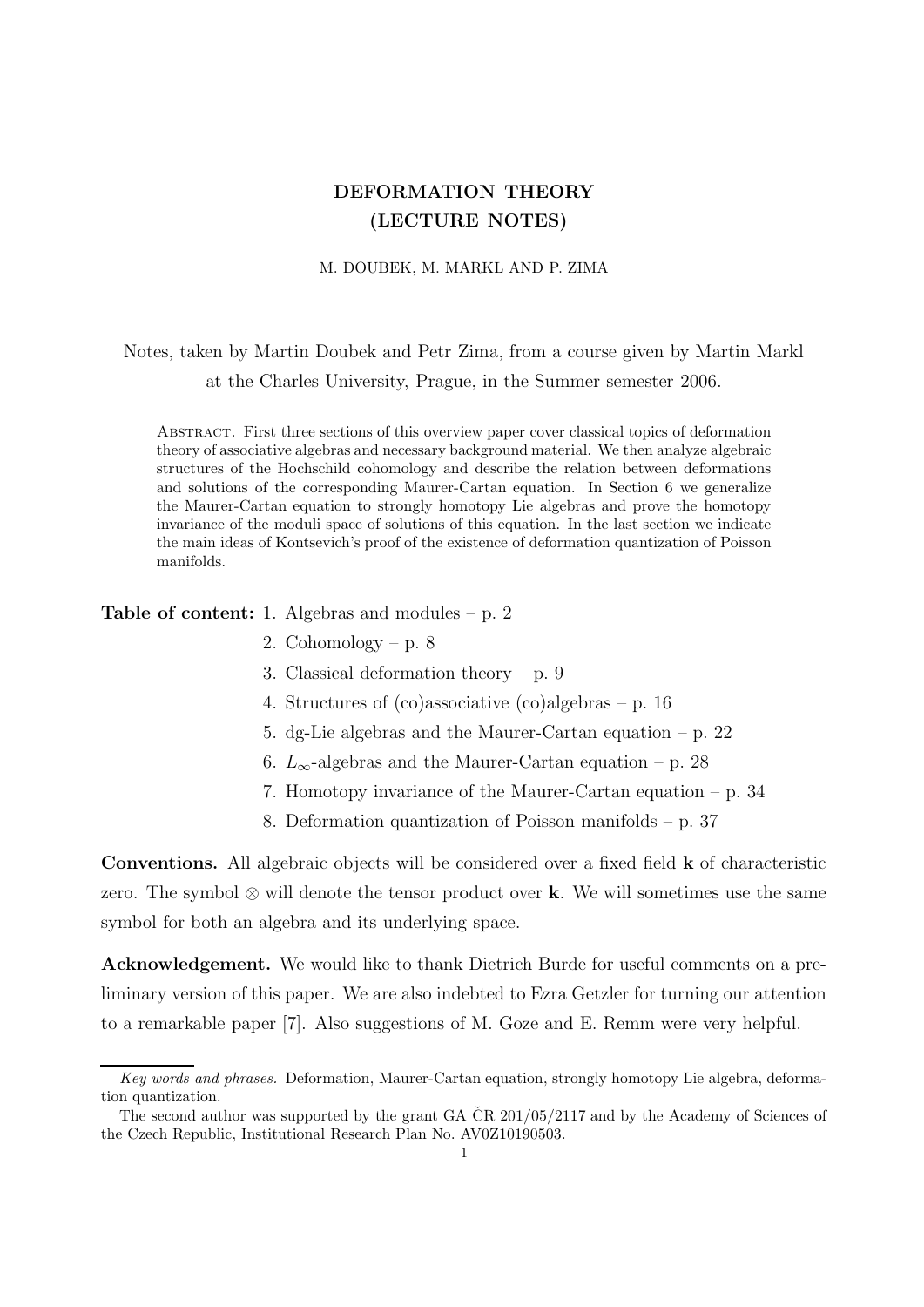### DEFORMATION THEORY (LECTURE NOTES)

#### M. DOUBEK, M. MARKL AND P. ZIMA

Notes, taken by Martin Doubek and Petr Zima, from a course given by Martin Markl at the Charles University, Prague, in the Summer semester 2006.

Abstract. First three sections of this overview paper cover classical topics of deformation theory of associative algebras and necessary background material. We then analyze algebraic structures of the Hochschild cohomology and describe the relation between deformations and solutions of the corresponding Maurer-Cartan equation. In Section 6 we generalize the Maurer-Cartan equation to strongly homotopy Lie algebras and prove the homotopy invariance of the moduli space of solutions of this equation. In the last section we indicate the main ideas of Kontsevich's proof of the existence of deformation quantization of Poisson manifolds.

Table of content: 1. Algebras and modules – p. 2

- 2. Cohomology p.  $8$
- 3. Classical deformation theory p. 9
- 4. Structures of (co)associative (co)algebras p. 16
- 5. dg-Lie algebras and the Maurer-Cartan equation p. 22
- 6.  $L_{\infty}$ -algebras and the Maurer-Cartan equation p. 28
- 7. Homotopy invariance of the Maurer-Cartan equation p. 34
- 8. Deformation quantization of Poisson manifolds p. 37

Conventions. All algebraic objects will be considered over a fixed field k of characteristic zero. The symbol  $\otimes$  will denote the tensor product over k. We will sometimes use the same symbol for both an algebra and its underlying space.

Acknowledgement. We would like to thank Dietrich Burde for useful comments on a preliminary version of this paper. We are also indebted to Ezra Getzler for turning our attention to a remarkable paper [7]. Also suggestions of M. Goze and E. Remm were very helpful.

Key words and phrases. Deformation, Maurer-Cartan equation, strongly homotopy Lie algebra, deformation quantization.

The second author was supported by the grant GA  $\rm \check{C}R$  201/05/2117 and by the Academy of Sciences of the Czech Republic, Institutional Research Plan No. AV0Z10190503.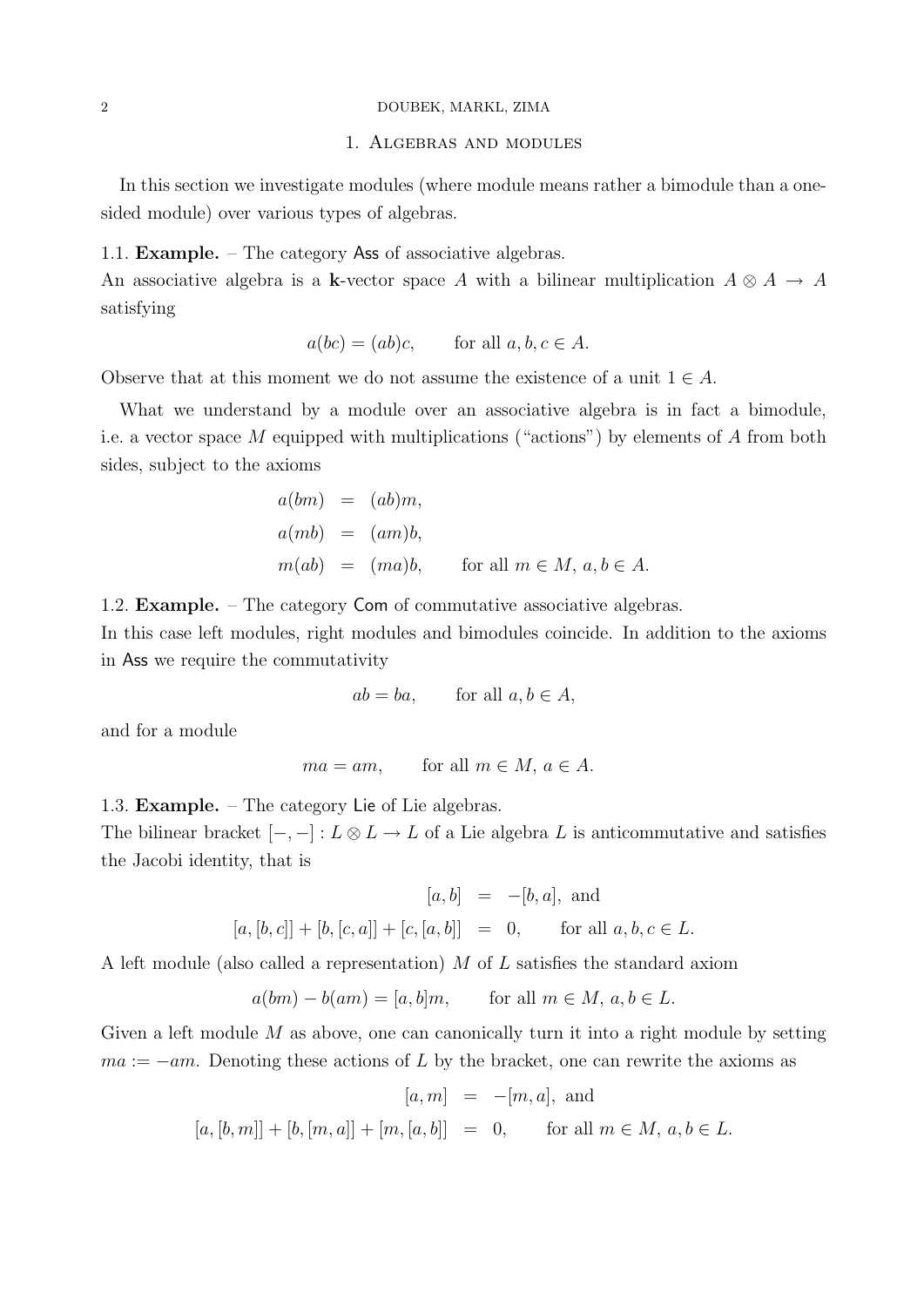#### 2 DOUBEK, MARKL, ZIMA

#### 1. Algebras and modules

In this section we investigate modules (where module means rather a bimodule than a onesided module) over various types of algebras.

#### 1.1. Example. – The category Ass of associative algebras.

An associative algebra is a k-vector space A with a bilinear multiplication  $A \otimes A \rightarrow A$ satisfying

$$
a(bc) = (ab)c, \qquad \text{for all } a, b, c \in A.
$$

Observe that at this moment we do not assume the existence of a unit  $1 \in A$ .

What we understand by a module over an associative algebra is in fact a bimodule, i.e. a vector space M equipped with multiplications ("actions") by elements of A from both sides, subject to the axioms

$$
a(bm) = (ab)m,
$$
  
\n
$$
a(mb) = (am)b,
$$
  
\n
$$
m(ab) = (ma)b, \quad \text{for all } m \in M, a, b \in A.
$$

1.2. Example. – The category Com of commutative associative algebras.

In this case left modules, right modules and bimodules coincide. In addition to the axioms in Ass we require the commutativity

$$
ab = ba, \qquad \text{for all } a, b \in A,
$$

and for a module

$$
ma = am
$$
, for all  $m \in M$ ,  $a \in A$ .

1.3. Example. – The category Lie of Lie algebras.

The bilinear bracket  $[-,-]: L \otimes L \to L$  of a Lie algebra L is anticommutative and satisfies the Jacobi identity, that is

$$
[a, b] = -[b, a]
$$
, and  
 $[a, [b, c]] + [b, [c, a]] + [c, [a, b]] = 0$ , for all  $a, b, c \in L$ .

A left module (also called a representation) M of L satisfies the standard axiom

$$
a(bm) - b(am) = [a, b]m, \quad \text{for all } m \in M, a, b \in L.
$$

Given a left module M as above, one can canonically turn it into a right module by setting  $ma := -am$ . Denoting these actions of L by the bracket, one can rewrite the axioms as

$$
[a, m] = -[m, a], \text{ and}
$$
  

$$
[a, [b, m]] + [b, [m, a]] + [m, [a, b]] = 0, \text{ for all } m \in M, a, b \in L.
$$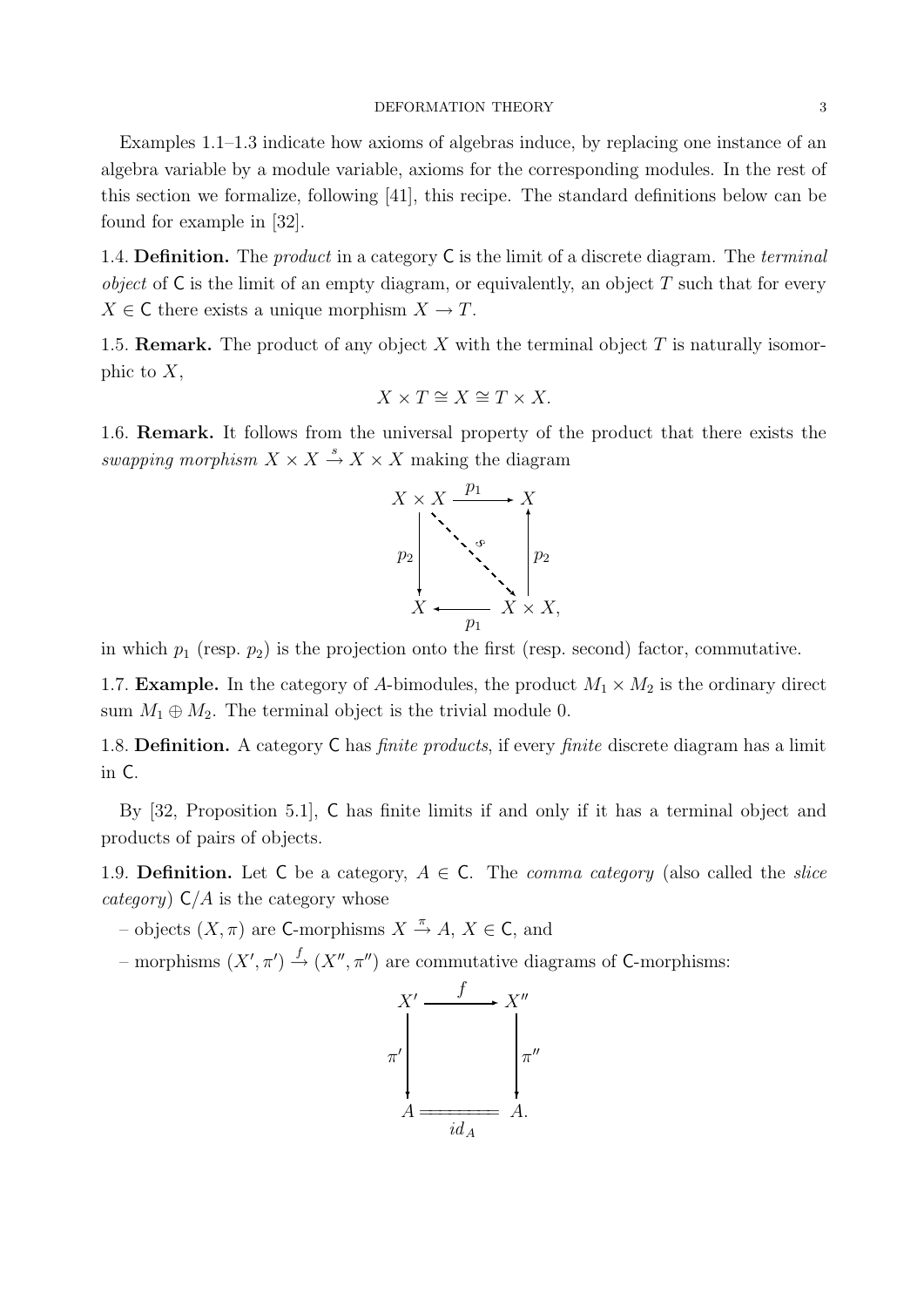#### DEFORMATION THEORY 3

Examples 1.1–1.3 indicate how axioms of algebras induce, by replacing one instance of an algebra variable by a module variable, axioms for the corresponding modules. In the rest of this section we formalize, following [41], this recipe. The standard definitions below can be found for example in [32].

1.4. Definition. The *product* in a category  $C$  is the limit of a discrete diagram. The *terminal* object of  $\mathsf C$  is the limit of an empty diagram, or equivalently, an object T such that for every  $X \in \mathsf{C}$  there exists a unique morphism  $X \to T$ .

1.5. **Remark.** The product of any object X with the terminal object  $T$  is naturally isomorphic to  $X$ ,

$$
X \times T \cong X \cong T \times X.
$$

1.6. Remark. It follows from the universal property of the product that there exists the swapping morphism  $X \times X \stackrel{s}{\to} X \times X$  making the diagram



in which  $p_1$  (resp.  $p_2$ ) is the projection onto the first (resp. second) factor, commutative.

1.7. **Example.** In the category of A-bimodules, the product  $M_1 \times M_2$  is the ordinary direct sum  $M_1 \oplus M_2$ . The terminal object is the trivial module 0.

1.8. Definition. A category C has *finite products*, if every *finite* discrete diagram has a limit in C.

By [32, Proposition 5.1], C has finite limits if and only if it has a terminal object and products of pairs of objects.

1.9. **Definition.** Let C be a category,  $A \in \mathbb{C}$ . The *comma category* (also called the *slice* category)  $C/A$  is the category whose

- objects  $(X, \pi)$  are C-morphisms  $X \stackrel{\pi}{\rightarrow} A$ ,  $X \in \mathsf{C}$ , and
- morphisms  $(X', \pi') \stackrel{f}{\rightarrow} (X'', \pi'')$  are commutative diagrams of C-morphisms:

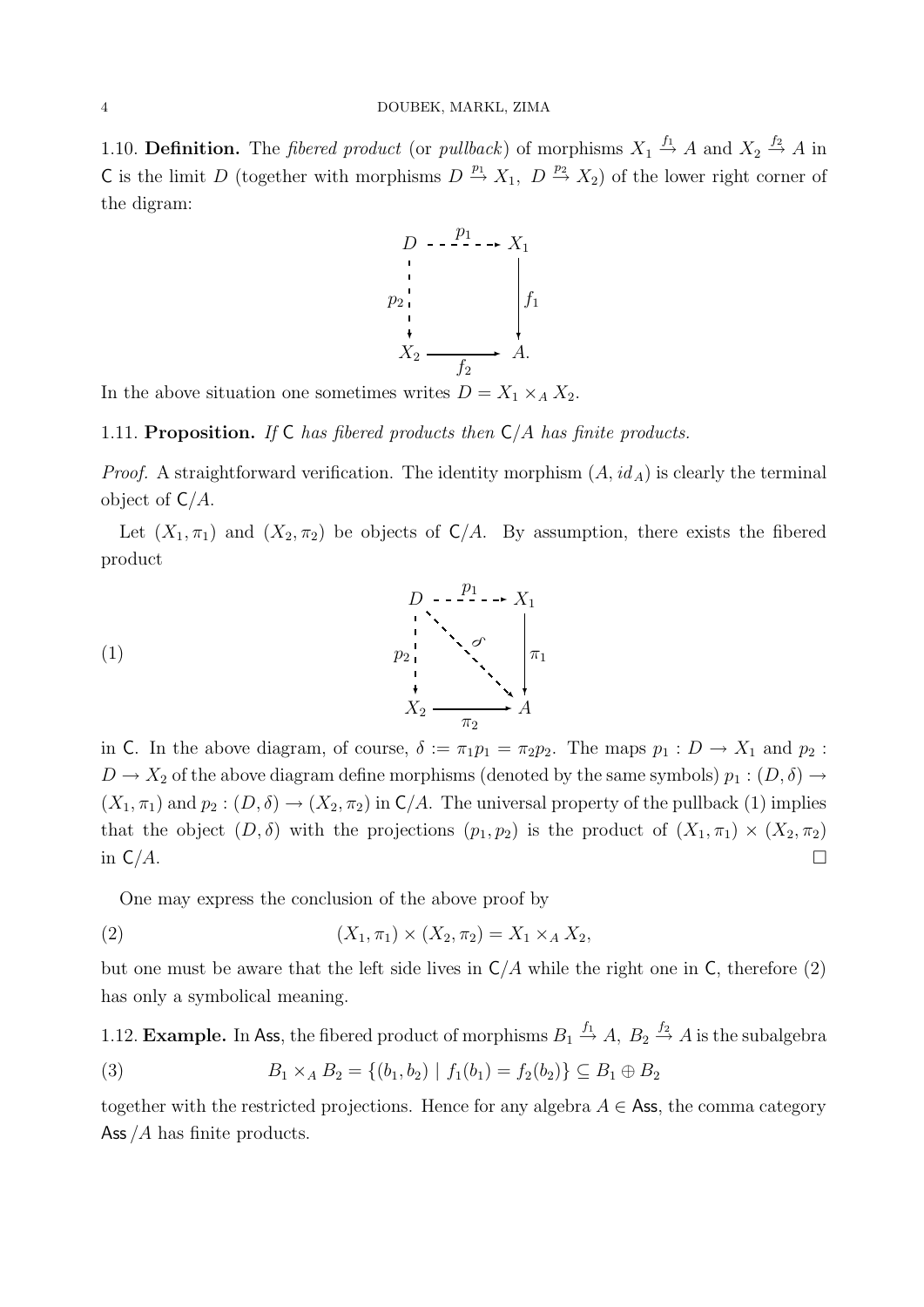#### 4 DOUBEK, MARKL, ZIMA

1.10. **Definition.** The *fibered product* (or *pullback*) of morphisms  $X_1 \stackrel{f_1}{\rightarrow} A$  and  $X_2 \stackrel{f_2}{\rightarrow} A$  in C is the limit D (together with morphisms  $D \stackrel{p_1}{\rightarrow} X_1$ ,  $D \stackrel{p_2}{\rightarrow} X_2$ ) of the lower right corner of the digram:



In the above situation one sometimes writes  $D = X_1 \times_A X_2$ .

1.11. Proposition. If  $\mathsf C$  has fibered products then  $\mathsf C/A$  has finite products.

*Proof.* A straightforward verification. The identity morphism  $(A, id_A)$  is clearly the terminal object of  $C/A$ .

Let  $(X_1, \pi_1)$  and  $(X_2, \pi_2)$  be objects of  $C/A$ . By assumption, there exists the fibered product



in C. In the above diagram, of course,  $\delta := \pi_1 p_1 = \pi_2 p_2$ . The maps  $p_1 : D \to X_1$  and  $p_2 :$  $D \to X_2$  of the above diagram define morphisms (denoted by the same symbols)  $p_1 : (D, \delta) \to$  $(X_1, \pi_1)$  and  $p_2 : (D, \delta) \to (X_2, \pi_2)$  in  $\mathsf{C}/A$ . The universal property of the pullback  $(1)$  implies that the object  $(D, \delta)$  with the projections  $(p_1, p_2)$  is the product of  $(X_1, \pi_1) \times (X_2, \pi_2)$ in  $C/A$ .

One may express the conclusion of the above proof by

(2) 
$$
(X_1, \pi_1) \times (X_2, \pi_2) = X_1 \times_A X_2,
$$

but one must be aware that the left side lives in  $C/A$  while the right one in C, therefore (2) has only a symbolical meaning.

1.12. **Example.** In Ass, the fibered product of morphisms  $B_1 \stackrel{f_1}{\rightarrow} A$ ,  $B_2 \stackrel{f_2}{\rightarrow} A$  is the subalgebra

(3) 
$$
B_1 \times_A B_2 = \{(b_1, b_2) | f_1(b_1) = f_2(b_2) \} \subseteq B_1 \oplus B_2
$$

together with the restricted projections. Hence for any algebra  $A \in \mathsf{Ass}$ , the comma category Ass  $/A$  has finite products.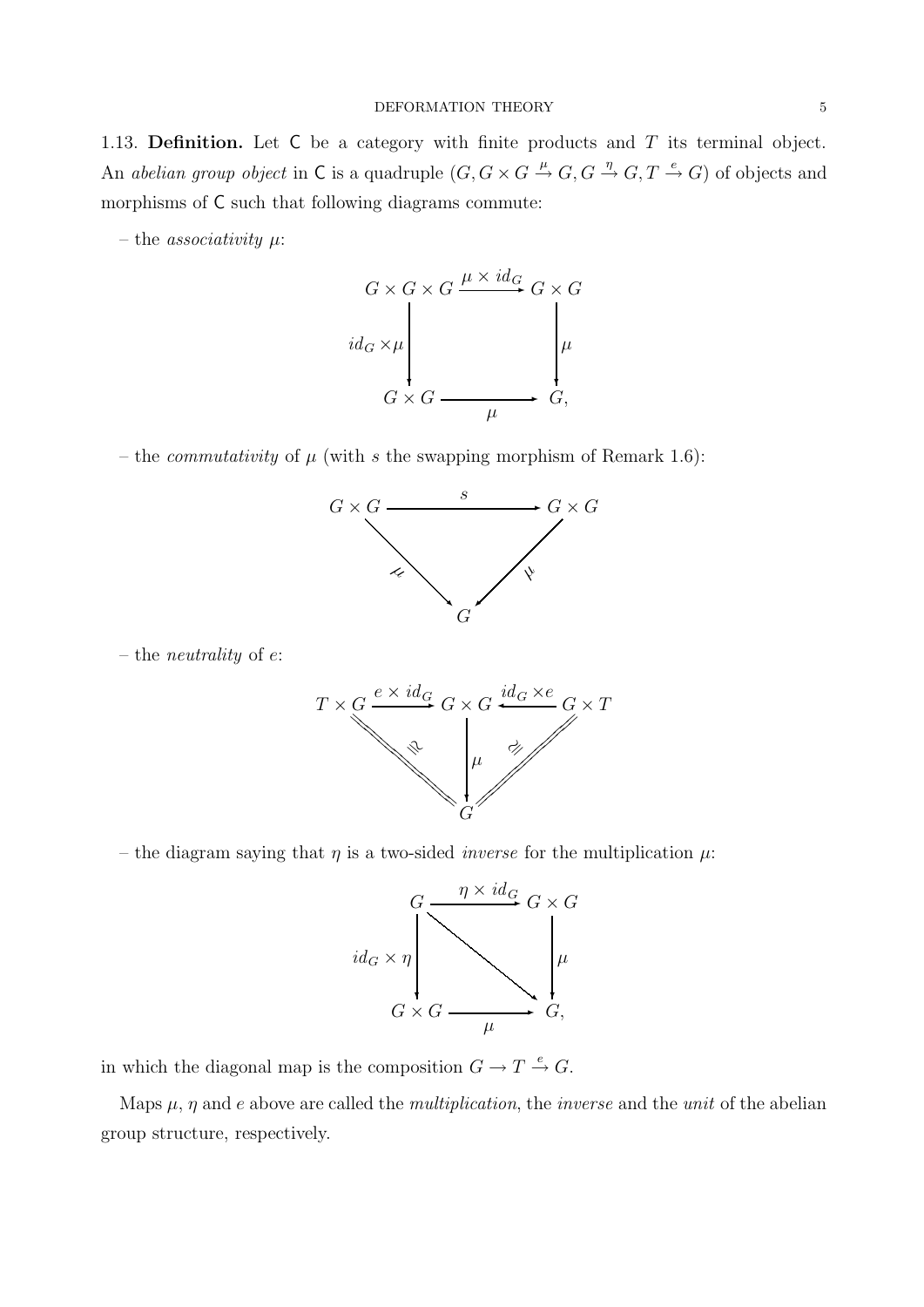1.13. Definition. Let  $C$  be a category with finite products and  $T$  its terminal object. An abelian group object in C is a quadruple  $(G, G \times G \stackrel{\mu}{\to} G, G \stackrel{\eta}{\to} G, T \stackrel{e}{\to} G)$  of objects and morphisms of C such that following diagrams commute:

– the *associativity*  $\mu$ :



– the *commutativity* of  $\mu$  (with s the swapping morphism of Remark 1.6):



– the neutrality of e:



– the diagram saying that  $\eta$  is a two-sided *inverse* for the multiplication  $\mu$ :



in which the diagonal map is the composition  $G \to T \xrightarrow{e} G$ .

Maps  $\mu$ ,  $\eta$  and e above are called the *multiplication*, the *inverse* and the *unit* of the abelian group structure, respectively.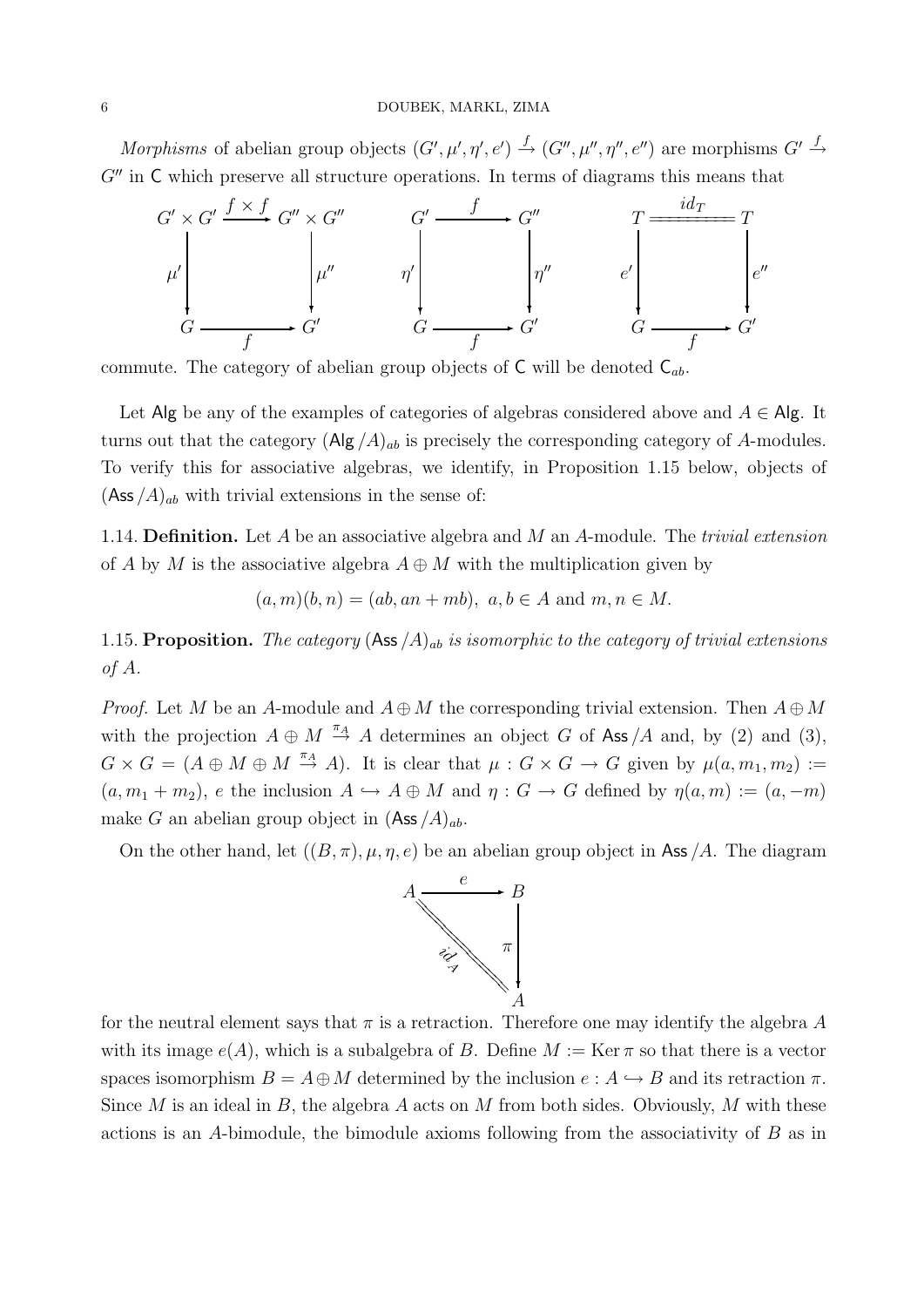Morphisms of abelian group objects  $(G', \mu', \eta', e') \stackrel{f}{\to} (G'', \mu'', \eta'', e'')$  are morphisms  $G' \stackrel{f}{\to}$  $G''$  in  $\mathsf C$  which preserve all structure operations. In terms of diagrams this means that



commute. The category of abelian group objects of  $\mathsf{C}$  will be denoted  $\mathsf{C}_{ab}$ .

Let Alg be any of the examples of categories of algebras considered above and  $A \in$ Alg. It turns out that the category  $(\text{Alg}/A)_{ab}$  is precisely the corresponding category of A-modules. To verify this for associative algebras, we identify, in Proposition 1.15 below, objects of  $(Ass / A)_{ab}$  with trivial extensions in the sense of:

1.14. **Definition.** Let A be an associative algebra and M an A-module. The *trivial extension* of A by M is the associative algebra  $A \oplus M$  with the multiplication given by

$$
(a,m)(b,n) = (ab, an+mb), a, b \in A \text{ and } m, n \in M.
$$

1.15. Proposition. The category  $(Ass / A)_{ab}$  is isomorphic to the category of trivial extensions of A.

*Proof.* Let M be an A-module and  $A \oplus M$  the corresponding trivial extension. Then  $A \oplus M$ with the projection  $A \oplus M \stackrel{\pi_A}{\rightarrow} A$  determines an object G of Ass /A and, by (2) and (3),  $G \times G = (A \oplus M \oplus M \stackrel{\pi_A}{\rightarrow} A)$ . It is clear that  $\mu : G \times G \rightarrow G$  given by  $\mu(a, m_1, m_2) :=$  $(a, m_1 + m_2)$ , e the inclusion  $A \hookrightarrow A \oplus M$  and  $\eta : G \to G$  defined by  $\eta(a, m) := (a, -m)$ make G an abelian group object in  $(Ass / A)_{ab}$ .

On the other hand, let  $((B, \pi), \mu, \eta, e)$  be an abelian group object in Ass /A. The diagram



for the neutral element says that  $\pi$  is a retraction. Therefore one may identify the algebra A with its image  $e(A)$ , which is a subalgebra of B. Define  $M := \text{Ker } \pi$  so that there is a vector spaces isomorphism  $B = A \oplus M$  determined by the inclusion  $e : A \hookrightarrow B$  and its retraction  $\pi$ . Since M is an ideal in B, the algebra A acts on M from both sides. Obviously, M with these actions is an A-bimodule, the bimodule axioms following from the associativity of B as in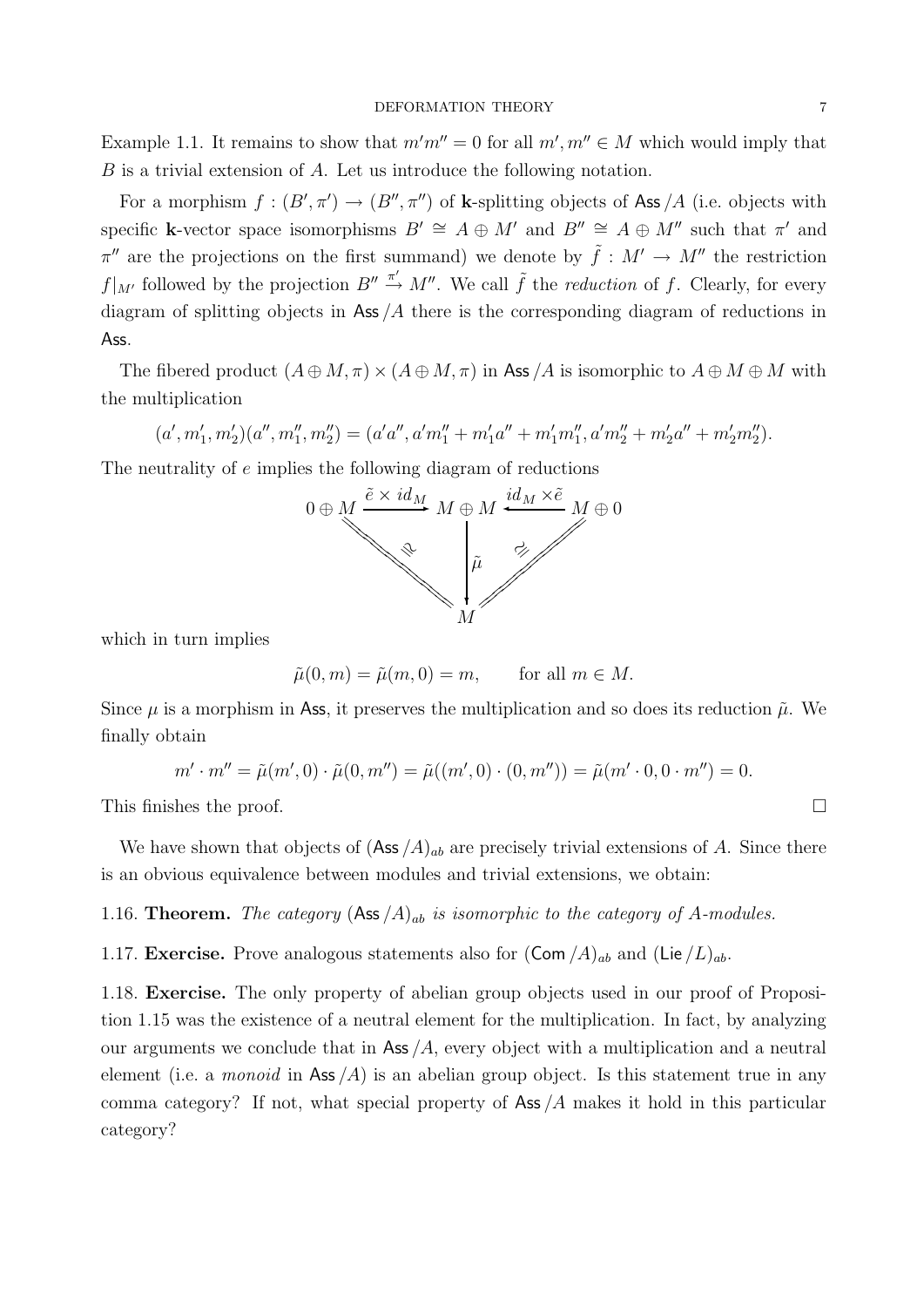#### DEFORMATION THEORY 7

Example 1.1. It remains to show that  $m'm'' = 0$  for all  $m', m'' \in M$  which would imply that B is a trivial extension of A. Let us introduce the following notation.

For a morphism  $f : (B', \pi') \to (B'', \pi'')$  of **k**-splitting objects of Ass /A (i.e. objects with specific k-vector space isomorphisms  $B' \cong A \oplus M'$  and  $B'' \cong A \oplus M''$  such that  $\pi'$  and  $\pi''$  are the projections on the first summand) we denote by  $\tilde{f}: M' \to M''$  the restriction  $f|_{M'}$  followed by the projection  $B'' \stackrel{\pi'}{\rightarrow} M''$ . We call  $\tilde{f}$  the *reduction* of f. Clearly, for every diagram of splitting objects in Ass  $/A$  there is the corresponding diagram of reductions in Ass.

The fibered product  $(A \oplus M, \pi) \times (A \oplus M, \pi)$  in Ass /A is isomorphic to  $A \oplus M \oplus M$  with the multiplication

$$
(a',m'_1,m'_2)(a'',m''_1,m''_2)=(a'a'',a'm''_1+m'_1a''+m'_1m''_1,a'm''_2+m'_2a''+m'_2m''_2).
$$

The neutrality of e implies the following diagram of reductions



which in turn implies

$$
\tilde{\mu}(0,m) = \tilde{\mu}(m,0) = m, \quad \text{for all } m \in M.
$$

Since  $\mu$  is a morphism in Ass, it preserves the multiplication and so does its reduction  $\tilde{\mu}$ . We finally obtain

$$
m' \cdot m'' = \tilde{\mu}(m', 0) \cdot \tilde{\mu}(0, m'') = \tilde{\mu}((m', 0) \cdot (0, m'')) = \tilde{\mu}(m' \cdot 0, 0 \cdot m'') = 0.
$$

This finishes the proof.  $\Box$ 

We have shown that objects of  $(Ass / A)_{ab}$  are precisely trivial extensions of A. Since there is an obvious equivalence between modules and trivial extensions, we obtain:

1.16. **Theorem.** The category  $(Ass / A)_{ab}$  is isomorphic to the category of A-modules.

1.17. Exercise. Prove analogous statements also for  $(\text{Com }/A)_{ab}$  and  $(\text{Lie }/L)_{ab}$ .

1.18. Exercise. The only property of abelian group objects used in our proof of Proposition 1.15 was the existence of a neutral element for the multiplication. In fact, by analyzing our arguments we conclude that in Ass  $/A$ , every object with a multiplication and a neutral element (i.e. a *monoid* in Ass  $(A)$  is an abelian group object. Is this statement true in any comma category? If not, what special property of Ass  $/A$  makes it hold in this particular category?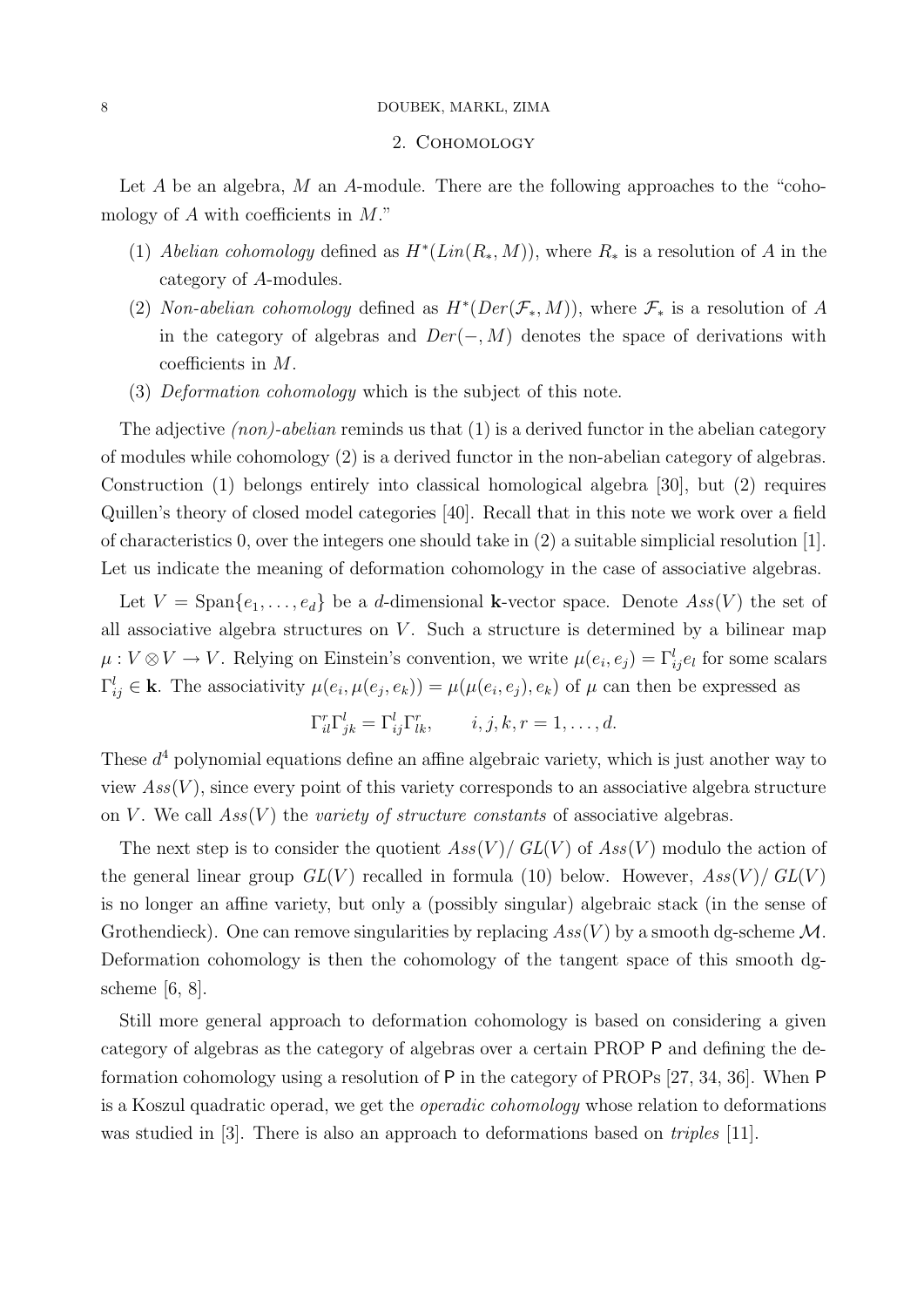#### 8 DOUBEK, MARKL, ZIMA

#### 2. Cohomology

Let  $A$  be an algebra,  $M$  an  $A$ -module. There are the following approaches to the "cohomology of  $A$  with coefficients in  $M$ ."

- (1) Abelian cohomology defined as  $H^*(Lin(R_*,M))$ , where  $R_*$  is a resolution of A in the category of A-modules.
- (2) Non-abelian cohomology defined as  $H^*(Der(\mathcal{F}_*, M))$ , where  $\mathcal{F}_*$  is a resolution of A in the category of algebras and  $Der(-, M)$  denotes the space of derivations with coefficients in M.
- (3) Deformation cohomology which is the subject of this note.

The adjective *(non)-abelian* reminds us that (1) is a derived functor in the abelian category of modules while cohomology (2) is a derived functor in the non-abelian category of algebras. Construction (1) belongs entirely into classical homological algebra [30], but (2) requires Quillen's theory of closed model categories [40]. Recall that in this note we work over a field of characteristics 0, over the integers one should take in (2) a suitable simplicial resolution [1]. Let us indicate the meaning of deformation cohomology in the case of associative algebras.

Let  $V = \text{Span}\{e_1, \ldots, e_d\}$  be a d-dimensional k-vector space. Denote  $Ass(V)$  the set of all associative algebra structures on  $V$ . Such a structure is determined by a bilinear map  $\mu: V \otimes V \to V$ . Relying on Einstein's convention, we write  $\mu(e_i, e_j) = \Gamma_{ij}^l e_l$  for some scalars  $\Gamma_{ij}^l \in \mathbf{k}$ . The associativity  $\mu(e_i, \mu(e_j, e_k)) = \mu(\mu(e_i, e_j), e_k)$  of  $\mu$  can then be expressed as

$$
\Gamma_{il}^r \Gamma_{jk}^l = \Gamma_{ij}^l \Gamma_{lk}^r, \qquad i, j, k, r = 1, \dots, d.
$$

These  $d<sup>4</sup>$  polynomial equations define an affine algebraic variety, which is just another way to view  $Ass(V)$ , since every point of this variety corresponds to an associative algebra structure on V. We call  $Ass(V)$  the variety of structure constants of associative algebras.

The next step is to consider the quotient  $Ass(V)/GL(V)$  of  $Ass(V)$  modulo the action of the general linear group  $GL(V)$  recalled in formula (10) below. However,  $Ass(V)/GL(V)$ is no longer an affine variety, but only a (possibly singular) algebraic stack (in the sense of Grothendieck). One can remove singularities by replacing  $Ass(V)$  by a smooth dg-scheme M. Deformation cohomology is then the cohomology of the tangent space of this smooth dgscheme [6, 8].

Still more general approach to deformation cohomology is based on considering a given category of algebras as the category of algebras over a certain PROP P and defining the deformation cohomology using a resolution of P in the category of PROPs [27, 34, 36]. When P is a Koszul quadratic operad, we get the operadic cohomology whose relation to deformations was studied in [3]. There is also an approach to deformations based on *triples* [11].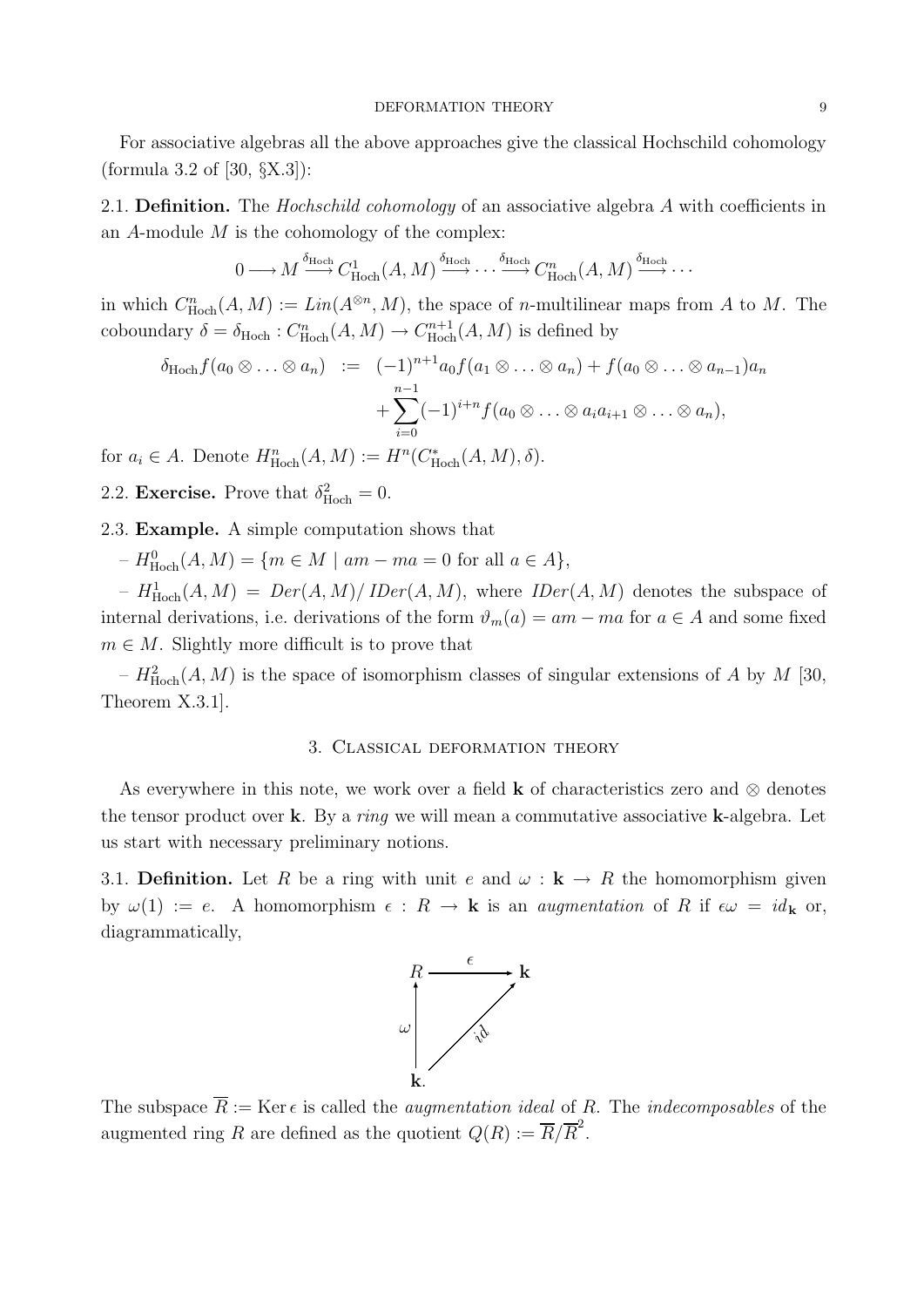For associative algebras all the above approaches give the classical Hochschild cohomology (formula 3.2 of [30, §X.3]):

2.1. **Definition.** The *Hochschild cohomology* of an associative algebra A with coefficients in an  $A$ -module  $M$  is the cohomology of the complex:

$$
0 \longrightarrow M \stackrel{\delta_{\mathrm{Hoch}}}{\longrightarrow} C^1_{\mathrm{Hoch}}(A, M) \stackrel{\delta_{\mathrm{Hoch}}}{\longrightarrow} \cdots \stackrel{\delta_{\mathrm{Hoch}}}{\longrightarrow} C^n_{\mathrm{Hoch}}(A, M) \stackrel{\delta_{\mathrm{Hoch}}}{\longrightarrow} \cdots
$$

in which  $C^n_{\text{Hoch}}(A, M) := \text{Lin}(A^{\otimes n}, M)$ , the space of *n*-multilinear maps from A to M. The coboundary  $\delta = \delta_{\text{Hoch}} : C^n_{\text{Hoch}}(A, M) \to C^{n+1}_{\text{Hoch}}$  $H^{m+1}_{\text{Hoch}}(A, M)$  is defined by

$$
\delta_{\text{Hoch}} f(a_0 \otimes \ldots \otimes a_n) := (-1)^{n+1} a_0 f(a_1 \otimes \ldots \otimes a_n) + f(a_0 \otimes \ldots \otimes a_{n-1}) a_n + \sum_{i=0}^{n-1} (-1)^{i+n} f(a_0 \otimes \ldots \otimes a_i a_{i+1} \otimes \ldots \otimes a_n),
$$

for  $a_i \in A$ . Denote  $H^n_{\text{Hoch}}(A, M) := H^n(C_{\text{Hoch}}^*(A, M), \delta)$ .

2.2. **Exercise.** Prove that  $\delta^2_{\text{Hoch}} = 0$ .

#### 2.3. Example. A simple computation shows that

 $-H_{Hoch}^0(A, M) = \{m \in M \mid am - ma = 0 \text{ for all } a \in A\},\$ 

 $-H_{\text{Hoch}}^1(A, M) = Der(A, M)/\text{Der}(A, M)$ , where  $\text{IDer}(A, M)$  denotes the subspace of internal derivations, i.e. derivations of the form  $\vartheta_m(a) = am - ma$  for  $a \in A$  and some fixed  $m \in M$ . Slightly more difficult is to prove that

 $-H_{Hoch}^2(A, M)$  is the space of isomorphism classes of singular extensions of A by M [30, Theorem X.3.1].

#### 3. Classical deformation theory

As everywhere in this note, we work over a field **k** of characteristics zero and  $\otimes$  denotes the tensor product over k. By a *ring* we will mean a commutative associative k-algebra. Let us start with necessary preliminary notions.

3.1. Definition. Let R be a ring with unit e and  $\omega : \mathbf{k} \to \mathbf{R}$  the homomorphism given by  $\omega(1) := e$ . A homomorphism  $\epsilon : R \to \mathbf{k}$  is an *augmentation* of R if  $\epsilon \omega = id_{\mathbf{k}}$  or, diagrammatically,



The subspace  $\overline{R} := \text{Ker } \epsilon$  is called the *augmentation ideal* of R. The *indecomposables* of the augmented ring R are defined as the quotient  $Q(R) := \overline{R}/\overline{R}^2$ .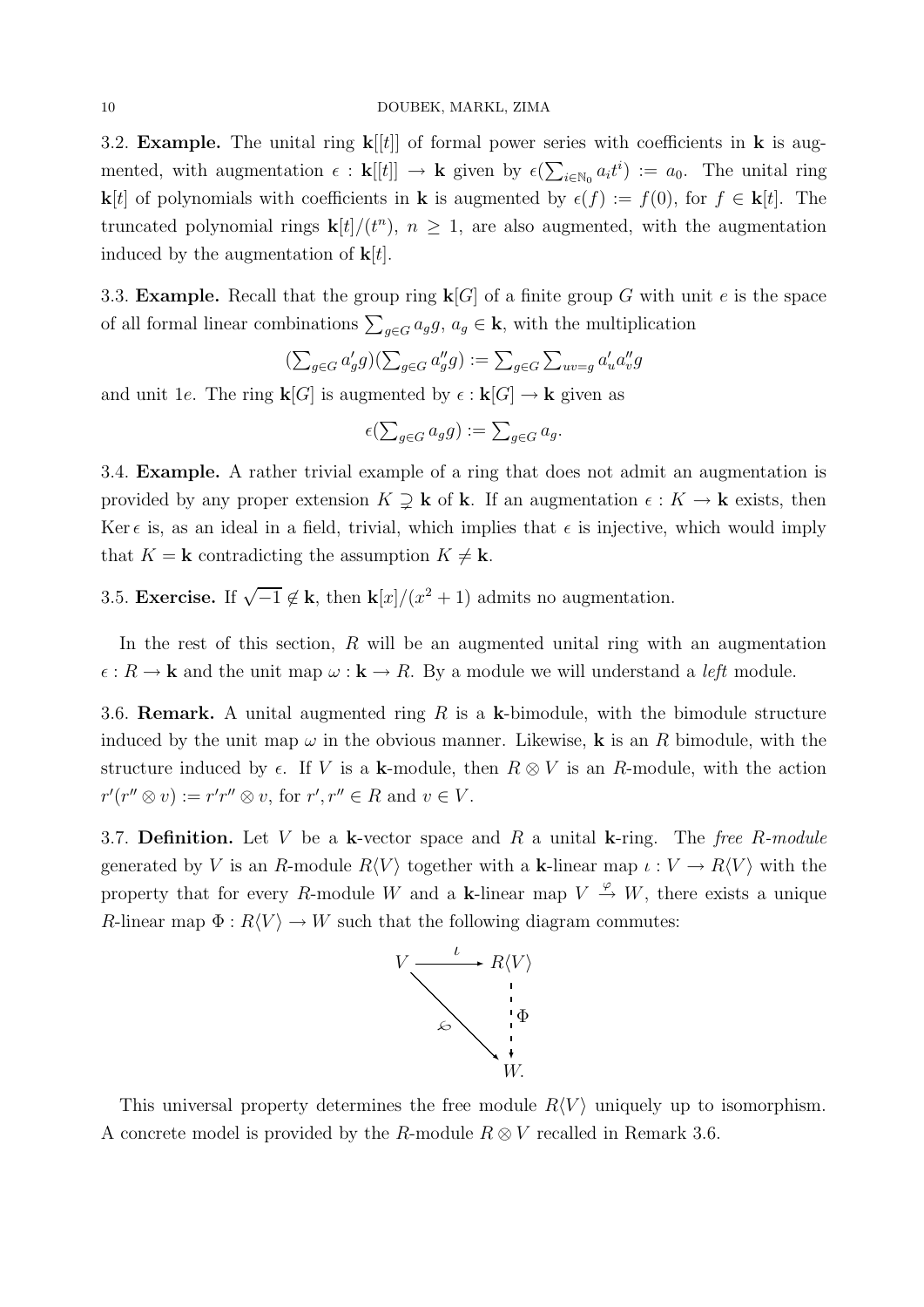#### 10 DOUBEK, MARKL, ZIMA

3.2. **Example.** The unital ring  $\mathbf{k}[[t]]$  of formal power series with coefficients in **k** is augmented, with augmentation  $\epsilon$ :  $\mathbf{k}[[t]] \to \mathbf{k}$  given by  $\epsilon(\sum_{i \in \mathbb{N}_0} a_i t^i) := a_0$ . The unital ring **k**[t] of polynomials with coefficients in **k** is augmented by  $\epsilon(f) := f(0)$ , for  $f \in \mathbf{k}[t]$ . The truncated polynomial rings  $\mathbf{k}[t]/(t^n)$ ,  $n \geq 1$ , are also augmented, with the augmentation induced by the augmentation of  $\mathbf{k}[t]$ .

3.3. **Example.** Recall that the group ring  $\mathbf{k}[G]$  of a finite group G with unit e is the space of all formal linear combinations  $\sum_{g \in G} a_g g$ ,  $a_g \in \mathbf{k}$ , with the multiplication

$$
(\textstyle\sum_{g\in G}a'_gg)(\textstyle\sum_{g\in G}a''_gg):=\textstyle\sum_{g\in G}\textstyle\sum_{uv=g}a'_ua''_vg
$$

and unit 1e. The ring  $\mathbf{k}[G]$  is augmented by  $\epsilon : \mathbf{k}[G] \to \mathbf{k}$  given as

$$
\epsilon(\sum\nolimits_{g\in G}a_{g}g):=\sum\nolimits_{g\in G}a_{g}.
$$

3.4. Example. A rather trivial example of a ring that does not admit an augmentation is provided by any proper extension  $K \supseteq \mathbf{k}$  of **k**. If an augmentation  $\epsilon : K \to \mathbf{k}$  exists, then Ker  $\epsilon$  is, as an ideal in a field, trivial, which implies that  $\epsilon$  is injective, which would imply that  $K = \mathbf{k}$  contradicting the assumption  $K \neq \mathbf{k}$ .

3.5. Exercise. If  $\sqrt{-1} \notin \mathbf{k}$ , then  $\mathbf{k}[x]/(x^2+1)$  admits no augmentation.

In the rest of this section, R will be an augmented unital ring with an augmentation  $\epsilon: R \to \mathbf{k}$  and the unit map  $\omega: \mathbf{k} \to R$ . By a module we will understand a *left* module.

3.6. **Remark.** A unital augmented ring R is a k-bimodule, with the bimodule structure induced by the unit map  $\omega$  in the obvious manner. Likewise, **k** is an R bimodule, with the structure induced by  $\epsilon$ . If V is a k-module, then  $R \otimes V$  is an R-module, with the action  $r'(r'' \otimes v) := r'r'' \otimes v$ , for  $r', r'' \in R$  and  $v \in V$ .

3.7. Definition. Let V be a k-vector space and R a unital k-ring. The free R-module generated by V is an R-module  $R\langle V \rangle$  together with a k-linear map  $\iota : V \to R\langle V \rangle$  with the property that for every R-module W and a k-linear map  $V \stackrel{\varphi}{\rightarrow} W$ , there exists a unique R-linear map  $\Phi : R\langle V \rangle \to W$  such that the following diagram commutes:



This universal property determines the free module  $R\langle V \rangle$  uniquely up to isomorphism. A concrete model is provided by the R-module  $R \otimes V$  recalled in Remark 3.6.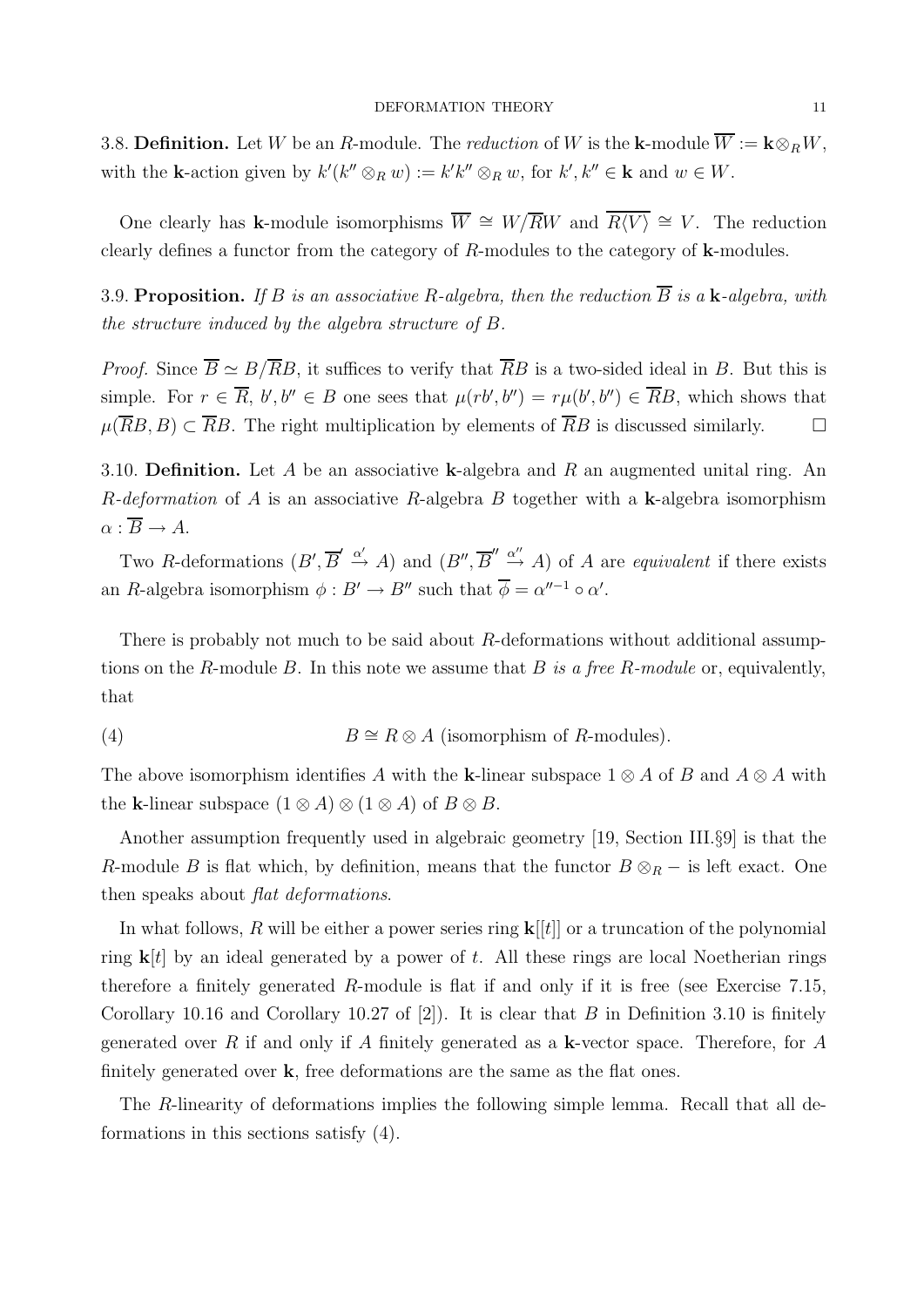3.8. Definition. Let W be an R-module. The reduction of W is the k-module  $\overline{W} := \mathbf{k} \otimes_R W$ , with the **k**-action given by  $k'(k'' \otimes_R w) := k'k'' \otimes_R w$ , for  $k', k'' \in \mathbf{k}$  and  $w \in W$ .

One clearly has k-module isomorphisms  $\overline{W} \cong W/\overline{R}W$  and  $\overline{R}\langle V\rangle \cong V$ . The reduction clearly defines a functor from the category of  $R$ -modules to the category of  $k$ -modules.

3.9. Proposition. If B is an associative R-algebra, then the reduction  $\overline{B}$  is a k-algebra, with the structure induced by the algebra structure of B.

*Proof.* Since  $\overline{B} \simeq B/\overline{R}B$ , it suffices to verify that  $\overline{R}B$  is a two-sided ideal in B. But this is simple. For  $r \in \overline{R}$ ,  $b', b'' \in B$  one sees that  $\mu(rb', b'') = r\mu(b', b'') \in \overline{R}B$ , which shows that  $\mu(\overline{R}B, B) \subset \overline{R}B$ . The right multiplication by elements of  $\overline{R}B$  is discussed similarly.  $\square$ 

3.10. Definition. Let A be an associative k-algebra and R an augmented unital ring. An R-deformation of A is an associative R-algebra B together with a k-algebra isomorphism  $\alpha : \overline{B} \to A.$ 

Two R-deformations  $(B', \overline{B}' \xrightarrow{\alpha'} A)$  and  $(B'', \overline{B}'' \xrightarrow{\alpha''} A)$  of A are *equivalent* if there exists an R-algebra isomorphism  $\phi : B' \to B''$  such that  $\overline{\phi} = \alpha''^{-1} \circ \alpha'$ .

There is probably not much to be said about R-deformations without additional assumptions on the R-module B. In this note we assume that B is a free R-module or, equivalently, that

(4) 
$$
B \cong R \otimes A \text{ (isomorphism of } R\text{-modules)}.
$$

The above isomorphism identifies A with the k-linear subspace  $1 \otimes A$  of B and  $A \otimes A$  with the k-linear subspace  $(1 \otimes A) \otimes (1 \otimes A)$  of  $B \otimes B$ .

Another assumption frequently used in algebraic geometry [19, Section III.§9] is that the R-module B is flat which, by definition, means that the functor  $B \otimes_R -$  is left exact. One then speaks about *flat deformations*.

In what follows, R will be either a power series ring  $\mathbf{k}[[t]]$  or a truncation of the polynomial ring  $\mathbf{k}[t]$  by an ideal generated by a power of t. All these rings are local Noetherian rings therefore a finitely generated  $R$ -module is flat if and only if it is free (see Exercise 7.15, Corollary 10.16 and Corollary 10.27 of  $[2]$ ). It is clear that B in Definition 3.10 is finitely generated over R if and only if A finitely generated as a **k**-vector space. Therefore, for A finitely generated over  $k$ , free deformations are the same as the flat ones.

The R-linearity of deformations implies the following simple lemma. Recall that all deformations in this sections satisfy (4).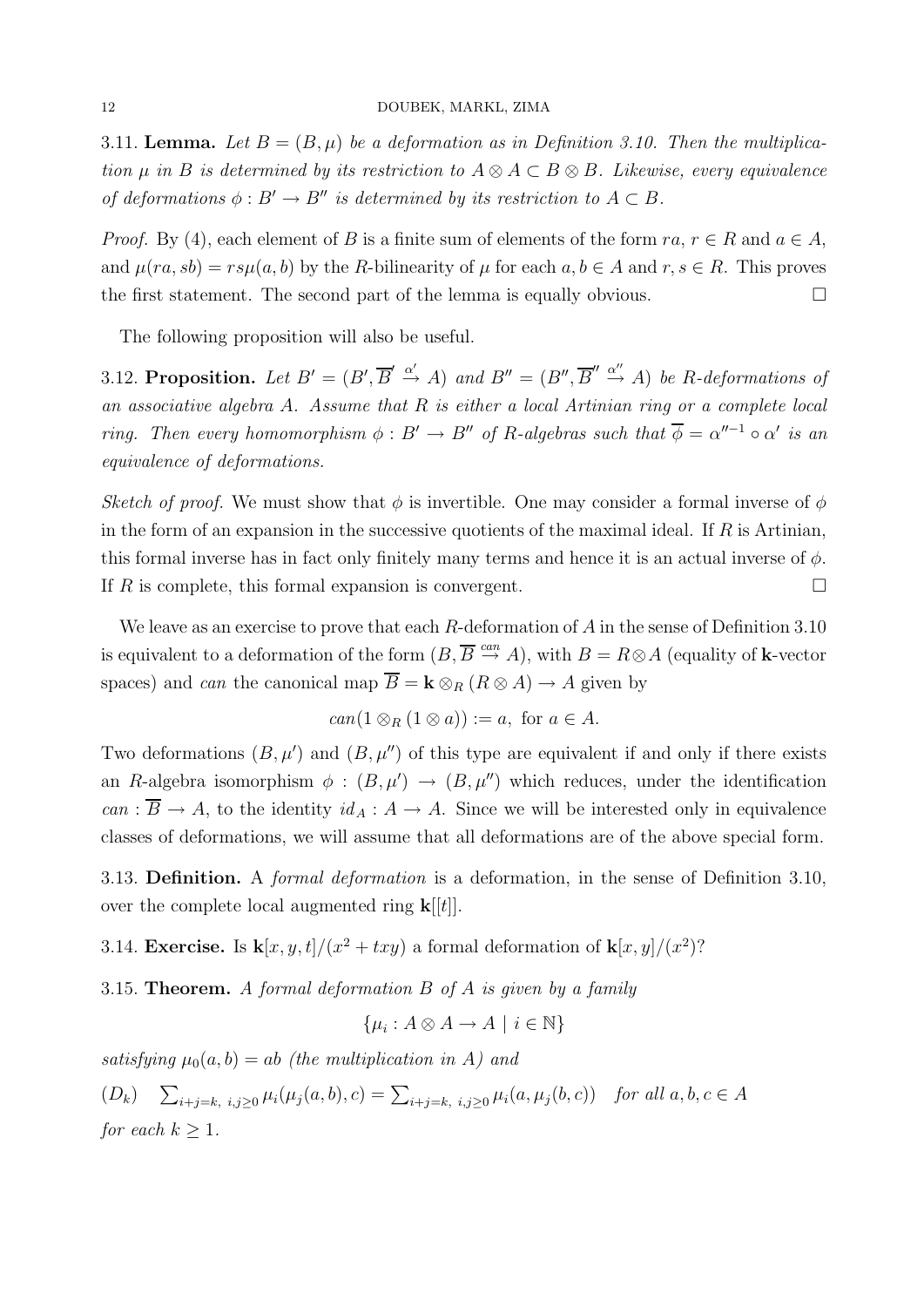3.11. Lemma. Let  $B = (B, \mu)$  be a deformation as in Definition 3.10. Then the multiplication  $\mu$  in B is determined by its restriction to  $A \otimes A \subset B \otimes B$ . Likewise, every equivalence of deformations  $\phi : B' \to B''$  is determined by its restriction to  $A \subset B$ .

*Proof.* By (4), each element of B is a finite sum of elements of the form  $ra, r \in R$  and  $a \in A$ , and  $\mu(ra, sb) = rs\mu(a, b)$  by the R-bilinearity of  $\mu$  for each  $a, b \in A$  and  $r, s \in R$ . This proves the first statement. The second part of the lemma is equally obvious.  $\Box$ 

The following proposition will also be useful.

3.12. Proposition. Let  $B' = (B', \overline{B}' \xrightarrow{\alpha'} A)$  and  $B'' = (B'', \overline{B}'' \xrightarrow{\alpha''} A)$  be R-deformations of an associative algebra A. Assume that R is either a local Artinian ring or a complete local ring. Then every homomorphism  $\phi : B' \to B''$  of R-algebras such that  $\overline{\phi} = \alpha''^{-1} \circ \alpha'$  is an equivalence of deformations.

Sketch of proof. We must show that  $\phi$  is invertible. One may consider a formal inverse of  $\phi$ in the form of an expansion in the successive quotients of the maximal ideal. If  $R$  is Artinian, this formal inverse has in fact only finitely many terms and hence it is an actual inverse of  $\phi$ . If R is complete, this formal expansion is convergent.  $\Box$ 

We leave as an exercise to prove that each  $R$ -deformation of  $A$  in the sense of Definition 3.10 is equivalent to a deformation of the form  $(B, \overline{B} \stackrel{can}{\to} A)$ , with  $B = R \otimes A$  (equality of **k**-vector spaces) and *can* the canonical map  $\overline{B} = \mathbf{k} \otimes_R (R \otimes A) \rightarrow A$  given by

$$
can(1\otimes_R(1\otimes a)):=a,\text{ for }a\in A.
$$

Two deformations  $(B, \mu')$  and  $(B, \mu'')$  of this type are equivalent if and only if there exists an R-algebra isomorphism  $\phi : (B, \mu') \to (B, \mu'')$  which reduces, under the identification can :  $\overline{B} \to A$ , to the identity  $id_A : A \to A$ . Since we will be interested only in equivalence classes of deformations, we will assume that all deformations are of the above special form.

3.13. **Definition.** A *formal deformation* is a deformation, in the sense of Definition 3.10, over the complete local augmented ring  $\mathbf{k}[[t]]$ .

3.14. Exercise. Is  $\mathbf{k}[x, y, t]/(x^2 + txy)$  a formal deformation of  $\mathbf{k}[x, y]/(x^2)$ ?

3.15. **Theorem.** A formal deformation  $B$  of  $A$  is given by a family

$$
\{\mu_i : A \otimes A \to A \mid i \in \mathbb{N}\}
$$

satisfying  $\mu_0(a, b) = ab$  (the multiplication in A) and

 $(D_k)$   $\sum_{i+j=k, i,j\geq 0} \mu_i(\mu_j(a,b), c) = \sum_{i+j=k, i,j\geq 0} \mu_i(a,\mu_j(b,c))$  for all  $a, b, c \in A$ for each  $k \geq 1$ .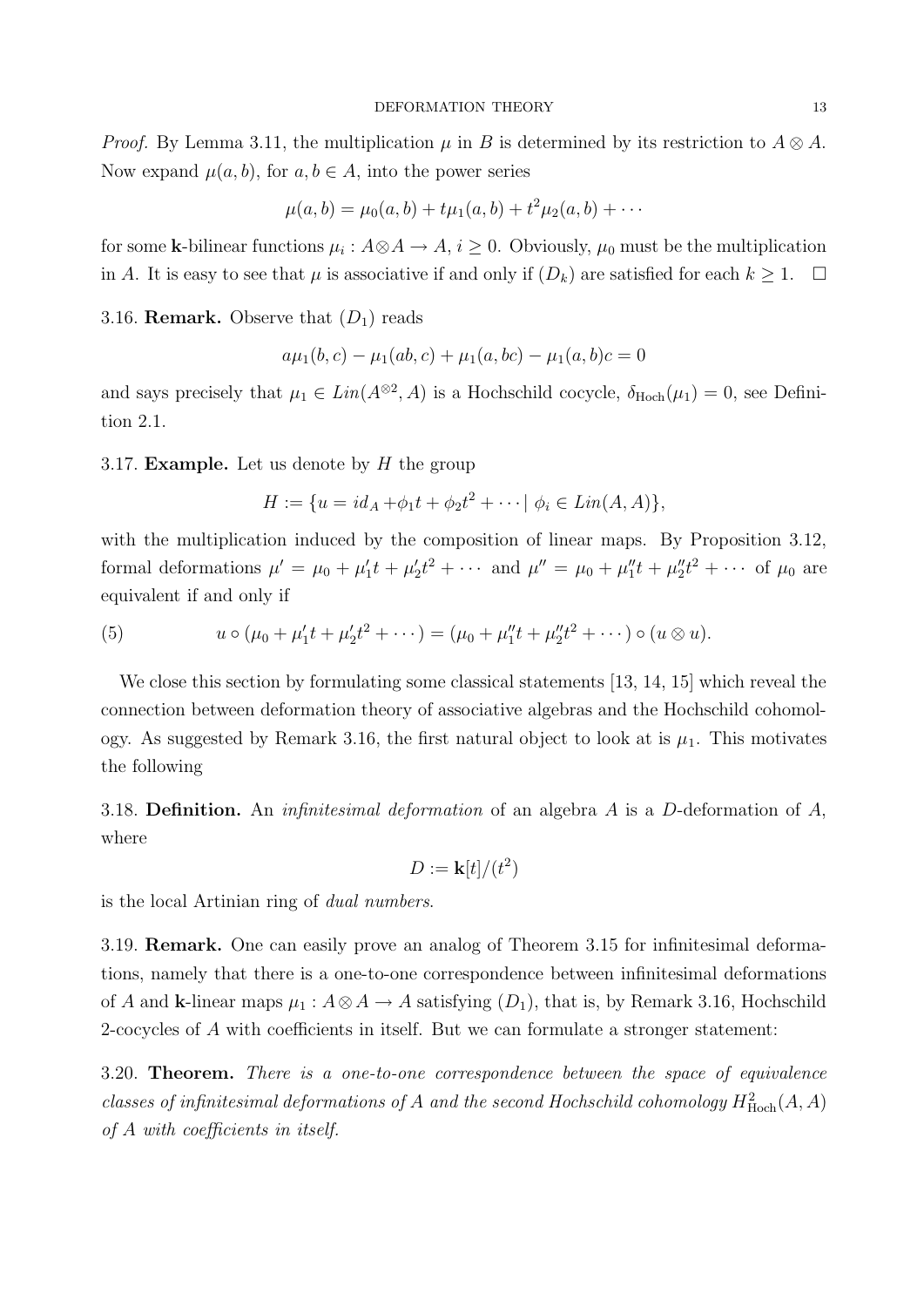*Proof.* By Lemma 3.11, the multiplication  $\mu$  in B is determined by its restriction to  $A \otimes A$ . Now expand  $\mu(a, b)$ , for  $a, b \in A$ , into the power series

$$
\mu(a,b) = \mu_0(a,b) + t\mu_1(a,b) + t^2\mu_2(a,b) + \cdots
$$

for some k-bilinear functions  $\mu_i: A \otimes A \to A$ ,  $i \geq 0$ . Obviously,  $\mu_0$  must be the multiplication in A. It is easy to see that  $\mu$  is associative if and only if  $(D_k)$  are satisfied for each  $k \geq 1$ .  $\Box$ 

3.16. **Remark.** Observe that  $(D_1)$  reads

$$
a\mu_1(b,c) - \mu_1(ab,c) + \mu_1(a,bc) - \mu_1(a,b)c = 0
$$

and says precisely that  $\mu_1 \in Lin(A^{\otimes 2}, A)$  is a Hochschild cocycle,  $\delta_{Hoch}(\mu_1) = 0$ , see Definition 2.1.

3.17. **Example.** Let us denote by  $H$  the group

$$
H := \{ u = id_A + \phi_1 t + \phi_2 t^2 + \cdots \mid \phi_i \in Lin(A, A) \},\
$$

with the multiplication induced by the composition of linear maps. By Proposition 3.12, formal deformations  $\mu' = \mu_0 + \mu'_1 t + \mu'_2 t^2 + \cdots$  and  $\mu'' = \mu_0 + \mu''_1 t + \mu''_2 t^2 + \cdots$  of  $\mu_0$  are equivalent if and only if

(5) 
$$
u \circ (\mu_0 + \mu'_1 t + \mu'_2 t^2 + \cdots) = (\mu_0 + \mu''_1 t + \mu''_2 t^2 + \cdots) \circ (u \otimes u).
$$

We close this section by formulating some classical statements [13, 14, 15] which reveal the connection between deformation theory of associative algebras and the Hochschild cohomology. As suggested by Remark 3.16, the first natural object to look at is  $\mu_1$ . This motivates the following

3.18. Definition. An *infinitesimal deformation* of an algebra A is a D-deformation of  $A$ , where

$$
D := \mathbf{k}[t]/(t^2)
$$

is the local Artinian ring of dual numbers.

3.19. Remark. One can easily prove an analog of Theorem 3.15 for infinitesimal deformations, namely that there is a one-to-one correspondence between infinitesimal deformations of A and k-linear maps  $\mu_1 : A \otimes A \to A$  satisfying  $(D_1)$ , that is, by Remark 3.16, Hochschild 2-cocycles of A with coefficients in itself. But we can formulate a stronger statement:

3.20. Theorem. There is a one-to-one correspondence between the space of equivalence classes of infinitesimal deformations of A and the second Hochschild cohomology  $H^2_{\text{Hoch}}(A, A)$ of A with coefficients in itself.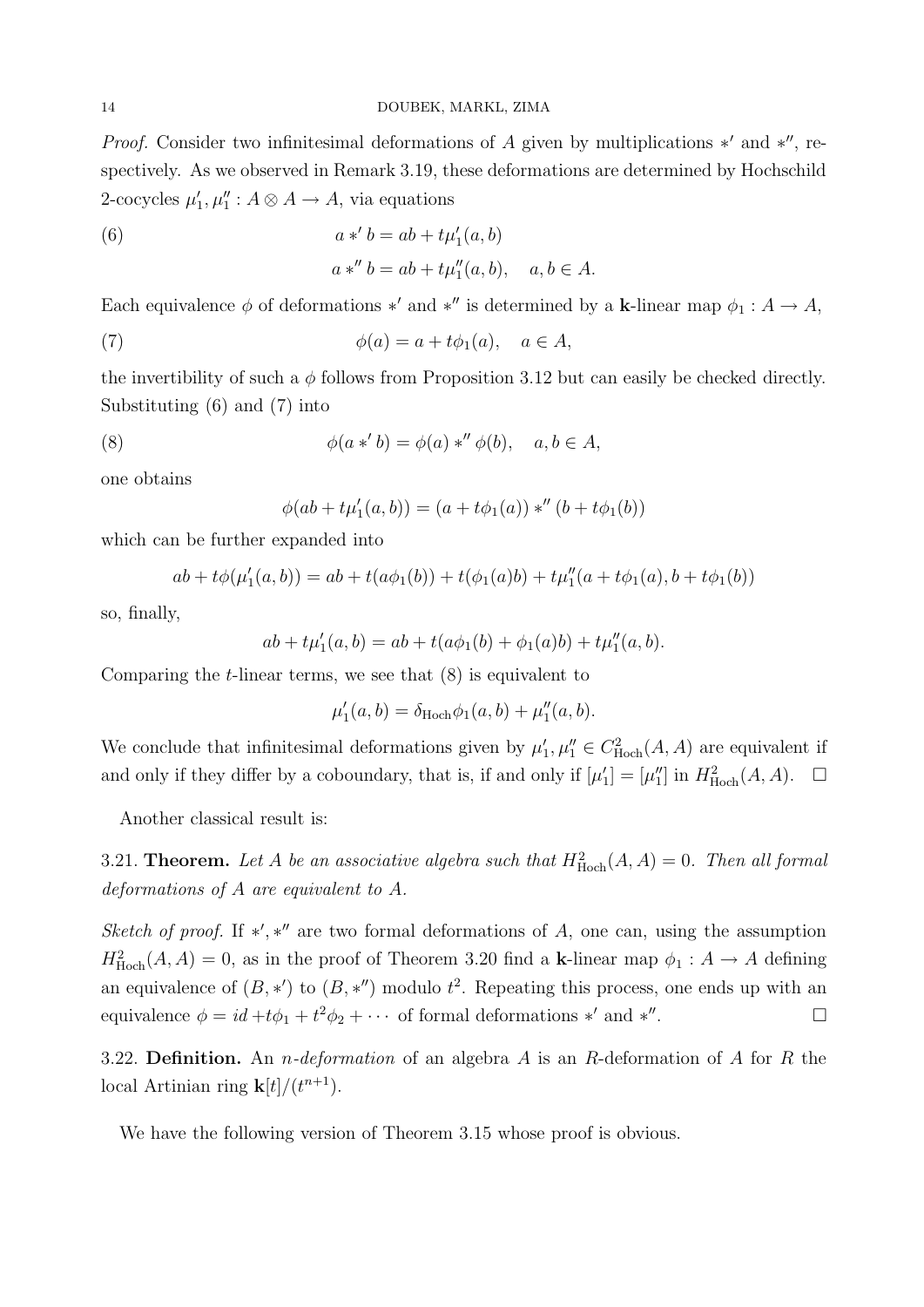*Proof.* Consider two infinitesimal deformations of A given by multiplications  $*'$  and  $*''$ , respectively. As we observed in Remark 3.19, these deformations are determined by Hochschild 2-cocycles  $\mu'_1, \mu''_1 : A \otimes A \to A$ , via equations

(6) 
$$
a *' b = ab + t\mu'_{1}(a, b)
$$

$$
a *'' b = ab + t\mu''_{1}(a, b), \quad a, b \in A.
$$

Each equivalence  $\phi$  of deformations \*' and \*'' is determined by a k-linear map  $\phi_1 : A \to A$ ,

(7) 
$$
\phi(a) = a + t\phi_1(a), \quad a \in A,
$$

the invertibility of such a  $\phi$  follows from Proposition 3.12 but can easily be checked directly. Substituting (6) and (7) into

(8) 
$$
\phi(a *' b) = \phi(a) *'' \phi(b), \quad a, b \in A,
$$

one obtains

$$
\phi(ab + t\mu'_1(a, b)) = (a + t\phi_1(a)) *'' (b + t\phi_1(b))
$$

which can be further expanded into

$$
ab + t\phi(\mu'_1(a,b)) = ab + t(a\phi_1(b)) + t(\phi_1(a)b) + t\mu''_1(a + t\phi_1(a), b + t\phi_1(b))
$$

so, finally,

$$
ab + t\mu'_1(a,b) = ab + t(a\phi_1(b) + \phi_1(a)b) + t\mu''_1(a,b).
$$

Comparing the  $t$ -linear terms, we see that  $(8)$  is equivalent to

$$
\mu'_1(a, b) = \delta_{\text{Hoch}} \phi_1(a, b) + \mu''_1(a, b).
$$

We conclude that infinitesimal deformations given by  $\mu'_1, \mu''_1 \in C^2_{\text{Hoch}}(A, A)$  are equivalent if and only if they differ by a coboundary, that is, if and only if  $[\mu'_1] = [\mu''_1]$  in  $H^2_{\text{Hoch}}(A, A)$ .  $\Box$ 

Another classical result is:

3.21. **Theorem.** Let A be an associative algebra such that  $H_{\text{Hoch}}^2(A, A) = 0$ . Then all formal deformations of A are equivalent to A.

Sketch of proof. If  $\ast', \ast''$  are two formal deformations of A, one can, using the assumption  $H^2_{\text{Hoch}}(A, A) = 0$ , as in the proof of Theorem 3.20 find a k-linear map  $\phi_1 : A \to A$  defining an equivalence of  $(B, *')$  to  $(B, *'')$  modulo  $t^2$ . Repeating this process, one ends up with an equivalence  $\phi = id + t\phi_1 + t^2\phi_2 + \cdots$  of formal deformations \*' and \*" .

3.22. Definition. An *n*-deformation of an algebra A is an R-deformation of A for R the local Artinian ring  $\mathbf{k}[t]/(t^{n+1})$ .

We have the following version of Theorem 3.15 whose proof is obvious.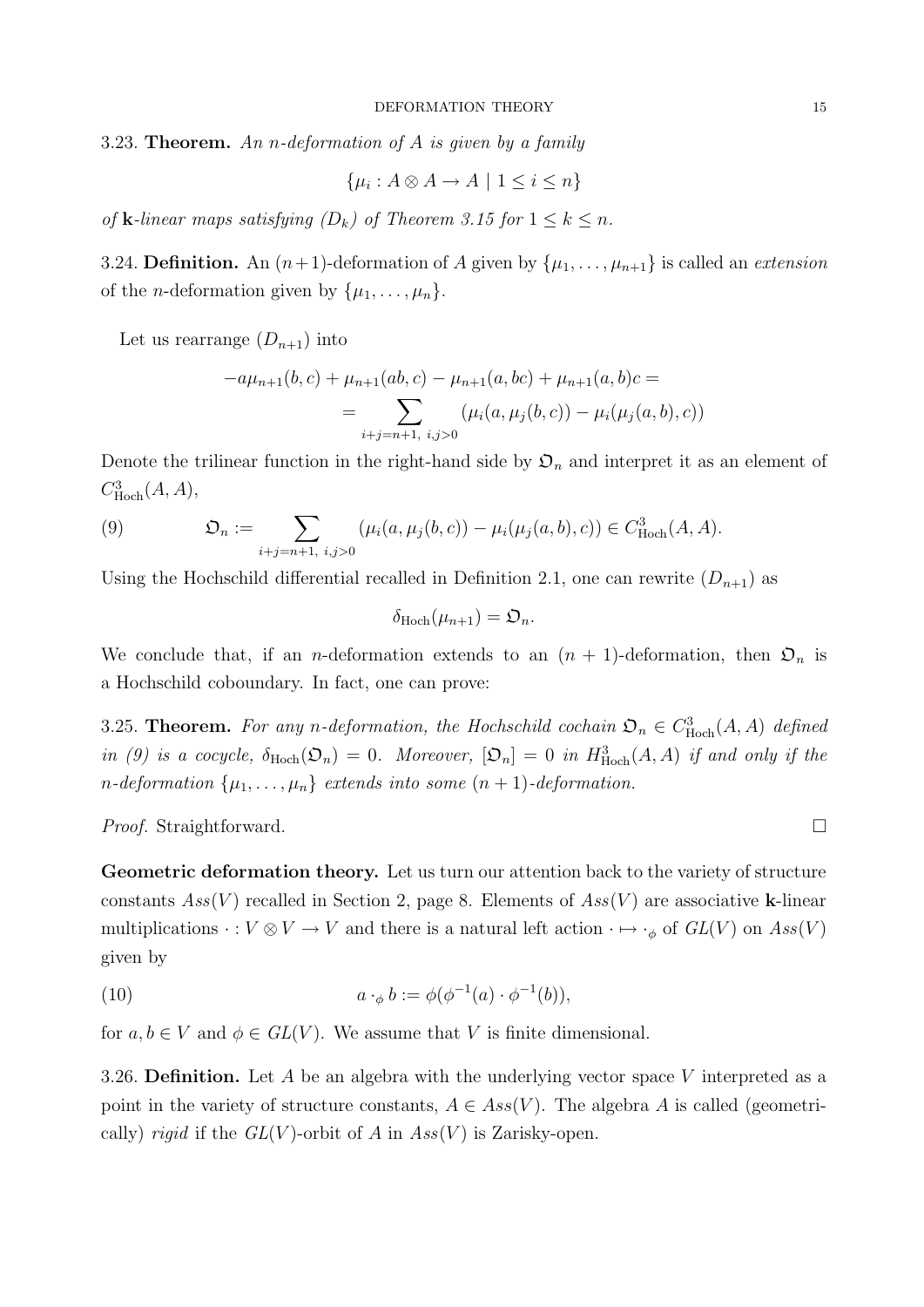3.23. Theorem. An n-deformation of  $A$  is given by a family

$$
\{\mu_i : A \otimes A \to A \mid 1 \le i \le n\}
$$

of **k**-linear maps satisfying  $(D_k)$  of Theorem 3.15 for  $1 \leq k \leq n$ .

3.24. **Definition.** An  $(n+1)$ -deformation of A given by  $\{\mu_1, \ldots, \mu_{n+1}\}\$  is called an *extension* of the *n*-deformation given by  $\{\mu_1, \ldots, \mu_n\}.$ 

Let us rearrange  $(D_{n+1})$  into

$$
-a\mu_{n+1}(b,c) + \mu_{n+1}(ab,c) - \mu_{n+1}(a,bc) + \mu_{n+1}(a,b)c =
$$
  
= 
$$
\sum_{i+j=n+1, i,j>0} (\mu_i(a,\mu_j(b,c)) - \mu_i(\mu_j(a,b),c))
$$

Denote the trilinear function in the right-hand side by  $\mathcal{D}_n$  and interpret it as an element of  $C^3_{\text{Hoch}}(A, A),$ 

(9) 
$$
\mathfrak{O}_n := \sum_{i+j=n+1, i,j>0} (\mu_i(a,\mu_j(b,c)) - \mu_i(\mu_j(a,b),c)) \in C^3_{\text{Hoch}}(A,A).
$$

Using the Hochschild differential recalled in Definition 2.1, one can rewrite  $(D_{n+1})$  as

$$
\delta_{\mathrm{Hoch}}(\mu_{n+1})=\mathfrak{O}_n.
$$

We conclude that, if an *n*-deformation extends to an  $(n + 1)$ -deformation, then  $\mathfrak{O}_n$  is a Hochschild coboundary. In fact, one can prove:

3.25. **Theorem.** For any n-deformation, the Hochschild cochain  $\mathfrak{O}_n \in C^3_{\text{Hoch}}(A, A)$  defined in (9) is a cocycle,  $\delta_{\text{Hoch}}(\mathfrak{O}_n) = 0$ . Moreover,  $[\mathfrak{O}_n] = 0$  in  $H_{\text{Hoch}}^3(A, A)$  if and only if the n-deformation  $\{\mu_1, \ldots, \mu_n\}$  extends into some  $(n + 1)$ -deformation.

*Proof.* Straightforward. □

Geometric deformation theory. Let us turn our attention back to the variety of structure constants  $Ass(V)$  recalled in Section 2, page 8. Elements of  $Ass(V)$  are associative k-linear multiplications  $\cdot : V \otimes V \to V$  and there is a natural left action  $\cdot \mapsto \cdot_{\phi}$  of  $GL(V)$  on  $Ass(V)$ given by

(10) 
$$
a \cdot_{\phi} b := \phi(\phi^{-1}(a) \cdot \phi^{-1}(b)),
$$

for  $a, b \in V$  and  $\phi \in GL(V)$ . We assume that V is finite dimensional.

3.26. Definition. Let A be an algebra with the underlying vector space V interpreted as a point in the variety of structure constants,  $A \in Ass(V)$ . The algebra A is called (geometrically) *rigid* if the  $GL(V)$ -orbit of A in  $Ass(V)$  is Zarisky-open.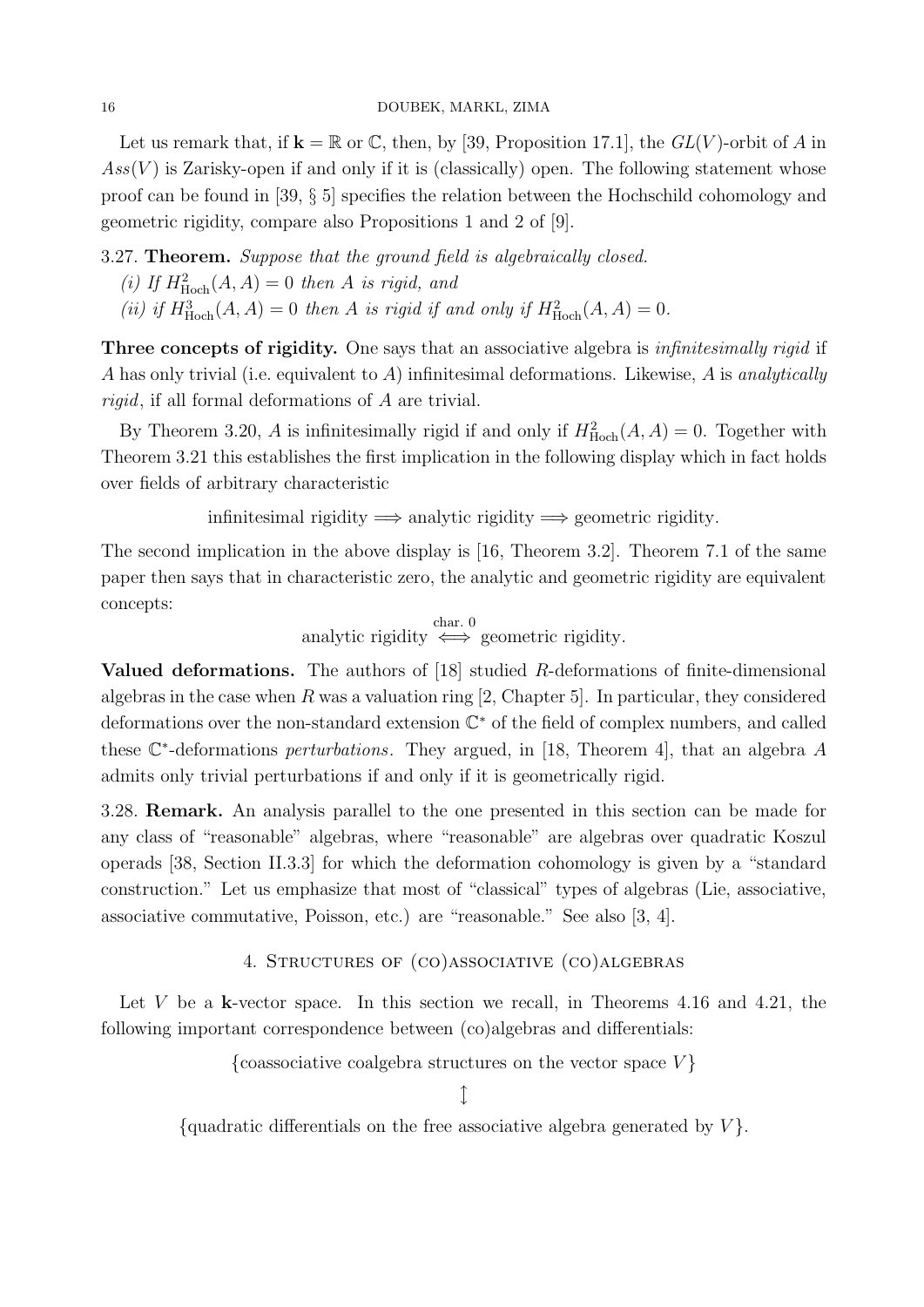Let us remark that, if  $\mathbf{k} = \mathbb{R}$  or C, then, by [39, Proposition 17.1], the  $GL(V)$ -orbit of A in  $Ass(V)$  is Zarisky-open if and only if it is (classically) open. The following statement whose proof can be found in [39, § 5] specifies the relation between the Hochschild cohomology and geometric rigidity, compare also Propositions 1 and 2 of [9].

3.27. **Theorem.** Suppose that the ground field is algebraically closed.

- (i) If  $H^2_{\text{Hoch}}(A, A) = 0$  then A is rigid, and
- (ii) if  $H^3_{\text{Hoch}}(A, A) = 0$  then A is rigid if and only if  $H^2_{\text{Hoch}}(A, A) = 0$ .

Three concepts of rigidity. One says that an associative algebra is *infinitesimally rigid* if A has only trivial (i.e. equivalent to A) infinitesimal deformations. Likewise, A is analytically rigid, if all formal deformations of A are trivial.

By Theorem 3.20, A is infinitesimally rigid if and only if  $H_{\text{Hoch}}^2(A, A) = 0$ . Together with Theorem 3.21 this establishes the first implication in the following display which in fact holds over fields of arbitrary characteristic

infinitesimal rigidity  $\implies$  analytic rigidity  $\implies$  geometric rigidity.

The second implication in the above display is [16, Theorem 3.2]. Theorem 7.1 of the same paper then says that in characteristic zero, the analytic and geometric rigidity are equivalent concepts:

$$
analytic rigidity \stackrel{char. 0}{\iff} geometric rigidity.
$$

**Valued deformations.** The authors of [18] studied  $R$ -deformations of finite-dimensional algebras in the case when  $R$  was a valuation ring [2, Chapter 5]. In particular, they considered deformations over the non-standard extension  $\mathbb{C}^*$  of the field of complex numbers, and called these  $\mathbb{C}^*$ -deformations *perturbations*. They argued, in [18, Theorem 4], that an algebra A admits only trivial perturbations if and only if it is geometrically rigid.

3.28. Remark. An analysis parallel to the one presented in this section can be made for any class of "reasonable" algebras, where "reasonable" are algebras over quadratic Koszul operads [38, Section II.3.3] for which the deformation cohomology is given by a "standard construction." Let us emphasize that most of "classical" types of algebras (Lie, associative, associative commutative, Poisson, etc.) are "reasonable." See also [3, 4].

#### 4. Structures of (co)associative (co)algebras

Let V be a k-vector space. In this section we recall, in Theorems  $4.16$  and  $4.21$ , the following important correspondence between (co)algebras and differentials:

{coassociative coalgebra structures on the vector space  $V$ }

 $\hat{I}$ 

{quadratic differentials on the free associative algebra generated by  $V$ }.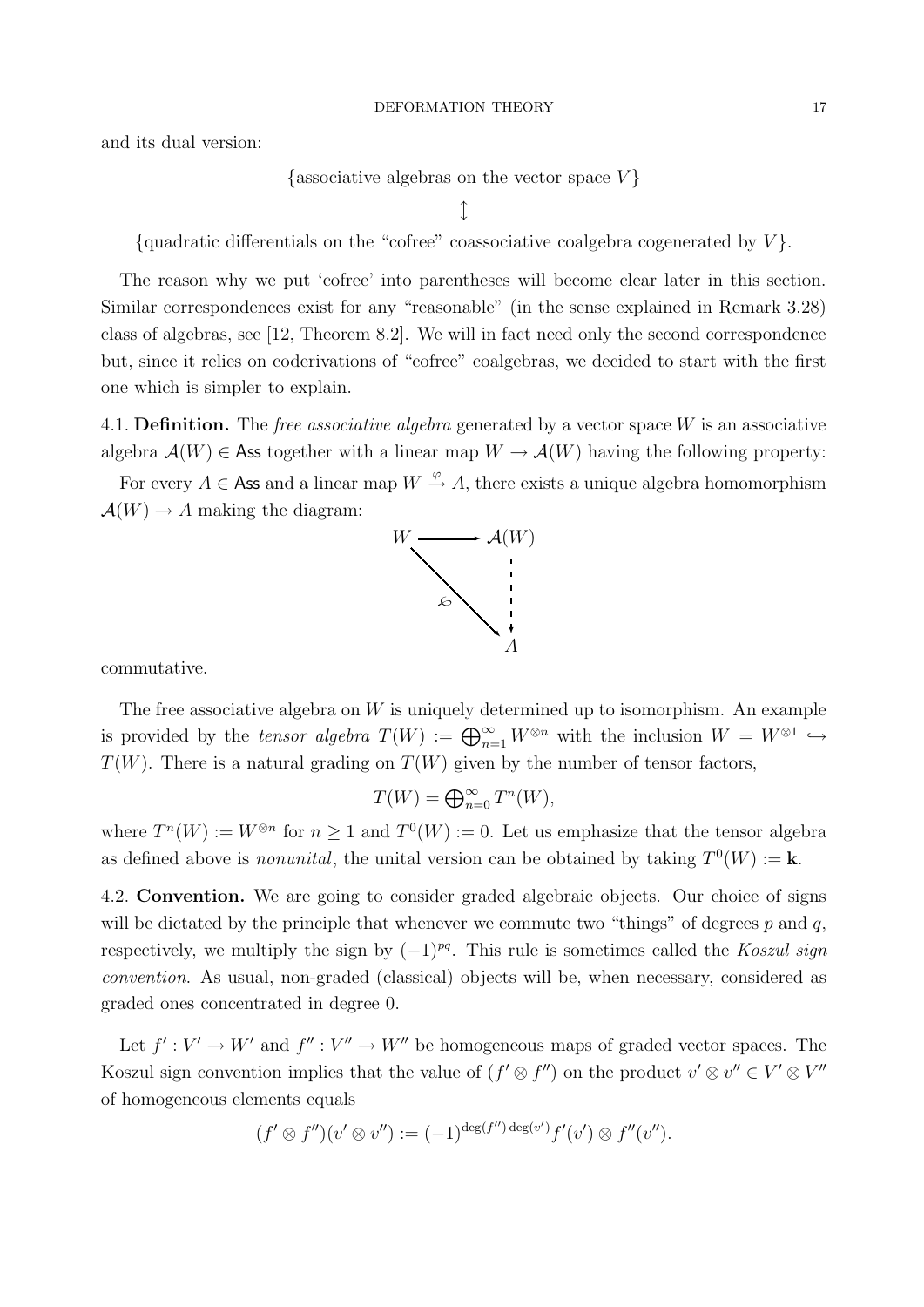and its dual version:

{associative algebras on the vector space  $V$ }

 $\downarrow$ 

{quadratic differentials on the "cofree" coassociative coalgebra cogenerated by  $V$ }.

The reason why we put 'cofree' into parentheses will become clear later in this section. Similar correspondences exist for any "reasonable" (in the sense explained in Remark 3.28) class of algebras, see [12, Theorem 8.2]. We will in fact need only the second correspondence but, since it relies on coderivations of "cofree" coalgebras, we decided to start with the first one which is simpler to explain.

4.1. Definition. The *free associative algebra* generated by a vector space  $W$  is an associative algebra  $\mathcal{A}(W) \in \mathsf{Ass}$  together with a linear map  $W \to \mathcal{A}(W)$  having the following property:

For every  $A \in \mathsf{Ass}$  and a linear map  $W \stackrel{\varphi}{\rightarrow} A$ , there exists a unique algebra homomorphism  $\mathcal{A}(W) \to A$  making the diagram:



commutative.

The free associative algebra on W is uniquely determined up to isomorphism. An example is provided by the tensor algebra  $T(W) := \bigoplus_{n=1}^{\infty} W^{\otimes n}$  with the inclusion  $W = W^{\otimes 1} \hookrightarrow$  $T(W)$ . There is a natural grading on  $T(W)$  given by the number of tensor factors,

$$
T(W) = \bigoplus_{n=0}^{\infty} T^n(W),
$$

where  $T^n(W) := W^{\otimes n}$  for  $n \geq 1$  and  $T^0(W) := 0$ . Let us emphasize that the tensor algebra as defined above is *nonunital*, the unital version can be obtained by taking  $T^0(W) := \mathbf{k}$ .

4.2. Convention. We are going to consider graded algebraic objects. Our choice of signs will be dictated by the principle that whenever we commute two "things" of degrees  $p$  and  $q$ , respectively, we multiply the sign by  $(-1)^{pq}$ . This rule is sometimes called the Koszul sign convention. As usual, non-graded (classical) objects will be, when necessary, considered as graded ones concentrated in degree 0.

Let  $f': V' \to W'$  and  $f'': V'' \to W''$  be homogeneous maps of graded vector spaces. The Koszul sign convention implies that the value of  $(f' \otimes f'')$  on the product  $v' \otimes v'' \in V' \otimes V''$ of homogeneous elements equals

$$
(f' \otimes f'')(v' \otimes v'') := (-1)^{\deg(f'') \deg(v')} f'(v') \otimes f''(v'').
$$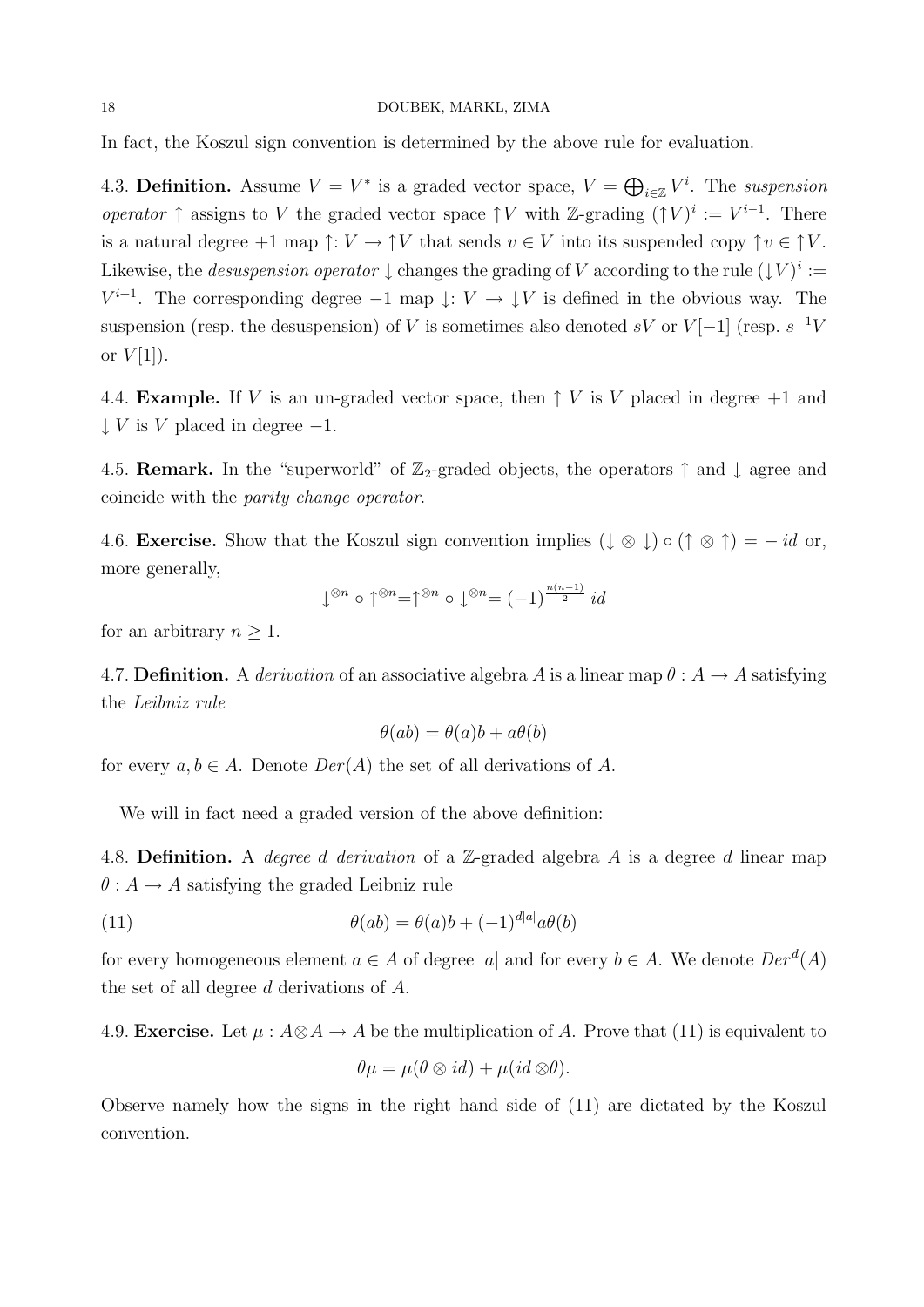In fact, the Koszul sign convention is determined by the above rule for evaluation.

4.3. Definition. Assume  $V = V^*$  is a graded vector space,  $V = \bigoplus_{i \in \mathbb{Z}} V^i$ . The suspension operator  $\uparrow$  assigns to V the graded vector space  $\uparrow V$  with Z-grading  $(\uparrow V)^i := V^{i-1}$ . There is a natural degree  $+1$  map  $\uparrow: V \to \uparrow V$  that sends  $v \in V$  into its suspended copy  $\uparrow v \in \uparrow V$ . Likewise, the *desuspension operator*  $\downarrow$  changes the grading of V according to the rule  $(\downarrow V)^i :=$  $V^{i+1}$ . The corresponding degree  $-1$  map  $\downarrow: V \to \downarrow V$  is defined in the obvious way. The suspension (resp. the desuspension) of V is sometimes also denoted  $sV$  or  $V[-1]$  (resp.  $s^{-1}V$ or  $V[1]$ ).

4.4. **Example.** If V is an un-graded vector space, then  $\uparrow$  V is V placed in degree  $+1$  and  $\downarrow$  V is V placed in degree  $-1$ .

4.5. **Remark.** In the "superworld" of  $\mathbb{Z}_2$ -graded objects, the operators  $\uparrow$  and  $\downarrow$  agree and coincide with the parity change operator.

4.6. **Exercise.** Show that the Koszul sign convention implies  $(\downarrow \otimes \downarrow) \circ (\uparrow \otimes \uparrow) = -id$  or, more generally,

$$
\downarrow^{\otimes n} \circ \uparrow^{\otimes n} = \uparrow^{\otimes n} \circ \downarrow^{\otimes n} = (-1)^{\frac{n(n-1)}{2}} \mathit{id}
$$

for an arbitrary  $n \geq 1$ .

4.7. Definition. A derivation of an associative algebra A is a linear map  $\theta : A \to A$  satisfying the Leibniz rule

$$
\theta(ab)=\theta(a)b+a\theta(b)
$$

for every  $a, b \in A$ . Denote  $Der(A)$  the set of all derivations of A.

We will in fact need a graded version of the above definition:

4.8. Definition. A *degree d derivation* of a  $\mathbb{Z}$ -graded algebra A is a degree d linear map  $\theta: A \to A$  satisfying the graded Leibniz rule

(11) 
$$
\theta(ab) = \theta(a)b + (-1)^{d|a|}a\theta(b)
$$

for every homogeneous element  $a \in A$  of degree |a| and for every  $b \in A$ . We denote  $Der^d(A)$ the set of all degree d derivations of A.

4.9. Exercise. Let  $\mu : A \otimes A \to A$  be the multiplication of A. Prove that (11) is equivalent to

$$
\theta\mu = \mu(\theta \otimes id) + \mu(id \otimes \theta).
$$

Observe namely how the signs in the right hand side of (11) are dictated by the Koszul convention.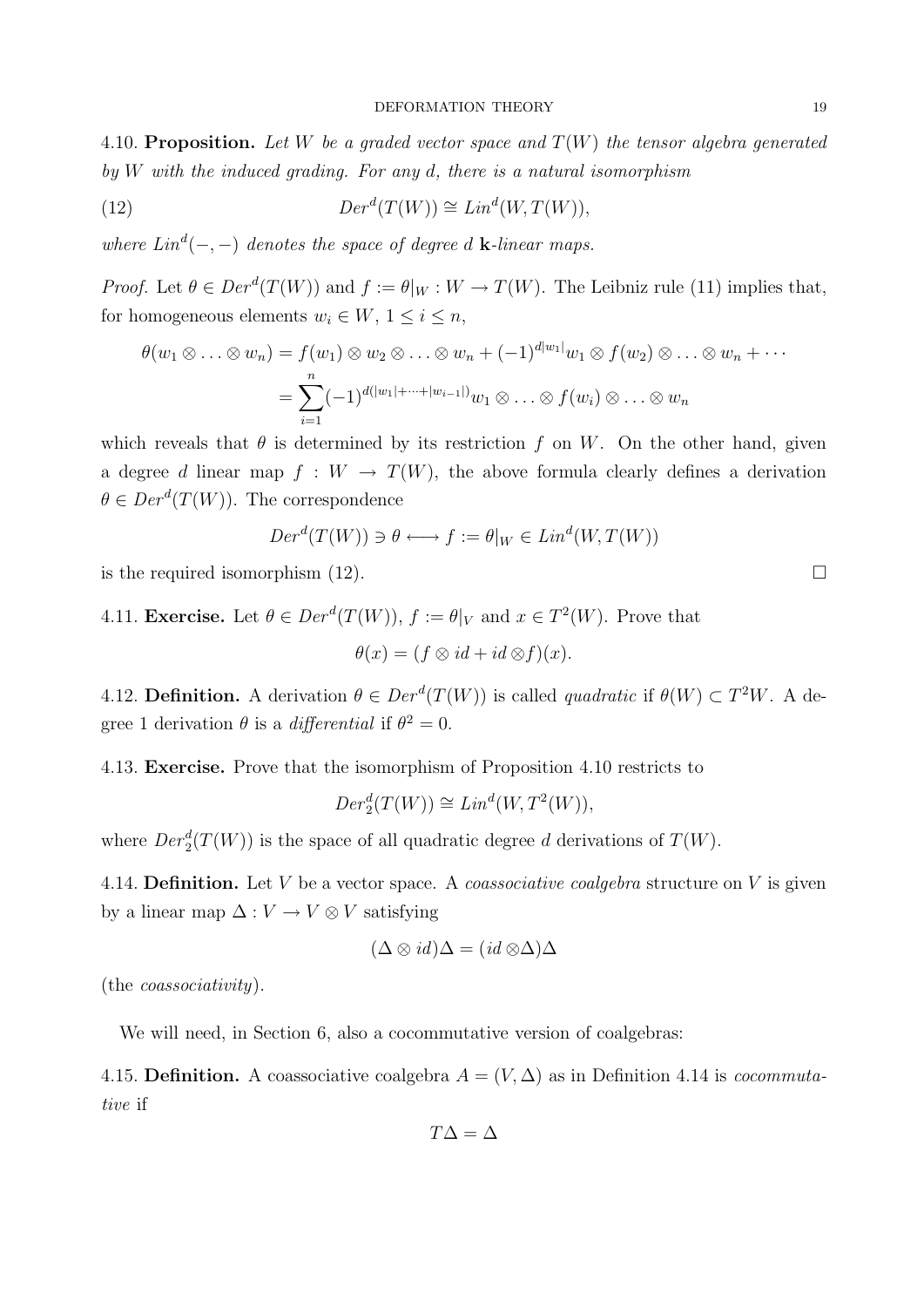4.10. Proposition. Let W be a graded vector space and  $T(W)$  the tensor algebra generated by  $W$  with the induced grading. For any d, there is a natural isomorphism

(12) 
$$
Der^d(T(W)) \cong Lin^d(W, T(W)),
$$

where  $Lin^d(-,-)$  denotes the space of degree d **k**-linear maps.

*Proof.* Let  $\theta \in Der^d(T(W))$  and  $f := \theta|_W : W \to T(W)$ . The Leibniz rule (11) implies that, for homogeneous elements  $w_i \in W$ ,  $1 \leq i \leq n$ ,

$$
\theta(w_1 \otimes \ldots \otimes w_n) = f(w_1) \otimes w_2 \otimes \ldots \otimes w_n + (-1)^{d|w_1|} w_1 \otimes f(w_2) \otimes \ldots \otimes w_n + \cdots
$$

$$
= \sum_{i=1}^n (-1)^{d(|w_1| + \cdots + |w_{i-1}|)} w_1 \otimes \ldots \otimes f(w_i) \otimes \ldots \otimes w_n
$$

which reveals that  $\theta$  is determined by its restriction f on W. On the other hand, given a degree d linear map  $f : W \to T(W)$ , the above formula clearly defines a derivation  $\theta \in Der^d(T(W))$ . The correspondence

$$
Der^d(T(W)) \ni \theta \longleftrightarrow f := \theta|_W \in Lin^d(W, T(W))
$$

is the required isomorphism  $(12)$ .

4.11. **Exercise.** Let 
$$
\theta \in Der^d(T(W))
$$
,  $f := \theta|_V$  and  $x \in T^2(W)$ . Prove that  

$$
\theta(x) = (f \otimes id + id \otimes f)(x).
$$

4.12. **Definition.** A derivation  $\theta \in Der^d(T(W))$  is called *quadratic* if  $\theta(W) \subset T^2W$ . A degree 1 derivation  $\theta$  is a *differential* if  $\theta^2 = 0$ .

4.13. Exercise. Prove that the isomorphism of Proposition 4.10 restricts to

$$
Der^d_2(T(W)) \cong Lin^d(W, T^2(W)),
$$

where  $Der_2^d(T(W))$  is the space of all quadratic degree d derivations of  $T(W)$ .

4.14. **Definition.** Let V be a vector space. A *coassociative coalgebra* structure on V is given by a linear map  $\Delta: V \to V \otimes V$  satisfying

$$
(\Delta \otimes id)\Delta = (id \otimes \Delta)\Delta
$$

(the coassociativity).

We will need, in Section 6, also a cocommutative version of coalgebras:

4.15. Definition. A coassociative coalgebra  $A = (V, \Delta)$  as in Definition 4.14 is *cocommuta*tive if

$$
T\Delta=\Delta
$$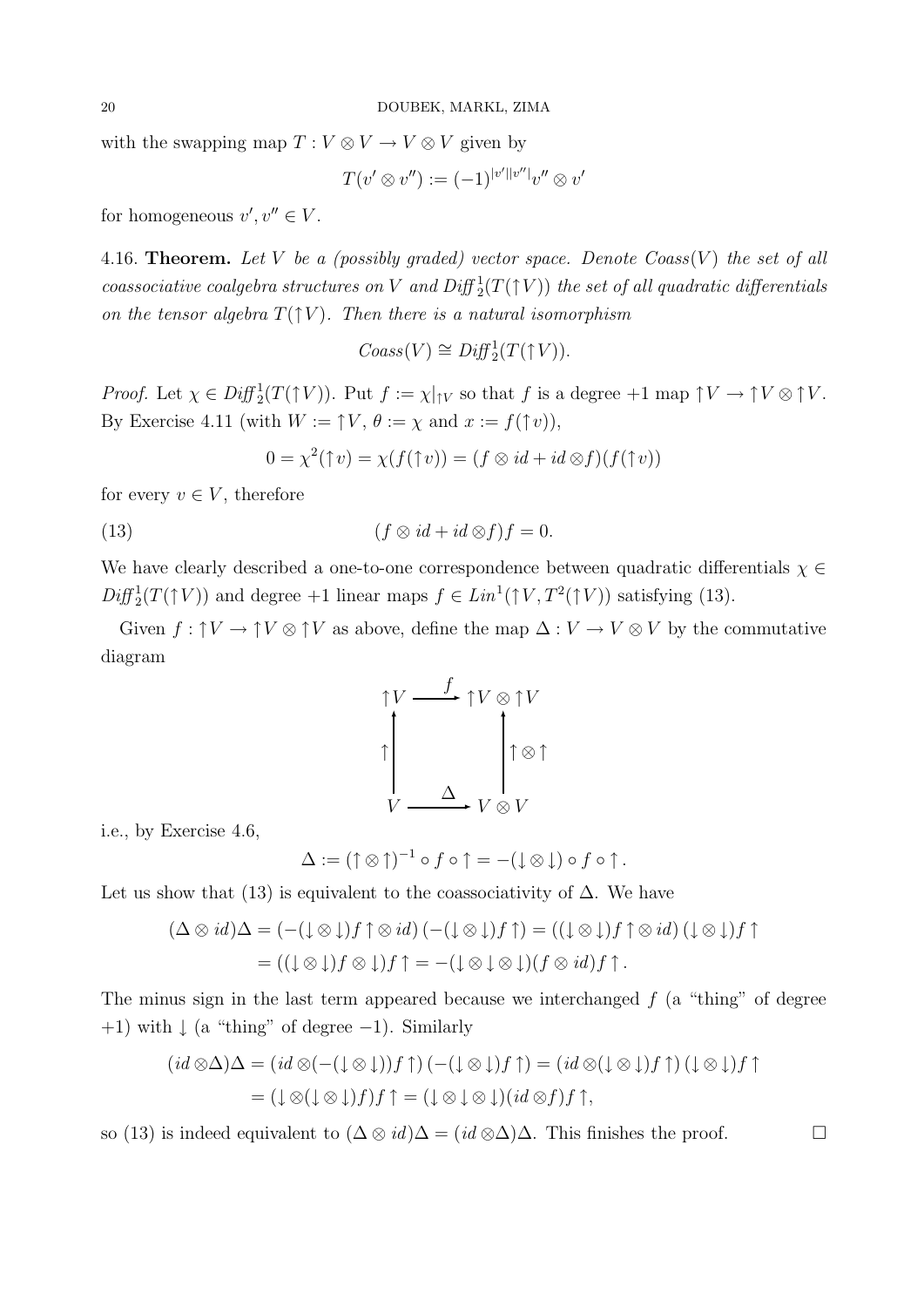with the swapping map  $T: V \otimes V \rightarrow V \otimes V$  given by

$$
T(v' \otimes v'') := (-1)^{|v'||v''|}v'' \otimes v'
$$

for homogeneous  $v', v'' \in V$ .

4.16. Theorem. Let V be a (possibly graded) vector space. Denote  $Coass(V)$  the set of all coassociative coalgebra structures on V and  $Diff^1_2(T(\uparrow V))$  the set of all quadratic differentials on the tensor algebra  $T(\uparrow V)$ . Then there is a natural isomorphism

$$
Coass(V) \cong Diff^1_2(T(\uparrow V)).
$$

*Proof.* Let  $\chi \in Diff^1_2(T(\uparrow V))$ . Put  $f := \chi|_{\uparrow V}$  so that f is a degree  $+1$  map  $\uparrow V \to \uparrow V \otimes \uparrow V$ . By Exercise 4.11 (with  $W := \uparrow V$ ,  $\theta := \chi$  and  $x := f(\uparrow v)$ ),

$$
0 = \chi^2(\uparrow v) = \chi(f(\uparrow v)) = (f \otimes id + id \otimes f)(f(\uparrow v))
$$

for every  $v \in V$ , therefore

(13)  $(f \otimes id + id \otimes f)f = 0.$ 

We have clearly described a one-to-one correspondence between quadratic differentials  $\chi \in$  $Diff^1_2(T(\uparrow V))$  and degree +1 linear maps  $f \in Lin^1(\uparrow V, T^2(\uparrow V))$  satisfying (13).

Given  $f: \uparrow V \to \uparrow V \otimes \uparrow V$  as above, define the map  $\Delta: V \to V \otimes V$  by the commutative diagram

$$
\uparrow V \xrightarrow{f} \uparrow V \otimes \uparrow V
$$
\n
$$
\uparrow \qquad \qquad \uparrow \otimes \uparrow V
$$
\n
$$
\downarrow \qquad \qquad \uparrow \otimes \uparrow
$$
\n
$$
V \xrightarrow{\Delta} V \otimes V
$$

i.e., by Exercise 4.6,

$$
\Delta := (\uparrow \otimes \uparrow)^{-1} \circ f \circ \uparrow = -(\downarrow \otimes \downarrow) \circ f \circ \uparrow.
$$

Let us show that (13) is equivalent to the coassociativity of  $\Delta$ . We have

$$
(\Delta \otimes id)\Delta = (-(\downarrow \otimes \downarrow)f \uparrow \otimes id) \, ((-(\downarrow \otimes \downarrow)f \uparrow) = ((\downarrow \otimes \downarrow)f \uparrow \otimes id) \, (\downarrow \otimes \downarrow)f \uparrow = ((\downarrow \otimes \downarrow)f \otimes \downarrow)f \uparrow = -(\downarrow \otimes \downarrow \otimes \downarrow)(f \otimes id)f \uparrow.
$$

The minus sign in the last term appeared because we interchanged  $f$  (a "thing" of degree  $+1$ ) with  $\downarrow$  (a "thing" of degree  $-1$ ). Similarly

$$
(id \otimes \Delta)\Delta = (id \otimes (-(\downarrow \otimes \downarrow))f \uparrow) (-(\downarrow \otimes \downarrow)f \uparrow) = (id \otimes (\downarrow \otimes \downarrow)f \uparrow) (\downarrow \otimes \downarrow)f \uparrow
$$

$$
= (\downarrow \otimes (\downarrow \otimes \downarrow)f)f \uparrow = (\downarrow \otimes \downarrow \otimes \downarrow)(id \otimes f)f \uparrow,
$$

so (13) is indeed equivalent to  $(\Delta \otimes id)\Delta = (id \otimes \Delta)\Delta$ . This finishes the proof.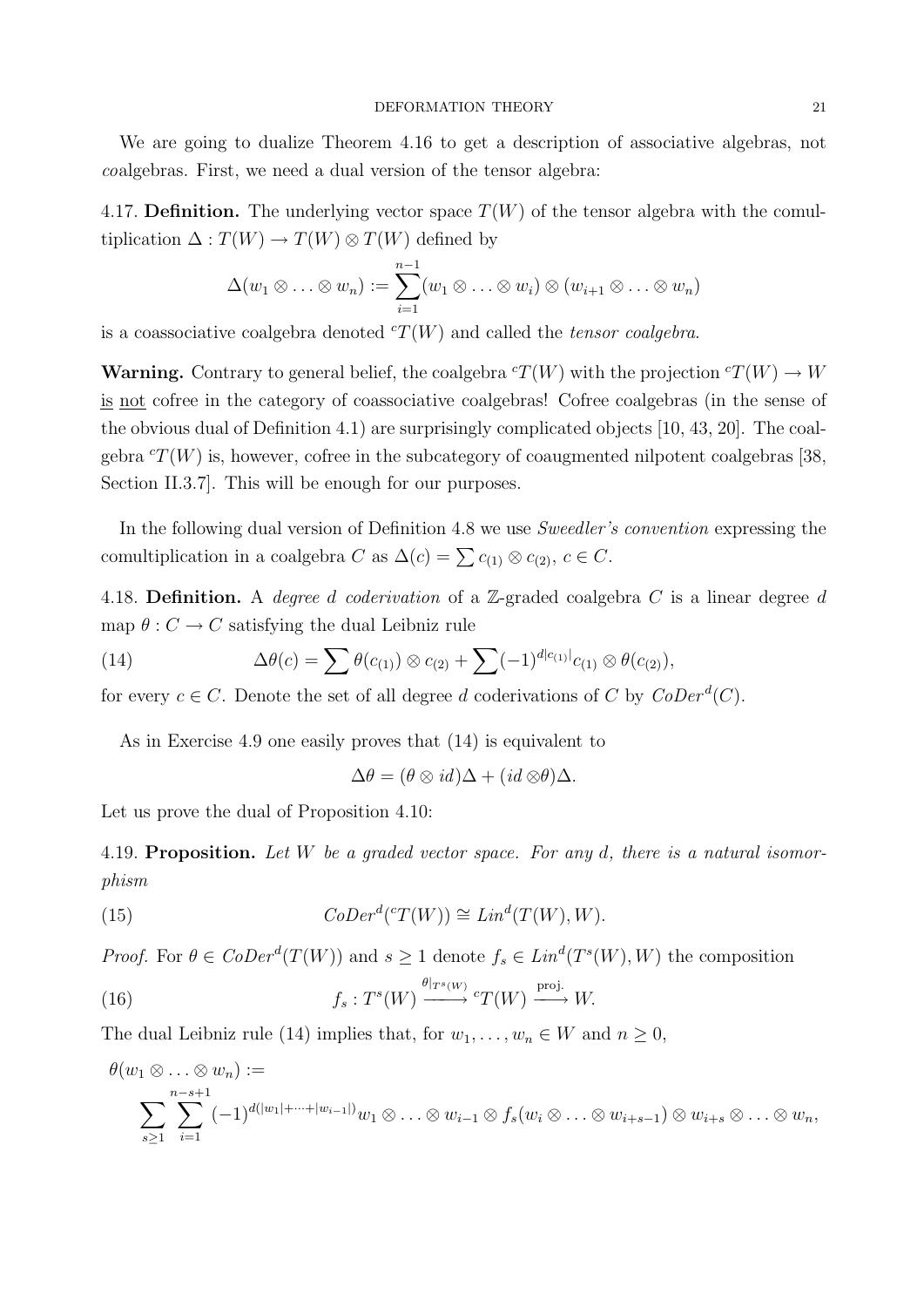We are going to dualize Theorem 4.16 to get a description of associative algebras, not coalgebras. First, we need a dual version of the tensor algebra:

4.17. Definition. The underlying vector space  $T(W)$  of the tensor algebra with the comultiplication  $\Delta: T(W) \to T(W) \otimes T(W)$  defined by

$$
\Delta(w_1 \otimes \ldots \otimes w_n) := \sum_{i=1}^{n-1} (w_1 \otimes \ldots \otimes w_i) \otimes (w_{i+1} \otimes \ldots \otimes w_n)
$$

is a coassociative coalgebra denoted  ${}^{c}T(W)$  and called the tensor coalgebra.

**Warning.** Contrary to general belief, the coalgebra  ${}^cT(W)$  with the projection  ${}^cT(W) \to W$ is not cofree in the category of coassociative coalgebras! Cofree coalgebras (in the sense of the obvious dual of Definition 4.1) are surprisingly complicated objects [10, 43, 20]. The coalgebra  ${}^{c}T(W)$  is, however, cofree in the subcategory of coaugmented nilpotent coalgebras [38, Section II.3.7]. This will be enough for our purposes.

In the following dual version of Definition 4.8 we use *Sweedler's convention* expressing the comultiplication in a coalgebra C as  $\Delta(c) = \sum c_{(1)} \otimes c_{(2)}$ ,  $c \in C$ .

4.18. Definition. A *degree d coderivation* of a  $\mathbb{Z}$ -graded coalgebra C is a linear degree d map  $\theta: C \to C$  satisfying the dual Leibniz rule

(14) 
$$
\Delta \theta(c) = \sum \theta(c_{(1)}) \otimes c_{(2)} + \sum (-1)^{d|c_{(1)}|} c_{(1)} \otimes \theta(c_{(2)}),
$$

for every  $c \in C$ . Denote the set of all degree d coderivations of C by  $CoDer^d(C)$ .

As in Exercise 4.9 one easily proves that (14) is equivalent to

 $\Delta\theta = (\theta \otimes id)\Delta + (id \otimes \theta)\Delta.$ 

Let us prove the dual of Proposition 4.10:

4.19. Proposition. Let W be a graded vector space. For any d, there is a natural isomorphism

(15) 
$$
CoDer^{d}(^{c}T(W)) \cong Lin^{d}(T(W), W).
$$

*Proof.* For  $\theta \in \mathit{CoDer}^d(T(W))$  and  $s \geq 1$  denote  $f_s \in \mathit{Lin}^d(T^s(W), W)$  the composition

(16) 
$$
f_s: T^s(W) \xrightarrow{\theta|_{T^s(W)}} {^c}T(W) \xrightarrow{\text{proj.}} W.
$$

The dual Leibniz rule (14) implies that, for  $w_1, \ldots, w_n \in W$  and  $n \geq 0$ ,

$$
\theta(w_1 \otimes \ldots \otimes w_n) :=
$$
  

$$
\sum_{s \geq 1} \sum_{i=1}^{n-s+1} (-1)^{d(|w_1|+\cdots+|w_{i-1}|)} w_1 \otimes \ldots \otimes w_{i-1} \otimes f_s(w_i \otimes \ldots \otimes w_{i+s-1}) \otimes w_{i+s} \otimes \ldots \otimes w_n,
$$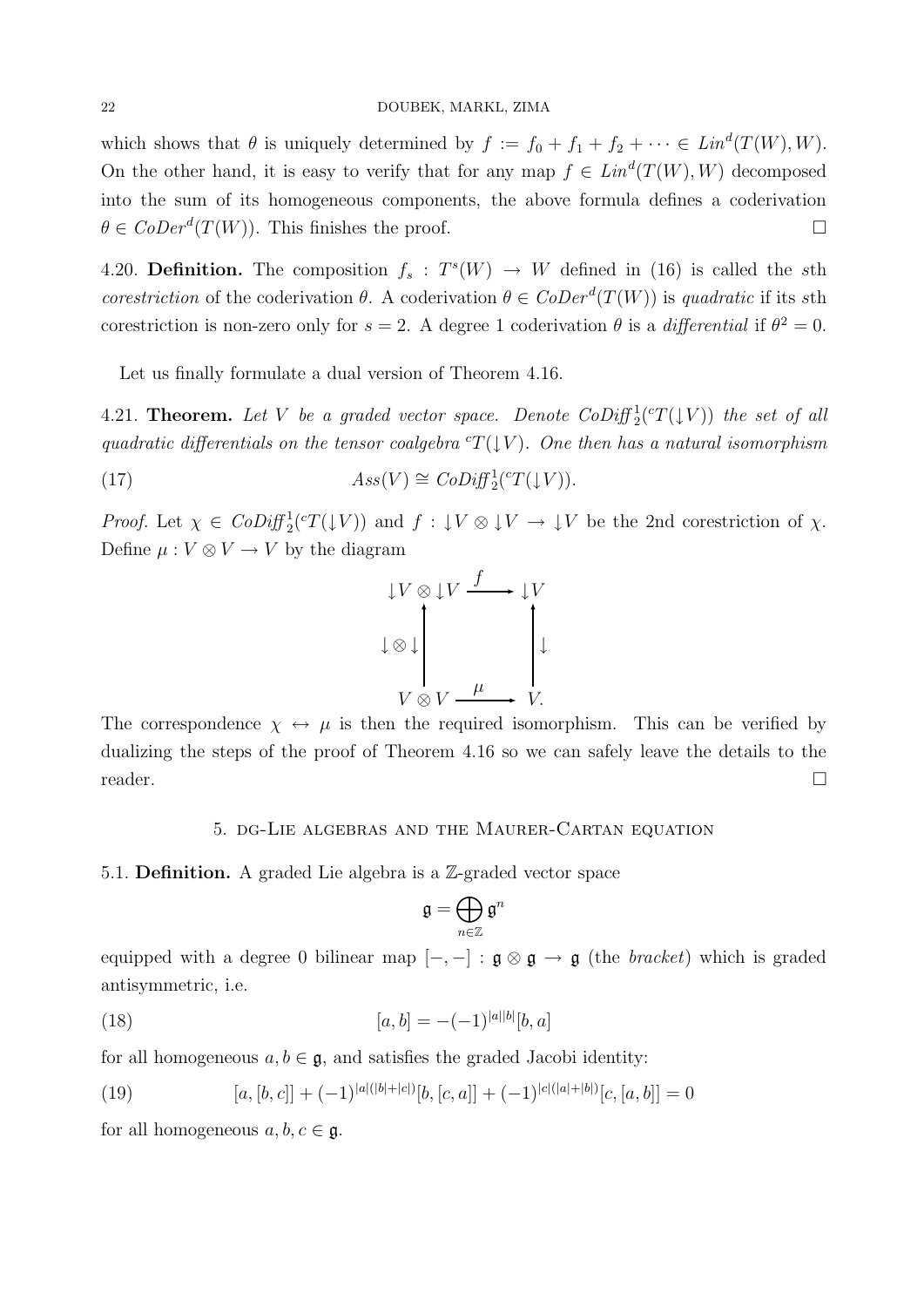#### 22 DOUBEK, MARKL, ZIMA

which shows that  $\theta$  is uniquely determined by  $f := f_0 + f_1 + f_2 + \cdots \in Lin^d(T(W), W)$ . On the other hand, it is easy to verify that for any map  $f \in Lin^d(T(W), W)$  decomposed into the sum of its homogeneous components, the above formula defines a coderivation  $\theta \in \mathit{CoDer}^d(T(W))$ . This finishes the proof.

4.20. **Definition.** The composition  $f_s$ :  $T^s(W) \rightarrow W$  defined in (16) is called the sth corestriction of the coderivation  $\theta$ . A coderivation  $\theta \in CoDer^d(T(W))$  is quadratic if its sth corestriction is non-zero only for  $s = 2$ . A degree 1 coderivation  $\theta$  is a *differential* if  $\theta^2 = 0$ .

Let us finally formulate a dual version of Theorem 4.16.

4.21. **Theorem.** Let V be a graded vector space. Denote  $\text{CoDiff}_2^1(\mathcal{C}(\mathcal{V}))$  the set of all quadratic differentials on the tensor coalgebra  ${}^{c}T(\downarrow V)$ . One then has a natural isomorphism

(17) 
$$
Ass(V) \cong Cobif_2^1({}^\circ T(\downarrow V)).
$$

*Proof.* Let  $\chi \in \text{CoDiff}_2^1(\mathcal{C}T(\downarrow V))$  and  $f: \downarrow V \otimes \downarrow V \to \downarrow V$  be the 2nd corestriction of  $\chi$ . Define  $\mu: V \otimes V \to V$  by the diagram



The correspondence  $\chi \leftrightarrow \mu$  is then the required isomorphism. This can be verified by dualizing the steps of the proof of Theorem 4.16 so we can safely leave the details to the reader.

#### 5. dg-Lie algebras and the Maurer-Cartan equation

5.1. Definition. A graded Lie algebra is a Z-graded vector space

$$
\mathfrak{g}=\bigoplus_{n\in\mathbb{Z}}\mathfrak{g}^n
$$

equipped with a degree 0 bilinear map  $[-,-] : \mathfrak{g} \otimes \mathfrak{g} \to \mathfrak{g}$  (the bracket) which is graded antisymmetric, i.e.

(18) 
$$
[a,b] = -(-1)^{|a||b|}[b,a]
$$

for all homogeneous  $a, b \in \mathfrak{g}$ , and satisfies the graded Jacobi identity:

(19) 
$$
[a,[b,c]] + (-1)^{|a|(|b|+|c|)}[b,[c,a]] + (-1)^{|c|(|a|+|b|)}[c,[a,b]] = 0
$$

for all homogeneous  $a, b, c \in \mathfrak{g}$ .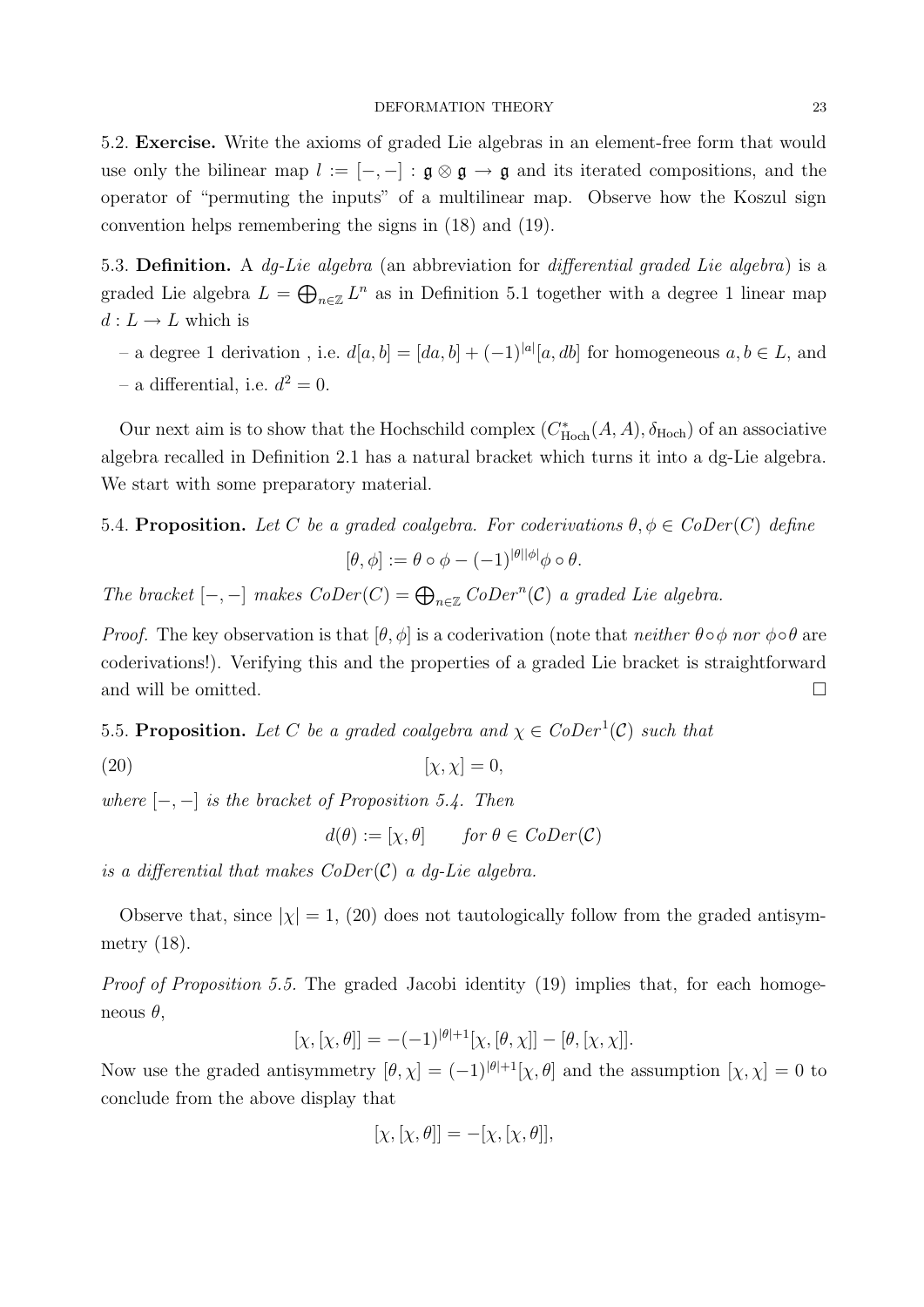#### DEFORMATION THEORY 23

5.2. Exercise. Write the axioms of graded Lie algebras in an element-free form that would use only the bilinear map  $l := [-,-] : \mathfrak{g} \otimes \mathfrak{g} \to \mathfrak{g}$  and its iterated compositions, and the operator of "permuting the inputs" of a multilinear map. Observe how the Koszul sign convention helps remembering the signs in (18) and (19).

5.3. Definition. A dg-Lie algebra (an abbreviation for differential graded Lie algebra) is a graded Lie algebra  $L = \bigoplus_{n \in \mathbb{Z}} L^n$  as in Definition 5.1 together with a degree 1 linear map  $d: L \to L$  which is

– a degree 1 derivation, i.e.  $d[a, b] = [da, b] + (-1)^{|a|}[a, db]$  for homogeneous  $a, b \in L$ , and

- a differential, i.e.  $d^2 = 0$ .

Our next aim is to show that the Hochschild complex  $(C_{Hoch}^*(A, A), \delta_{Hoch})$  of an associative algebra recalled in Definition 2.1 has a natural bracket which turns it into a dg-Lie algebra. We start with some preparatory material.

5.4. Proposition. Let C be a graded coalgebra. For coderivations  $\theta, \phi \in C_0Der(C)$  define

$$
[\theta,\phi] := \theta \circ \phi - (-1)^{|\theta||\phi|} \phi \circ \theta.
$$

The bracket  $[-,-]$  makes  $CoDer(C) = \bigoplus_{n \in \mathbb{Z}} CoDer^n(C)$  a graded Lie algebra.

*Proof.* The key observation is that  $[\theta, \phi]$  is a coderivation (note that neither  $\theta \circ \phi$  nor  $\phi \circ \theta$  are coderivations!). Verifying this and the properties of a graded Lie bracket is straightforward and will be omitted.  $\hfill \square$ 

5.5. **Proposition.** Let C be a graded coalgebra and  $\chi \in CoDer^1(\mathcal{C})$  such that

$$
[\chi, \chi] = 0,
$$

where  $[-,-]$  is the bracket of Proposition 5.4. Then

$$
d(\theta) := [\chi, \theta] \quad \text{for } \theta \in \text{CoDer}(\mathcal{C})
$$

is a differential that makes  $CoDer(\mathcal{C})$  a dq-Lie algebra.

Observe that, since  $|\chi| = 1$ , (20) does not tautologically follow from the graded antisymmetry (18).

Proof of Proposition 5.5. The graded Jacobi identity (19) implies that, for each homogeneous  $\theta$ ,

$$
[\chi, [\chi, \theta]] = -(-1)^{|\theta|+1} [\chi, [\theta, \chi]] - [\theta, [\chi, \chi]].
$$

Now use the graded antisymmetry  $[\theta, \chi] = (-1)^{|\theta|+1}[\chi, \theta]$  and the assumption  $[\chi, \chi] = 0$  to conclude from the above display that

$$
[\chi, [\chi, \theta]] = -[\chi, [\chi, \theta]],
$$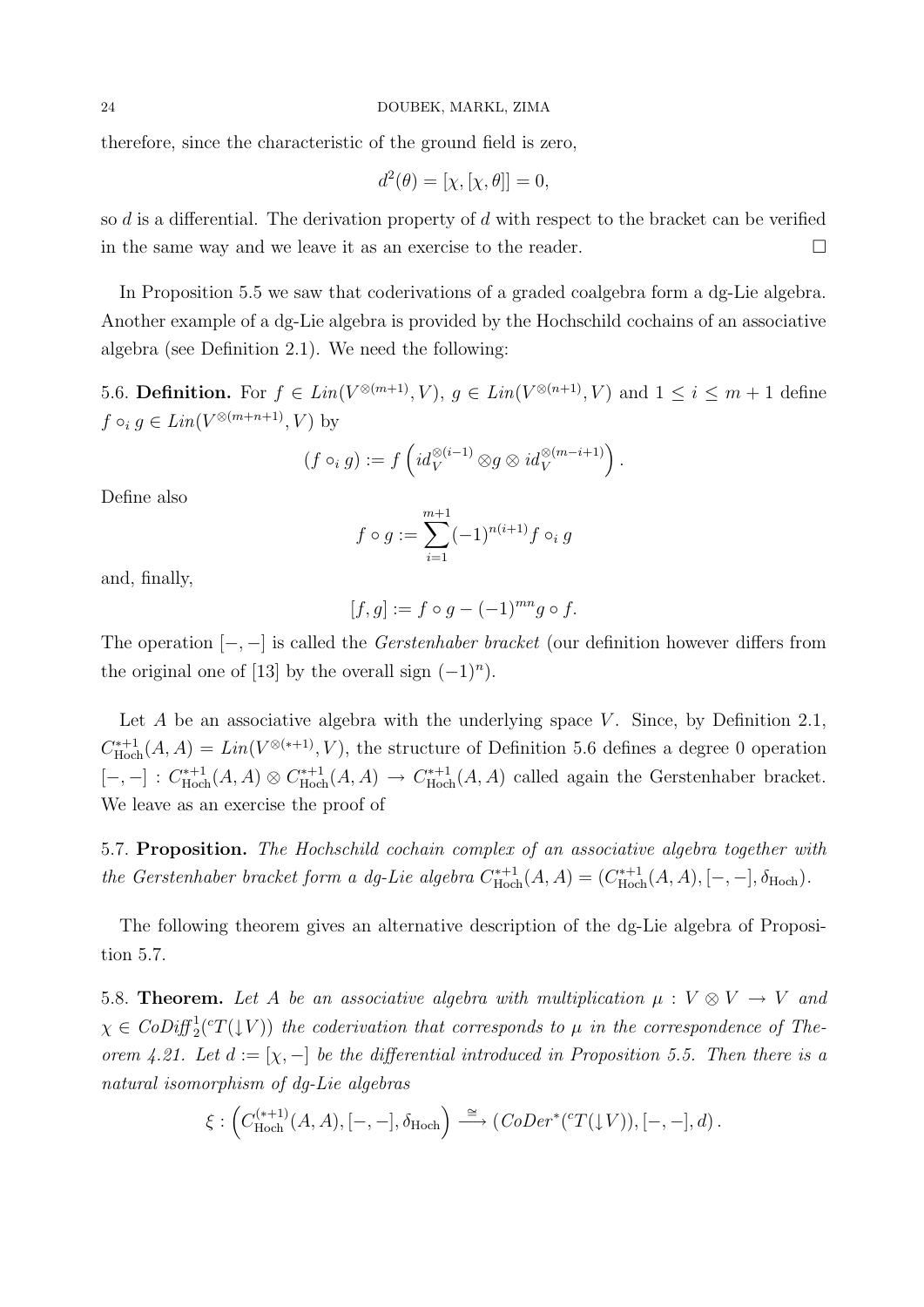therefore, since the characteristic of the ground field is zero,

$$
d^2(\theta) = [\chi, [\chi, \theta]] = 0,
$$

so d is a differential. The derivation property of d with respect to the bracket can be verified in the same way and we leave it as an exercise to the reader.

In Proposition 5.5 we saw that coderivations of a graded coalgebra form a dg-Lie algebra. Another example of a dg-Lie algebra is provided by the Hochschild cochains of an associative algebra (see Definition 2.1). We need the following:

5.6. **Definition.** For  $f \in Lin(V^{\otimes(m+1)}, V)$ ,  $g \in Lin(V^{\otimes(n+1)}, V)$  and  $1 \leq i \leq m+1$  define  $f \circ_i g \in Lin(V^{\otimes(m+n+1)}, V)$  by

$$
(f \circ_i g) := f \left( id_V^{\otimes (i-1)} \otimes g \otimes id_V^{\otimes (m-i+1)} \right).
$$

Define also

$$
f \circ g := \sum_{i=1}^{m+1} (-1)^{n(i+1)} f \circ_i g
$$

and, finally,

$$
[f,g] := f \circ g - (-1)^{mn} g \circ f.
$$

The operation  $[-,-]$  is called the *Gerstenhaber bracket* (our definition however differs from the original one of [13] by the overall sign  $(-1)^n$ ).

Let  $A$  be an associative algebra with the underlying space  $V$ . Since, by Definition 2.1,  $C^{*+1}_{\rm Hoch}$  $H_{\text{Hoch}}^{*+1}(A, A) = Lin(V^{\otimes (*+1)}, V)$ , the structure of Definition 5.6 defines a degree 0 operation  $[-,-]: C^{*+1}_{\text{Hocl}}$  $\chi^{n+1}_{\text{Hoch}}(A, A) \otimes C_{\text{Hoch}}^{n+1}$  $\chi^{n+1}_{\text{Hoch}}(A, A) \rightarrow C_{\text{Hoch}}^{n+1}$  $H_{\text{Hoch}}^{*+1}(A, A)$  called again the Gerstenhaber bracket. We leave as an exercise the proof of

5.7. Proposition. The Hochschild cochain complex of an associative algebra together with the Gerstenhaber bracket form a dg-Lie algebra  $C_{Hoc}^{*+1}$  $H_{\text{Hoch}}^{(n+1)}(A, A) = (C_{\text{Hoch}}^{n+1})$  $H_{\rm Hoch}^{*+1}(A, A), [-,-], \delta_{\rm Hoch}).$ 

The following theorem gives an alternative description of the dg-Lie algebra of Proposition 5.7.

5.8. **Theorem.** Let A be an associative algebra with multiplication  $\mu : V \otimes V \rightarrow V$  and  $\chi \in \text{CoDiff}_2^1({}^cT(\downarrow V))$  the coderivation that corresponds to  $\mu$  in the correspondence of Theorem 4.21. Let  $d := [\chi, -]$  be the differential introduced in Proposition 5.5. Then there is a natural isomorphism of dg-Lie algebras

$$
\xi: \left(C_{\text{Hoch}}^{(*+1)}(A, A), [-,-], \delta_{\text{Hoch}}\right) \stackrel{\cong}{\longrightarrow} \left(CoDer^*(^cT(\downarrow V)), [-,-], d\right).
$$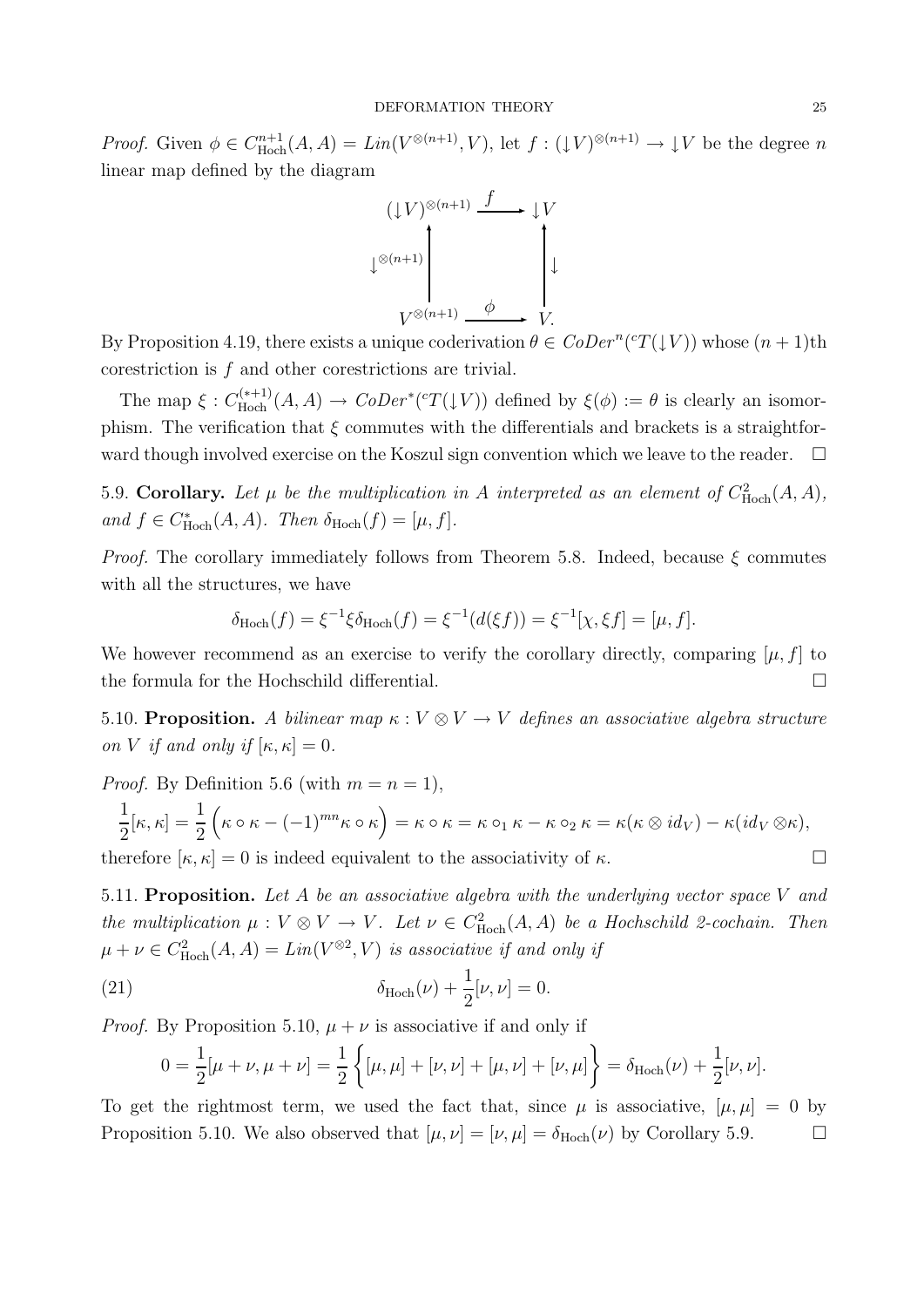*Proof.* Given  $\phi \in C_{\text{Hoch}}^{n+1}$  $H_{\text{Hoch}}^{n+1}(A, A) = Lin(V^{\otimes (n+1)}, V)$ , let  $f: (\downarrow V)^{\otimes (n+1)} \to \downarrow V$  be the degree n linear map defined by the diagram

$$
(\downarrow V)^{\otimes (n+1)} \xrightarrow{f} \downarrow V
$$
  

$$
\downarrow^{\otimes (n+1)} \qquad \downarrow^{\otimes (n+1)} \qquad \downarrow^{\otimes (n+1)} \qquad \downarrow^{\otimes (n+1)} \qquad \downarrow^{\otimes (n+1)} \qquad \downarrow^{\otimes (n+1)} \qquad \downarrow^{\otimes (n+1)} \qquad \downarrow^{\otimes (n+1)} \qquad \downarrow^{\otimes (n+1)} \qquad \downarrow^{\otimes (n+1)} \qquad \downarrow^{\otimes (n+1)} \qquad \downarrow^{\otimes (n+1)} \qquad \downarrow^{\otimes (n+1)} \qquad \downarrow^{\otimes (n+1)} \qquad \downarrow^{\otimes (n+1)} \qquad \downarrow^{\otimes (n+1)} \qquad \downarrow^{\otimes (n+1)} \qquad \downarrow^{\otimes (n+1)} \qquad \downarrow^{\otimes (n+1)} \qquad \downarrow^{\otimes (n+1)} \qquad \downarrow^{\otimes (n+1)} \qquad \downarrow^{\otimes (n+1)} \qquad \downarrow^{\otimes (n+1)} \qquad \downarrow^{\otimes (n+1)} \qquad \downarrow^{\otimes (n+1)} \qquad \downarrow^{\otimes (n+1)} \qquad \downarrow^{\otimes (n+1)} \qquad \downarrow^{\otimes (n+1)} \qquad \downarrow^{\otimes (n+1)} \qquad \downarrow^{\otimes (n+1)} \qquad \downarrow^{\otimes (n+1)} \qquad \downarrow^{\otimes (n+1)} \qquad \downarrow^{\otimes (n+1)} \qquad \downarrow^{\otimes (n+1)} \qquad \downarrow^{\otimes (n+1)} \qquad \downarrow^{\otimes (n+1)} \qquad \downarrow^{\otimes (n+1)} \qquad \downarrow^{\otimes (n+1)} \qquad \downarrow^{\otimes (n+1)} \qquad \downarrow^{\otimes (n+1)} \qquad \downarrow^{\otimes (n+1)} \qquad \downarrow^{\otimes (n+1)} \qquad \downarrow^{\otimes (n+1)} \qquad \downarrow^{\otimes (n+1)} \qquad \downarrow^{\otimes (n+1)} \qquad \downarrow^{\otimes (n+1)} \qquad \downarrow^{\otimes (n+1)} \qquad \downarrow^{\otimes (n+1)} \qquad \downarrow^{\otimes
$$

By Proposition 4.19, there exists a unique coderivation  $\theta \in \mathit{CoDer}^n(\mathit{cT}(\downarrow V))$  whose  $(n+1)$ th corestriction is f and other corestrictions are trivial.

The map  $\xi: C_{\text{Hoch}}^{(*+1)}$  $\chi^{(*+1)}_{\text{Hoch}}(A, A) \to \text{CoDer}^*(^cT(\downarrow V))$  defined by  $\xi(\phi) := \theta$  is clearly an isomorphism. The verification that  $\xi$  commutes with the differentials and brackets is a straightforward though involved exercise on the Koszul sign convention which we leave to the reader.  $\Box$ 

5.9. Corollary. Let  $\mu$  be the multiplication in A interpreted as an element of  $C_{\text{Hoch}}^2(A, A)$ , and  $f \in C^*_{\text{Hoch}}(A, A)$ . Then  $\delta_{\text{Hoch}}(f) = [\mu, f]$ .

*Proof.* The corollary immediately follows from Theorem 5.8. Indeed, because  $\xi$  commutes with all the structures, we have

$$
\delta_{\text{Hoch}}(f) = \xi^{-1} \xi \delta_{\text{Hoch}}(f) = \xi^{-1}(d(\xi f)) = \xi^{-1}[\chi, \xi f] = [\mu, f].
$$

We however recommend as an exercise to verify the corollary directly, comparing  $[\mu, f]$  to the formula for the Hochschild differential.

5.10. Proposition. A bilinear map  $\kappa : V \otimes V \to V$  defines an associative algebra structure on V if and only if  $[\kappa, \kappa] = 0$ .

*Proof.* By Definition 5.6 (with  $m = n = 1$ ),

$$
\frac{1}{2}[\kappa, \kappa] = \frac{1}{2} \left( \kappa \circ \kappa - (-1)^{mn} \kappa \circ \kappa \right) = \kappa \circ \kappa = \kappa \circ_1 \kappa - \kappa \circ_2 \kappa = \kappa (\kappa \otimes id_V) - \kappa (id_V \otimes \kappa),
$$

therefore  $[\kappa, \kappa] = 0$  is indeed equivalent to the associativity of  $\kappa$ .

5.11. Proposition. Let  $A$  be an associative algebra with the underlying vector space  $V$  and the multiplication  $\mu: V \otimes V \to V$ . Let  $\nu \in C^2_{\text{Hoch}}(A, A)$  be a Hochschild 2-cochain. Then  $\mu + \nu \in C^2_{\text{Hoch}}(A, A) = Lin(V^{\otimes 2}, V)$  is associative if and only if

(21) 
$$
\delta_{\text{Hoch}}(\nu) + \frac{1}{2}[\nu, \nu] = 0.
$$

*Proof.* By Proposition 5.10,  $\mu + \nu$  is associative if and only if

$$
0 = \frac{1}{2}[\mu + \nu, \mu + \nu] = \frac{1}{2} \left\{ [\mu, \mu] + [\nu, \nu] + [\mu, \nu] + [\nu, \mu] \right\} = \delta_{\text{Hoch}}(\nu) + \frac{1}{2}[\nu, \nu].
$$

To get the rightmost term, we used the fact that, since  $\mu$  is associative,  $[\mu, \mu] = 0$  by Proposition 5.10. We also observed that  $[\mu, \nu] = [\nu, \mu] = \delta_{\text{Hoch}}(\nu)$  by Corollary 5.9.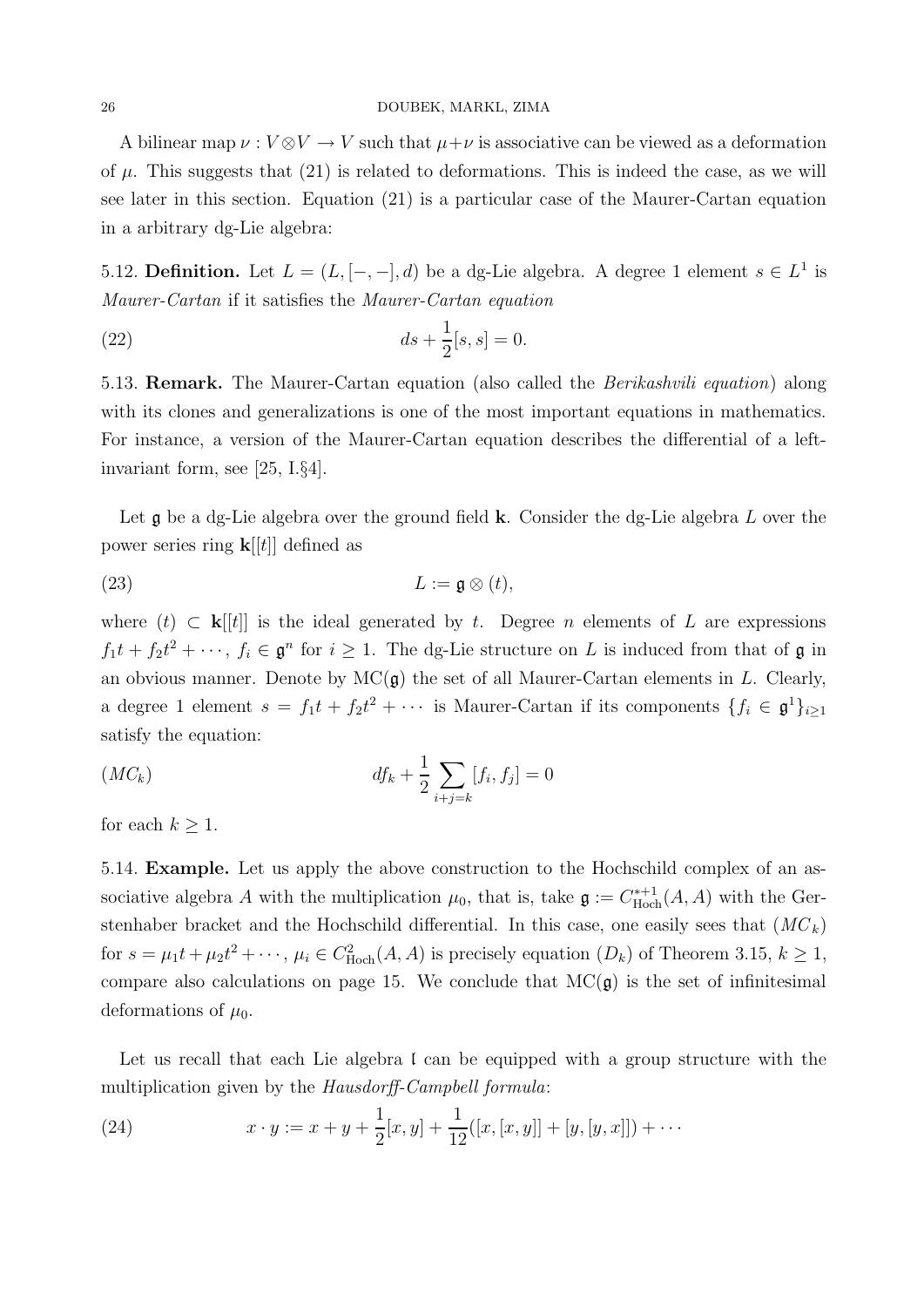A bilinear map  $\nu : V \otimes V \to V$  such that  $\mu + \nu$  is associative can be viewed as a deformation of  $\mu$ . This suggests that (21) is related to deformations. This is indeed the case, as we will see later in this section. Equation (21) is a particular case of the Maurer-Cartan equation in a arbitrary dg-Lie algebra:

5.12. **Definition.** Let  $L = (L, [-, -], d)$  be a dg-Lie algebra. A degree 1 element  $s \in L<sup>1</sup>$  is Maurer-Cartan if it satisfies the Maurer-Cartan equation

(22) 
$$
ds + \frac{1}{2}[s, s] = 0.
$$

5.13. **Remark.** The Maurer-Cartan equation (also called the *Berikashvili equation*) along with its clones and generalizations is one of the most important equations in mathematics. For instance, a version of the Maurer-Cartan equation describes the differential of a leftinvariant form, see [25, I.§4].

Let  $\mathfrak g$  be a dg-Lie algebra over the ground field **k**. Consider the dg-Lie algebra  $L$  over the power series ring  $\mathbf{k}[[t]]$  defined as

(23) 
$$
L := \mathfrak{g} \otimes (t),
$$

where  $(t) \subset \mathbf{k}[[t]]$  is the ideal generated by t. Degree n elements of L are expressions  $f_1t + f_2t^2 + \cdots$ ,  $f_i \in \mathfrak{g}^n$  for  $i \geq 1$ . The dg-Lie structure on L is induced from that of  $\mathfrak{g}$  in an obvious manner. Denote by  $MC(\mathfrak{g})$  the set of all Maurer-Cartan elements in L. Clearly, a degree 1 element  $s = f_1 t + f_2 t^2 + \cdots$  is Maurer-Cartan if its components  $\{f_i \in \mathfrak{g}^1\}_{i \geq 1}$ satisfy the equation:

$$
(MC_k) \t df_k + \frac{1}{2} \sum_{i+j=k} [f_i, f_j] = 0
$$

for each  $k \geq 1$ .

5.14. Example. Let us apply the above construction to the Hochschild complex of an associative algebra A with the multiplication  $\mu_0$ , that is, take  $\mathfrak{g} := C_{\text{Hoc}}^{*+1}$  $H_{\text{Hoch}}^{*+1}(A, A)$  with the Gerstenhaber bracket and the Hochschild differential. In this case, one easily sees that  $(MC_k)$ for  $s = \mu_1 t + \mu_2 t^2 + \cdots$ ,  $\mu_i \in C^2_{\text{Hoch}}(A, A)$  is precisely equation  $(D_k)$  of Theorem 3.15,  $k \ge 1$ , compare also calculations on page 15. We conclude that  $MC(\mathfrak{g})$  is the set of infinitesimal deformations of  $\mu_0$ .

Let us recall that each Lie algebra  $\mathfrak l$  can be equipped with a group structure with the multiplication given by the Hausdorff-Campbell formula:

(24) 
$$
x \cdot y := x + y + \frac{1}{2}[x, y] + \frac{1}{12}([x, [x, y]] + [y, [y, x]]) + \cdots
$$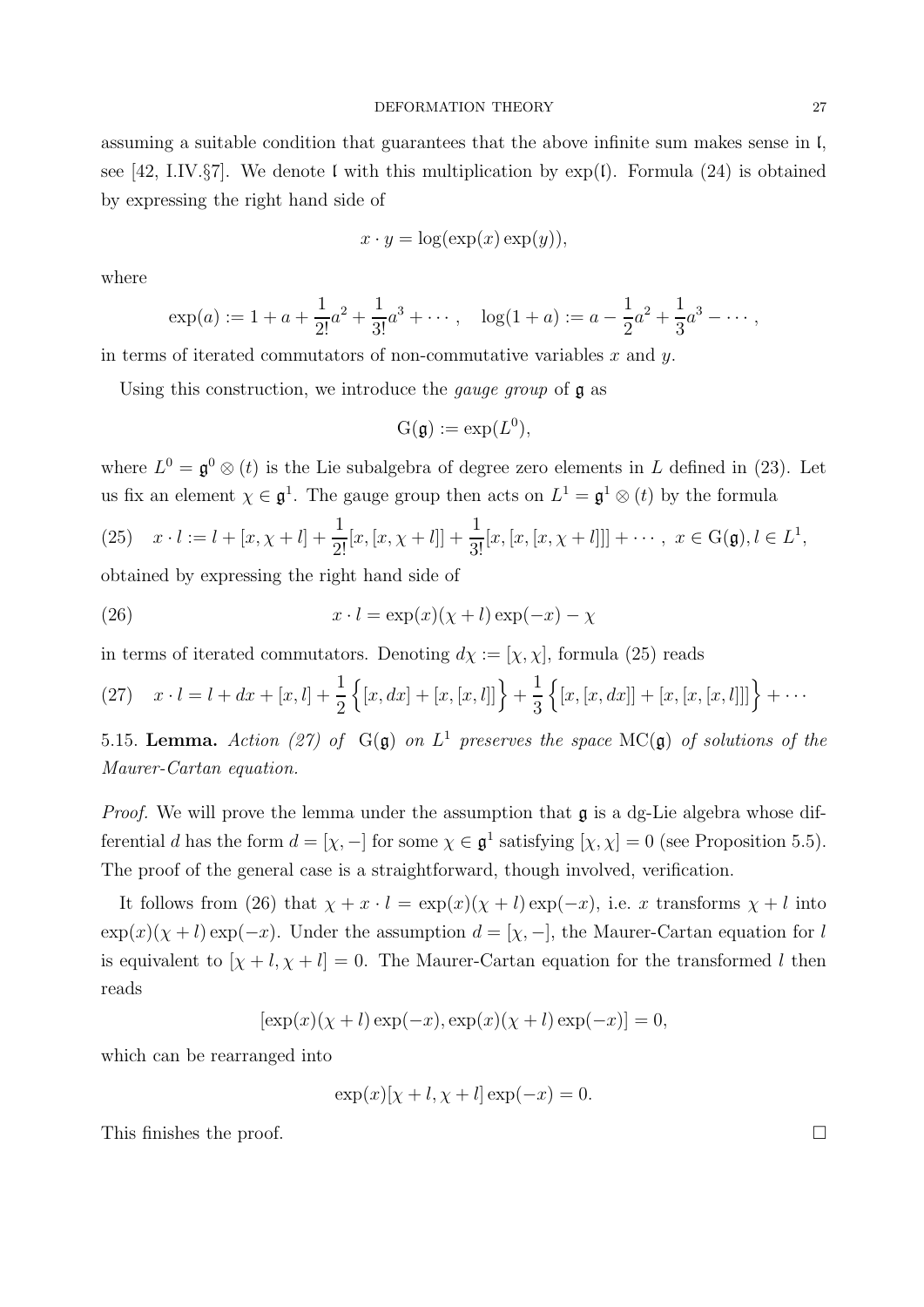assuming a suitable condition that guarantees that the above infinite sum makes sense in l, see [42, I.IV. $\S7$ ]. We denote l with this multiplication by  $\exp(l)$ . Formula (24) is obtained by expressing the right hand side of

$$
x \cdot y = \log(\exp(x) \exp(y)),
$$

where

$$
\exp(a) := 1 + a + \frac{1}{2!}a^2 + \frac{1}{3!}a^3 + \cdots, \quad \log(1 + a) := a - \frac{1}{2}a^2 + \frac{1}{3}a^3 - \cdots,
$$

in terms of iterated commutators of non-commutative variables  $x$  and  $y$ .

Using this construction, we introduce the *gauge group* of **g** as

$$
\mathrm{G}(\mathfrak{g}) := \exp(L^0),
$$

where  $L^0 = \mathfrak{g}^0 \otimes (t)$  is the Lie subalgebra of degree zero elements in L defined in (23). Let us fix an element  $\chi \in \mathfrak{g}^1$ . The gauge group then acts on  $L^1 = \mathfrak{g}^1 \otimes (t)$  by the formula

(25) 
$$
x \cdot l := l + [x, \chi + l] + \frac{1}{2!}[x, [x, \chi + l]] + \frac{1}{3!}[x, [x, [\chi + l]]] + \cdots, \ x \in G(\mathfrak{g}), l \in L^1,
$$

obtained by expressing the right hand side of

(26) 
$$
x \cdot l = \exp(x)(\chi + l) \exp(-x) - \chi
$$

in terms of iterated commutators. Denoting  $d\chi := [\chi, \chi]$ , formula (25) reads

(27) 
$$
x \cdot l = l + dx + [x, l] + \frac{1}{2} \{ [x, dx] + [x, [x, l]] \} + \frac{1}{3} \{ [x, [x, dx]] + [x, [x, [x, l]]] \} + \cdots
$$

5.15. Lemma. Action (27) of  $G(\mathfrak{g})$  on  $L^1$  preserves the space MC( $\mathfrak{g}$ ) of solutions of the Maurer-Cartan equation.

*Proof.* We will prove the lemma under the assumption that  $\mathfrak{g}$  is a dg-Lie algebra whose differential d has the form  $d = [\chi, -]$  for some  $\chi \in \mathfrak{g}^1$  satisfying  $[\chi, \chi] = 0$  (see Proposition 5.5). The proof of the general case is a straightforward, though involved, verification.

It follows from (26) that  $\chi + x \cdot l = \exp(x)(\chi + l) \exp(-x)$ , i.e. x transforms  $\chi + l$  into  $\exp(x)(\chi + l) \exp(-x)$ . Under the assumption  $d = [\chi, -]$ , the Maurer-Cartan equation for l is equivalent to  $[\chi + l, \chi + l] = 0$ . The Maurer-Cartan equation for the transformed l then reads

$$
[\exp(x)(\chi + l) \exp(-x), \exp(x)(\chi + l) \exp(-x)] = 0,
$$

which can be rearranged into

$$
\exp(x)[\chi + l, \chi + l] \exp(-x) = 0.
$$

This finishes the proof.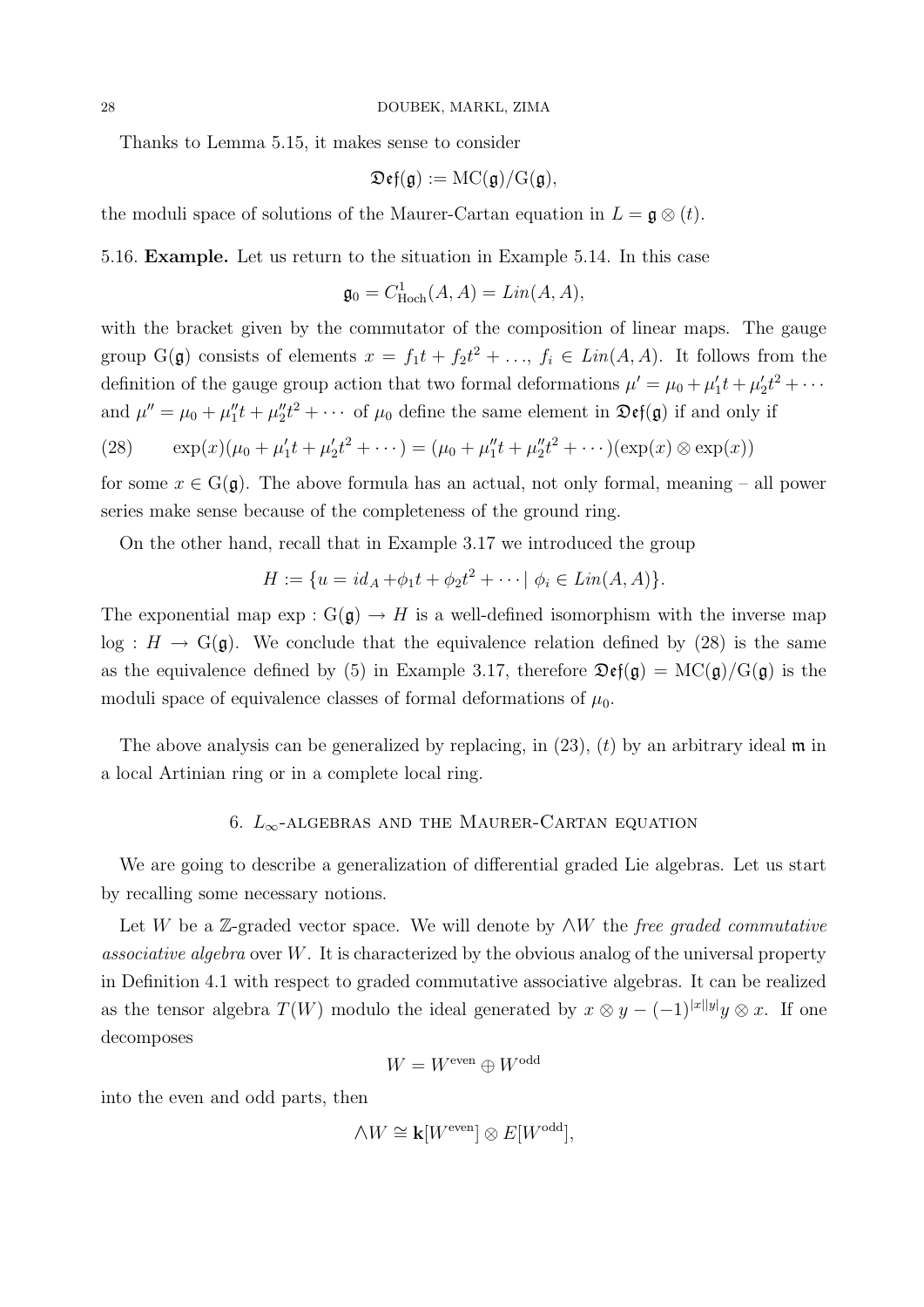Thanks to Lemma 5.15, it makes sense to consider

$$
\mathfrak{Def}(\mathfrak{g}) := \mathrm{MC}(\mathfrak{g})/\mathrm{G}(\mathfrak{g}),
$$

the moduli space of solutions of the Maurer-Cartan equation in  $L = \mathfrak{g} \otimes (t)$ .

5.16. Example. Let us return to the situation in Example 5.14. In this case

$$
\mathfrak{g}_0 = C^1_{\text{Hoch}}(A, A) = \text{Lin}(A, A),
$$

with the bracket given by the commutator of the composition of linear maps. The gauge group  $G(\mathfrak{g})$  consists of elements  $x = f_1 t + f_2 t^2 + \ldots, f_i \in Lin(A, A)$ . It follows from the definition of the gauge group action that two formal deformations  $\mu' = \mu_0 + \mu'_1 t + \mu'_2 t^2 + \cdots$ and  $\mu'' = \mu_0 + \mu_1'' t + \mu_2'' t^2 + \cdots$  of  $\mu_0$  define the same element in  $\mathfrak{Def}(\mathfrak{g})$  if and only if

(28) 
$$
\exp(x)(\mu_0 + \mu'_1 t + \mu'_2 t^2 + \cdots) = (\mu_0 + \mu''_1 t + \mu''_2 t^2 + \cdots)(\exp(x) \otimes \exp(x))
$$

for some  $x \in G(\mathfrak{g})$ . The above formula has an actual, not only formal, meaning – all power series make sense because of the completeness of the ground ring.

On the other hand, recall that in Example 3.17 we introduced the group

$$
H := \{ u = id_A + \phi_1 t + \phi_2 t^2 + \cdots \mid \phi_i \in Lin(A, A) \}.
$$

The exponential map  $\exp: G(\mathfrak{g}) \to H$  is a well-defined isomorphism with the inverse map  $log: H \to G(\mathfrak{g})$ . We conclude that the equivalence relation defined by (28) is the same as the equivalence defined by (5) in Example 3.17, therefore  $\mathfrak{Def}(\mathfrak{g}) = \mathrm{MC}(\mathfrak{g})/\mathrm{G}(\mathfrak{g})$  is the moduli space of equivalence classes of formal deformations of  $\mu_0$ .

The above analysis can be generalized by replacing, in  $(23)$ ,  $(t)$  by an arbitrary ideal  $\mathfrak{m}$  in a local Artinian ring or in a complete local ring.

### 6.  $L_{\infty}$  -ALGEBRAS AND THE MAURER-CARTAN EQUATION

We are going to describe a generalization of differential graded Lie algebras. Let us start by recalling some necessary notions.

Let W be a Z-graded vector space. We will denote by  $\wedge W$  the free graded commutative associative algebra over  $W$ . It is characterized by the obvious analog of the universal property in Definition 4.1 with respect to graded commutative associative algebras. It can be realized as the tensor algebra  $T(W)$  modulo the ideal generated by  $x \otimes y - (-1)^{|x||y|}y \otimes x$ . If one decomposes

$$
W = W^{\text{even}} \oplus W^{\text{odd}}
$$

into the even and odd parts, then

$$
\wedge W \cong \mathbf{k}[W^{\text{even}}] \otimes E[W^{\text{odd}}],
$$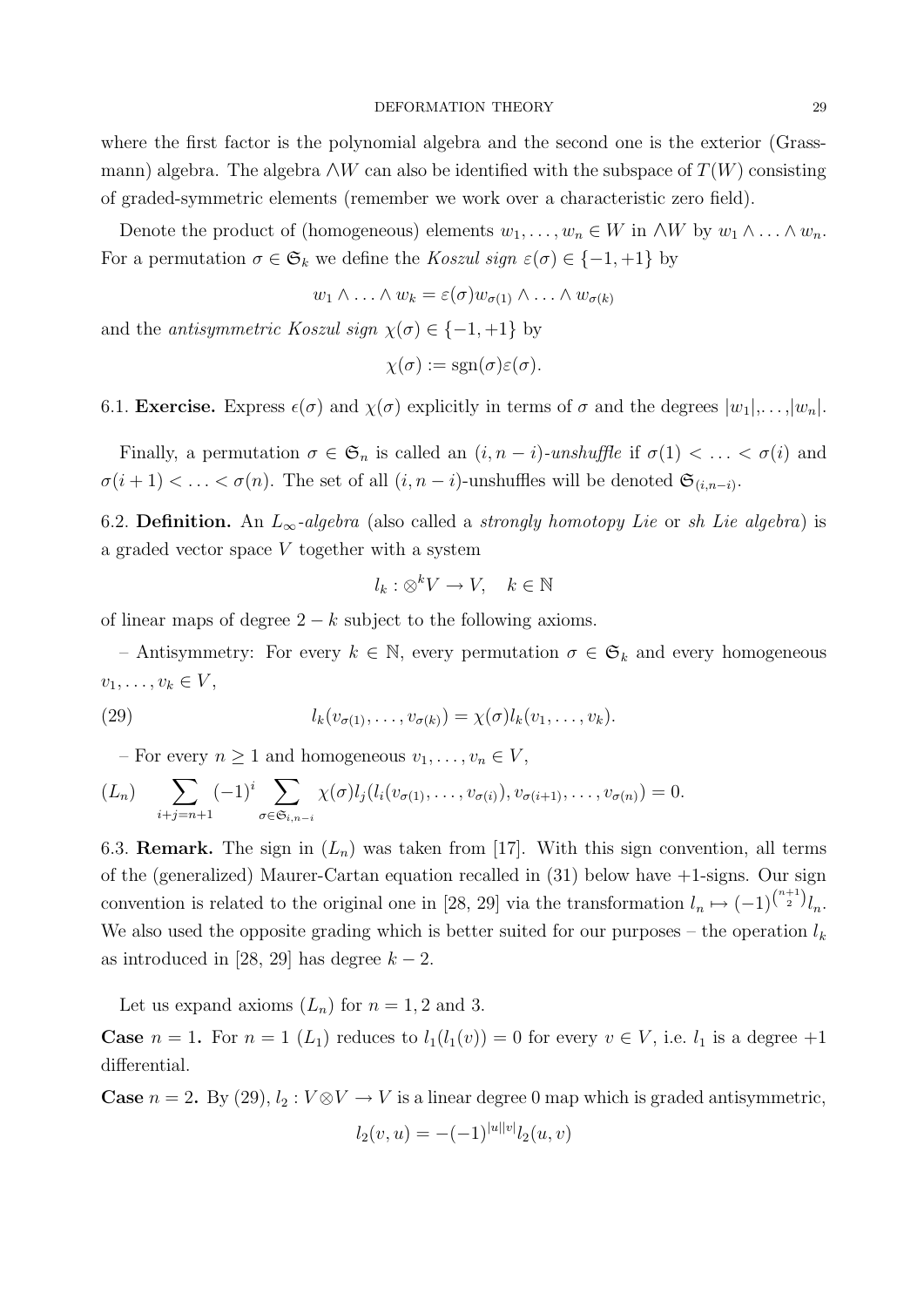where the first factor is the polynomial algebra and the second one is the exterior (Grassmann) algebra. The algebra  $\wedge W$  can also be identified with the subspace of  $T(W)$  consisting of graded-symmetric elements (remember we work over a characteristic zero field).

Denote the product of (homogeneous) elements  $w_1, \ldots, w_n \in W$  in  $\wedge W$  by  $w_1 \wedge \ldots \wedge w_n$ . For a permutation  $\sigma \in \mathfrak{S}_k$  we define the Koszul sign  $\varepsilon(\sigma) \in \{-1, +1\}$  by

$$
w_1 \wedge \ldots \wedge w_k = \varepsilon(\sigma) w_{\sigma(1)} \wedge \ldots \wedge w_{\sigma(k)}
$$

and the *antisymmetric Koszul sign*  $\chi(\sigma) \in \{-1, +1\}$  by

$$
\chi(\sigma) := \text{sgn}(\sigma) \varepsilon(\sigma).
$$

6.1. **Exercise.** Express  $\epsilon(\sigma)$  and  $\chi(\sigma)$  explicitly in terms of  $\sigma$  and the degrees  $|w_1|, \ldots, |w_n|$ .

Finally, a permutation  $\sigma \in \mathfrak{S}_n$  is called an  $(i, n - i)$ -unshuffle if  $\sigma(1) < \ldots < \sigma(i)$  and  $\sigma(i+1) < \ldots < \sigma(n)$ . The set of all  $(i, n-i)$ -unshuffles will be denoted  $\mathfrak{S}_{(i,n-i)}$ .

6.2. Definition. An  $L_{\infty}$ -algebra (also called a strongly homotopy Lie or sh Lie algebra) is a graded vector space V together with a system

$$
l_k : \otimes^k V \to V, \quad k \in \mathbb{N}
$$

of linear maps of degree  $2 - k$  subject to the following axioms.

– Antisymmetry: For every  $k \in \mathbb{N}$ , every permutation  $\sigma \in \mathfrak{S}_k$  and every homogeneous  $v_1, \ldots, v_k \in V$ ,

(29) 
$$
l_k(v_{\sigma(1)},\ldots,v_{\sigma(k)}) = \chi(\sigma)l_k(v_1,\ldots,v_k).
$$

– For every  $n \geq 1$  and homogeneous  $v_1, \ldots, v_n \in V$ ,

$$
(L_n) \sum_{i+j=n+1} (-1)^i \sum_{\sigma \in \mathfrak{S}_{i,n-i}} \chi(\sigma) l_j(l_i(v_{\sigma(1)},\ldots,v_{\sigma(i)}),v_{\sigma(i+1)},\ldots,v_{\sigma(n)}) = 0.
$$

6.3. **Remark.** The sign in  $(L_n)$  was taken from [17]. With this sign convention, all terms of the (generalized) Maurer-Cartan equation recalled in (31) below have +1-signs. Our sign convention is related to the original one in [28, 29] via the transformation  $l_n \mapsto (-1)^{\binom{n+1}{2}} l_n$ . We also used the opposite grading which is better suited for our purposes – the operation  $l_k$ as introduced in [28, 29] has degree  $k - 2$ .

Let us expand axioms  $(L_n)$  for  $n = 1, 2$  and 3.

**Case**  $n = 1$ . For  $n = 1$   $(L_1)$  reduces to  $l_1(l_1(v)) = 0$  for every  $v \in V$ , i.e.  $l_1$  is a degree  $+1$ differential.

**Case**  $n = 2$ . By (29),  $l_2 : V \otimes V \to V$  is a linear degree 0 map which is graded antisymmetric,

$$
l_2(v, u) = -(-1)^{|u||v|} l_2(u, v)
$$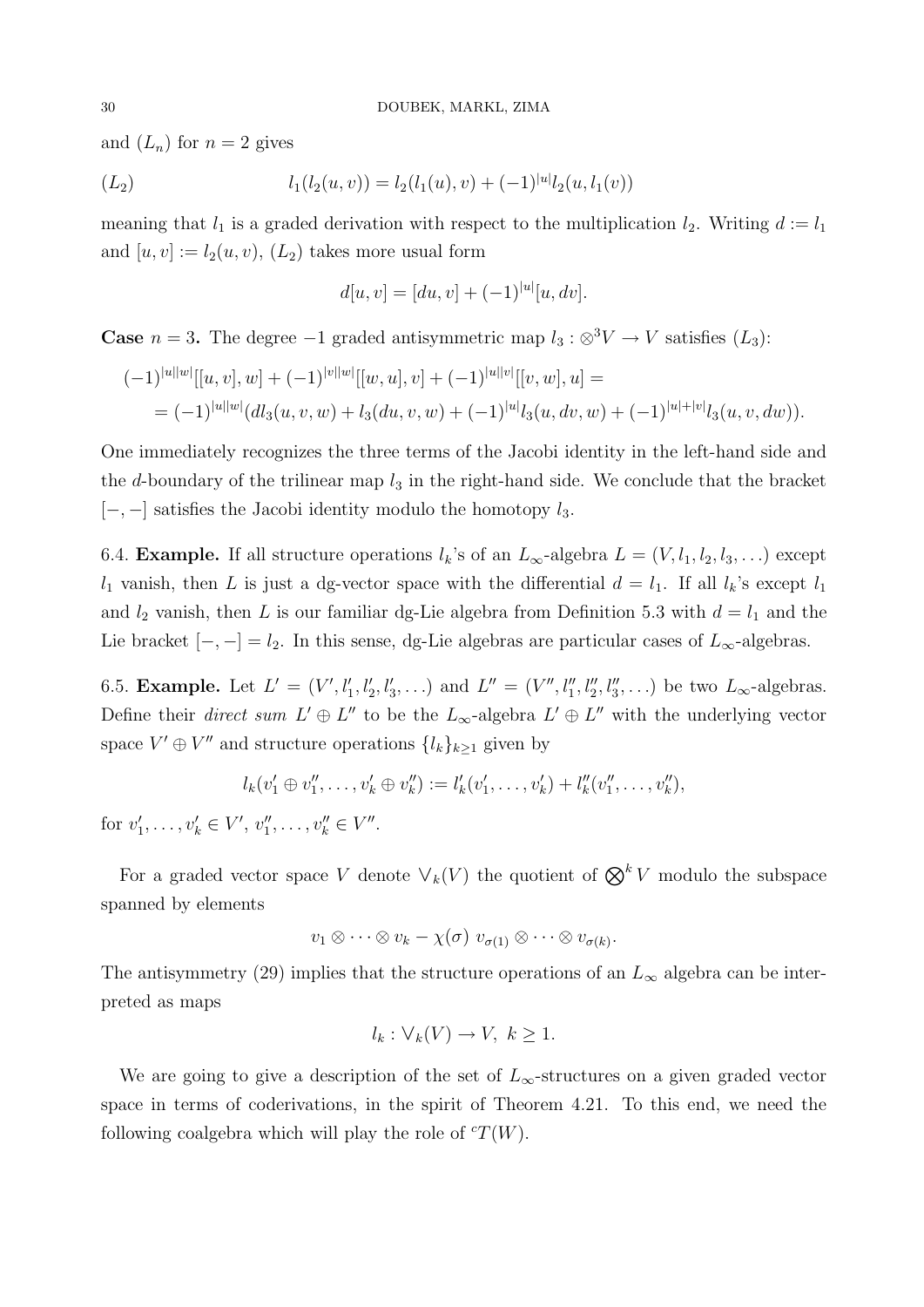and  $(L_n)$  for  $n = 2$  gives

$$
(L_2) \t l_1(l_2(u,v)) = l_2(l_1(u),v) + (-1)^{|u|}l_2(u,l_1(v))
$$

meaning that  $l_1$  is a graded derivation with respect to the multiplication  $l_2$ . Writing  $d := l_1$ and  $[u, v] := l_2(u, v), (L_2)$  takes more usual form

$$
d[u, v] = [du, v] + (-1)^{|u|} [u, dv].
$$

**Case**  $n = 3$ . The degree  $-1$  graded antisymmetric map  $l_3 : \otimes^3 V \to V$  satisfies  $(L_3)$ :

$$
\begin{aligned} (-1)^{|u||w|}[[u,v],w] + (-1)^{|v||w|}[[w,u],v] + (-1)^{|u||v|}[[v,w],u] &= \\ &= (-1)^{|u||w|} (dl_3(u,v,w) + l_3(du,v,w) + (-1)^{|u|} l_3(u,dv,w) + (-1)^{|u|+|v|} l_3(u,v,dw)). \end{aligned}
$$

One immediately recognizes the three terms of the Jacobi identity in the left-hand side and the d-boundary of the trilinear map  $l_3$  in the right-hand side. We conclude that the bracket  $[-,-]$  satisfies the Jacobi identity modulo the homotopy  $l_3$ .

6.4. **Example.** If all structure operations  $l_k$ 's of an  $L_\infty$ -algebra  $L = (V, l_1, l_2, l_3, \ldots)$  except  $l_1$  vanish, then L is just a dg-vector space with the differential  $d = l_1$ . If all  $l_k$ 's except  $l_1$ and  $l_2$  vanish, then L is our familiar dg-Lie algebra from Definition 5.3 with  $d = l_1$  and the Lie bracket  $[-, -] = l_2$ . In this sense, dg-Lie algebras are particular cases of  $L_{\infty}$ -algebras.

6.5. **Example.** Let  $L' = (V', l'_1, l'_2, l'_3, \ldots)$  and  $L'' = (V'', l''_1, l''_2, l''_3, \ldots)$  be two  $L_{\infty}$ -algebras. Define their *direct sum*  $L' \oplus L''$  to be the  $L_{\infty}$ -algebra  $L' \oplus L''$  with the underlying vector space  $V' \oplus V''$  and structure operations  $\{l_k\}_{k\geq 1}$  given by

$$
l_k(v'_1 \oplus v''_1, \ldots, v'_k \oplus v''_k) := l'_k(v'_1, \ldots, v'_k) + l''_k(v''_1, \ldots, v''_k),
$$

for  $v'_1, \ldots, v'_k \in V', v''_1, \ldots, v''_k \in V''.$ 

For a graded vector space V denote  $\vee_k(V)$  the quotient of  $\bigotimes^k V$  modulo the subspace spanned by elements

$$
v_1\otimes\cdots\otimes v_k-\chi(\sigma)\,\,v_{\sigma(1)}\otimes\cdots\otimes v_{\sigma(k)}.
$$

The antisymmetry (29) implies that the structure operations of an  $L_{\infty}$  algebra can be interpreted as maps

$$
l_k: \forall_k (V) \to V, \ k \ge 1.
$$

We are going to give a description of the set of  $L_{\infty}$ -structures on a given graded vector space in terms of coderivations, in the spirit of Theorem 4.21. To this end, we need the following coalgebra which will play the role of  ${}^cT(W)$ .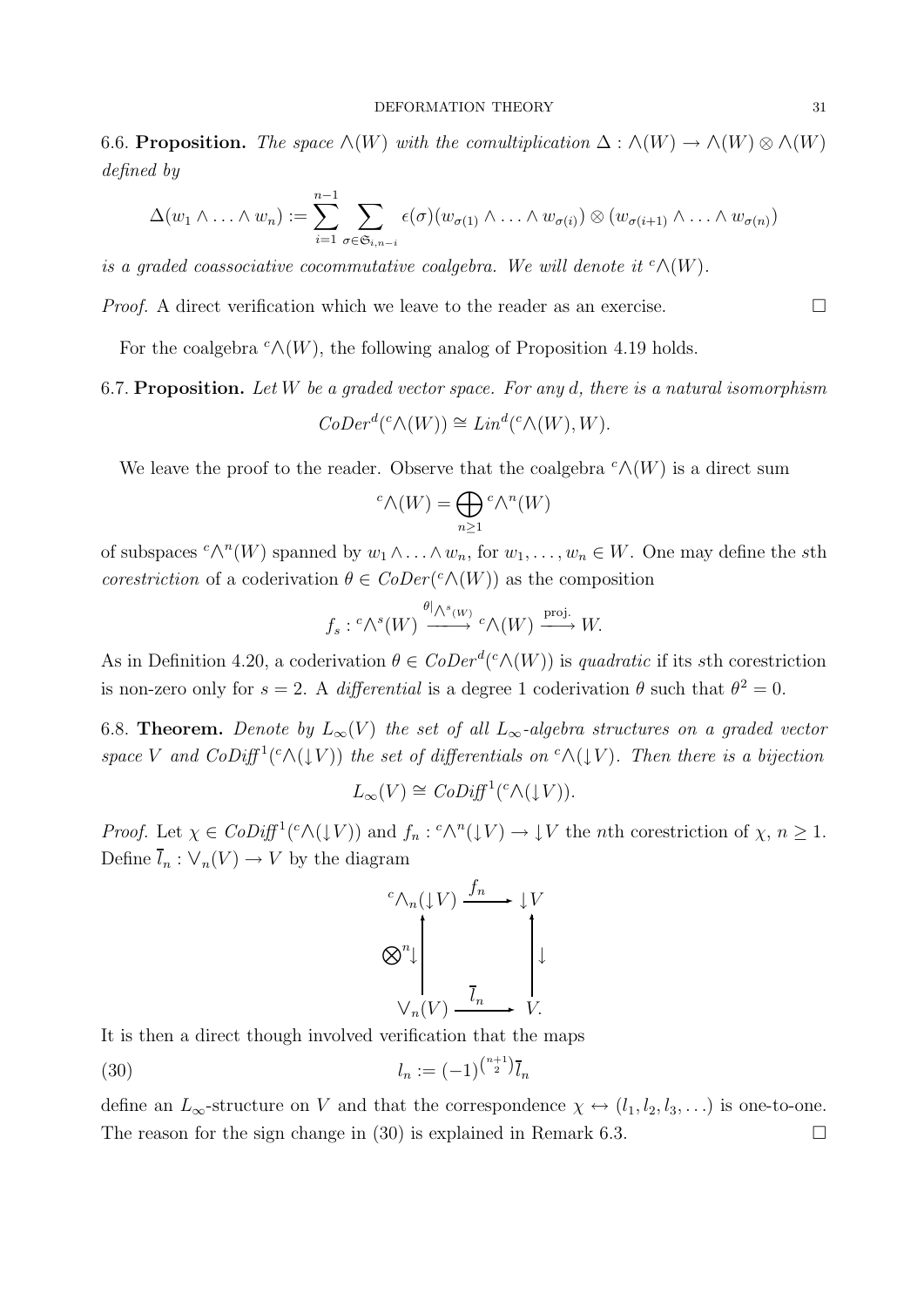6.6. Proposition. The space  $\wedge(W)$  with the comultiplication  $\Delta : \wedge(W) \to \wedge(W) \otimes \wedge(W)$ defined by

$$
\Delta(w_1 \wedge \ldots \wedge w_n) := \sum_{i=1}^{n-1} \sum_{\sigma \in \mathfrak{S}_{i,n-i}} \epsilon(\sigma)(w_{\sigma(1)} \wedge \ldots \wedge w_{\sigma(i)}) \otimes (w_{\sigma(i+1)} \wedge \ldots \wedge w_{\sigma(n)})
$$

is a graded coassociative cocommutative coalgebra. We will denote it  ${}^c \Lambda(W)$ .

*Proof.* A direct verification which we leave to the reader as an exercise.  $\Box$ 

For the coalgebra  $c \wedge (W)$ , the following analog of Proposition 4.19 holds.

## 6.7. Proposition. Let W be a graded vector space. For any d, there is a natural isomorphism  $CoDer^d(^c\wedge(W)) \cong Lin^d(^c\wedge(W), W).$

We leave the proof to the reader. Observe that the coalgebra  $c \wedge (W)$  is a direct sum

$$
{}^{c}\mathcal{N}(W) = \bigoplus_{n \geq 1} {}^{c}\mathcal{N}^{n}(W)
$$

of subspaces  ${}^c \wedge^n(W)$  spanned by  $w_1 \wedge \ldots \wedge w_n$ , for  $w_1, \ldots, w_n \in W$ . One may define the sth corestriction of a coderivation  $\theta \in CoDer({}^c \wedge (W))$  as the composition

$$
f_s: {^c \wedge }^s(W) \xrightarrow{\theta \mid \wedge^s(W)} {^c \wedge} (W) \xrightarrow{\text{proj.}} W.
$$

As in Definition 4.20, a coderivation  $\theta \in CoDer^{d}(c \wedge (W))$  is quadratic if its sth corestriction is non-zero only for  $s = 2$ . A differential is a degree 1 coderivation  $\theta$  such that  $\theta^2 = 0$ .

6.8. Theorem. Denote by  $L_{\infty}(V)$  the set of all  $L_{\infty}$ -algebra structures on a graded vector space V and  $CoDiff^1(^c \wedge (\downarrow V))$  the set of differentials on  $^c \wedge (\downarrow V)$ . Then there is a bijection

$$
L_{\infty}(V) \cong \mathit{CoDiff}^{1}({}^c \wedge (\downarrow V)).
$$

Proof. Let  $\chi \in CoDiff^1({}^c\wedge (\downarrow V))$  and  $f_n: {}^c\wedge^n (\downarrow V) \to \downarrow V$  the *n*th corestriction of  $\chi, n \geq 1$ . Define  $\bar{l}_n : \vee_n(V) \to V$  by the diagram

$$
\begin{aligned}\n & \mathcal{O}_{n}(\downarrow V) \xrightarrow{f_{n}} \downarrow V \\
&\bigotimes^{n} \downarrow \qquad \qquad \downarrow \qquad \qquad \downarrow \\
&\bigvee_{n}(V) \xrightarrow{\overline{I}_{n}} V.\n \end{aligned}
$$

It is then a direct though involved verification that the maps

(30) 
$$
l_n := (-1)^{\binom{n+1}{2}} \bar{l}_n
$$

define an  $L_{\infty}$ -structure on V and that the correspondence  $\chi \leftrightarrow (l_1, l_2, l_3, \ldots)$  is one-to-one. The reason for the sign change in (30) is explained in Remark 6.3.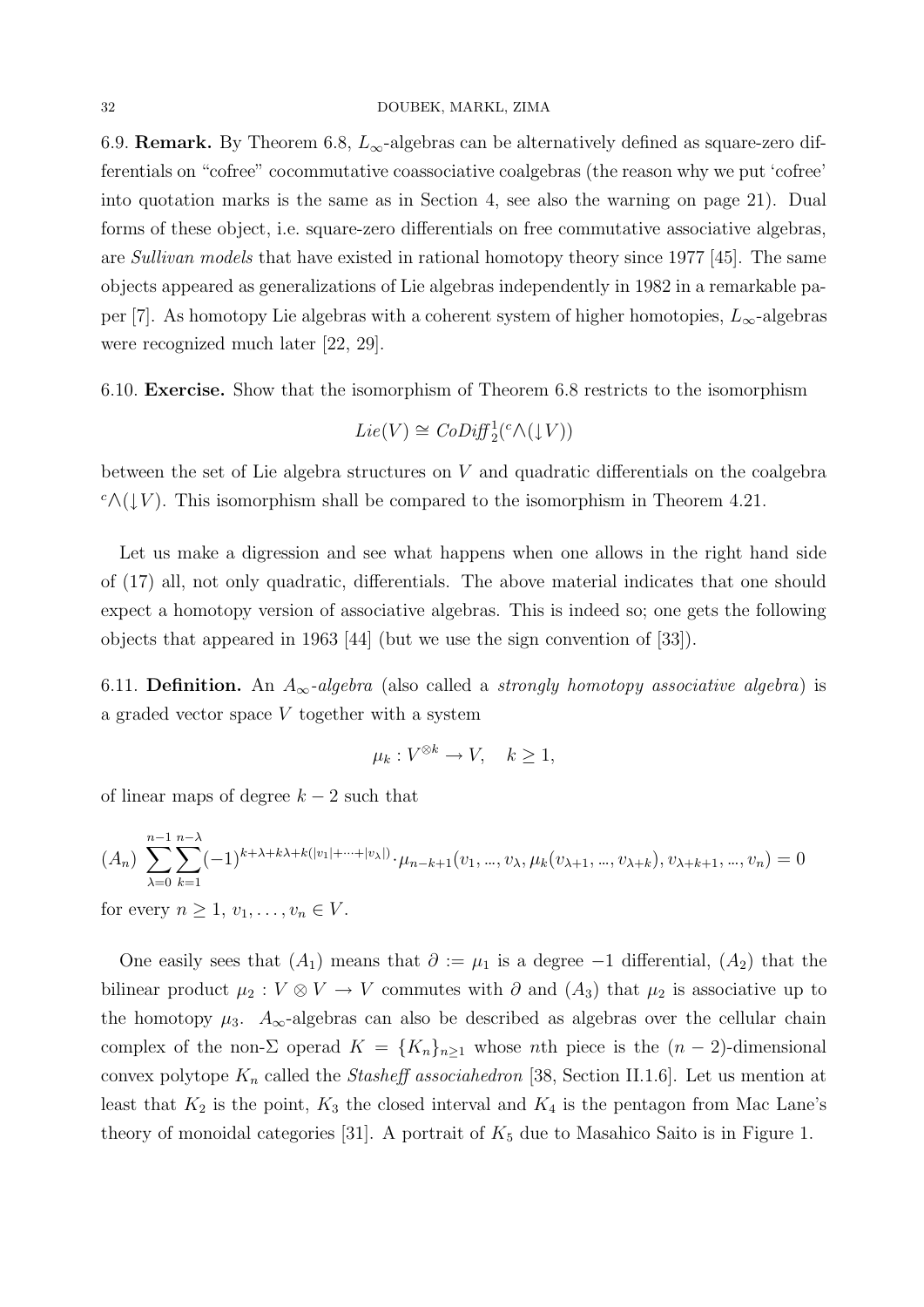6.9. **Remark.** By Theorem 6.8,  $L_{\infty}$ -algebras can be alternatively defined as square-zero differentials on "cofree" cocommutative coassociative coalgebras (the reason why we put 'cofree' into quotation marks is the same as in Section 4, see also the warning on page 21). Dual forms of these object, i.e. square-zero differentials on free commutative associative algebras, are Sullivan models that have existed in rational homotopy theory since 1977 [45]. The same objects appeared as generalizations of Lie algebras independently in 1982 in a remarkable paper [7]. As homotopy Lie algebras with a coherent system of higher homotopies,  $L_{\infty}$ -algebras were recognized much later [22, 29].

6.10. Exercise. Show that the isomorphism of Theorem 6.8 restricts to the isomorphism

$$
Lie(V) \cong CoDiff_{2}^{1}(^c \wedge (\downarrow V))
$$

between the set of Lie algebra structures on V and quadratic differentials on the coalgebra  $c \wedge (\downarrow V)$ . This isomorphism shall be compared to the isomorphism in Theorem 4.21.

Let us make a digression and see what happens when one allows in the right hand side of (17) all, not only quadratic, differentials. The above material indicates that one should expect a homotopy version of associative algebras. This is indeed so; one gets the following objects that appeared in 1963 [44] (but we use the sign convention of [33]).

6.11. Definition. An  $A_{\infty}$ -algebra (also called a strongly homotopy associative algebra) is a graded vector space V together with a system

$$
\mu_k: V^{\otimes k} \to V, \quad k \ge 1,
$$

of linear maps of degree  $k-2$  such that

$$
(A_n) \sum_{\lambda=0}^{n-1} \sum_{k=1}^{n-\lambda} (-1)^{k+\lambda+k\lambda+k(|v_1|+\cdots+|v_\lambda|)} \cdot \mu_{n-k+1}(v_1, ..., v_\lambda, \mu_k(v_{\lambda+1}, ..., v_{\lambda+k}), v_{\lambda+k+1}, ..., v_n) = 0
$$
  
for every  $n \ge 1, v_1, ..., v_n \in V$ .

least that  $K_2$  is the point,  $K_3$  the closed interval and  $K_4$  is the pentagon from Mac Lane's theory of monoidal categories [31]. A portrait of  $K_5$  due to Masahico Saito is in Figure 1.

One easily sees that  $(A_1)$  means that  $\partial := \mu_1$  is a degree  $-1$  differential,  $(A_2)$  that the bilinear product  $\mu_2 : V \otimes V \to V$  commutes with  $\partial$  and  $(A_3)$  that  $\mu_2$  is associative up to the homotopy  $\mu_3$ .  $A_{\infty}$ -algebras can also be described as algebras over the cellular chain complex of the non- $\Sigma$  operad  $K = \{K_n\}_{n\geq 1}$  whose nth piece is the  $(n-2)$ -dimensional convex polytope  $K_n$  called the *Stasheff associahedron* [38, Section II.1.6]. Let us mention at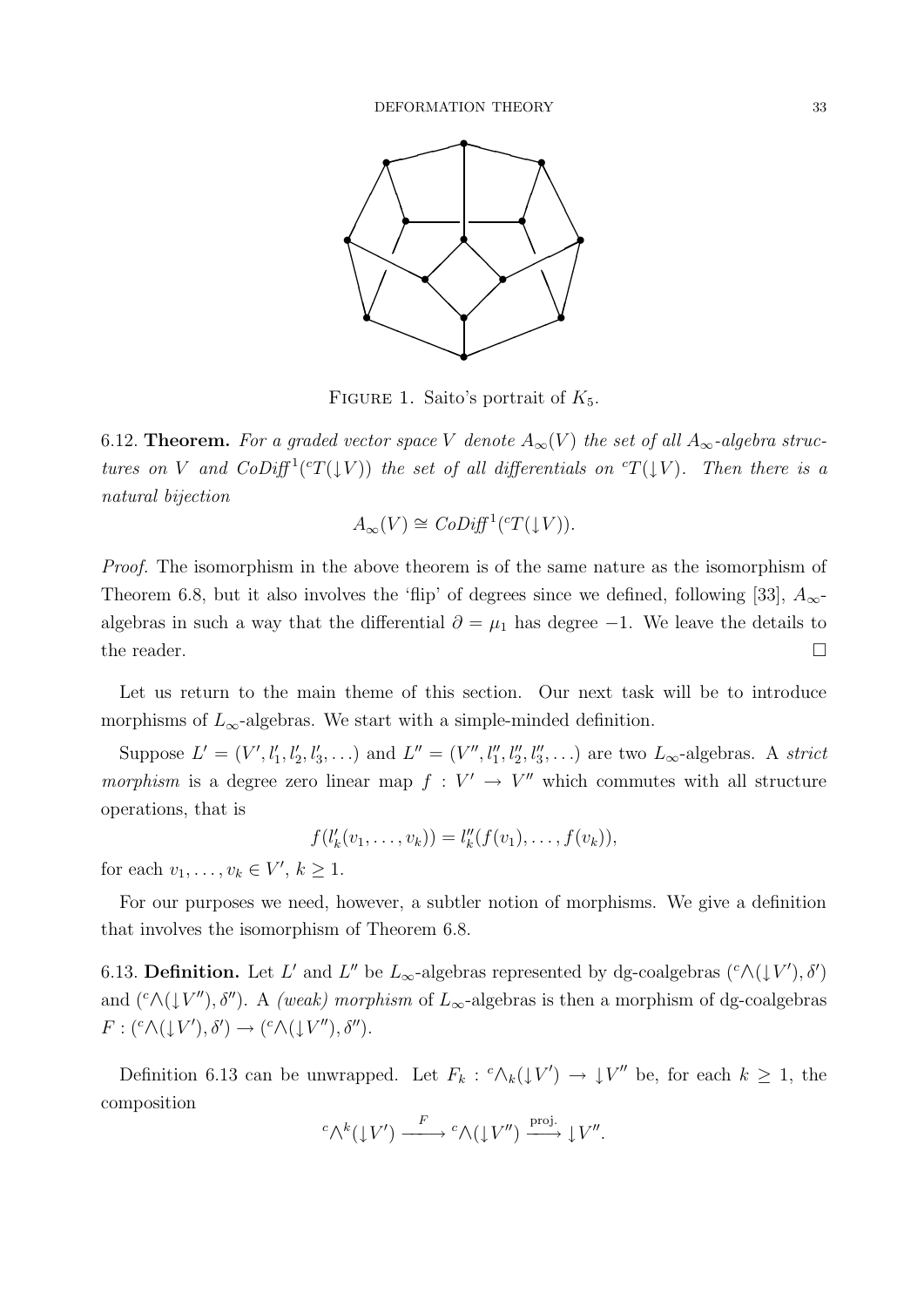

FIGURE 1. Saito's portrait of  $K_5$ .

6.12. **Theorem.** For a graded vector space V denote  $A_{\infty}(V)$  the set of all  $A_{\infty}$ -algebra structures on V and  $CoDiff^1({}^cT(\downarrow V))$  the set of all differentials on  ${}^cT(\downarrow V)$ . Then there is a natural bijection

$$
A_{\infty}(V) \cong \mathit{CoDiff}^{1}(\mathit{C}T(\downarrow V)).
$$

Proof. The isomorphism in the above theorem is of the same nature as the isomorphism of Theorem 6.8, but it also involves the 'flip' of degrees since we defined, following [33],  $A_{\infty}$ algebras in such a way that the differential  $\partial = \mu_1$  has degree -1. We leave the details to the reader.  $\Box$ 

Let us return to the main theme of this section. Our next task will be to introduce morphisms of  $L_{\infty}$ -algebras. We start with a simple-minded definition.

Suppose  $L' = (V', l'_1, l'_2, l'_3, \ldots)$  and  $L'' = (V'', l''_1, l''_2, l''_3, \ldots)$  are two  $L_{\infty}$ -algebras. A strict morphism is a degree zero linear map  $f: V' \to V''$  which commutes with all structure operations, that is

$$
f(l'_{k}(v_{1},...,v_{k})) = l''_{k}(f(v_{1}),...,f(v_{k})),
$$

for each  $v_1, \ldots, v_k \in V', k \geq 1$ .

For our purposes we need, however, a subtler notion of morphisms. We give a definition that involves the isomorphism of Theorem 6.8.

6.13. **Definition.** Let L' and L'' be  $L_{\infty}$ -algebras represented by dg-coalgebras  $({}^c \wedge (\downarrow V'), \delta')$ and  $(^c\wedge (\downarrow V'')$ ,  $\delta'')$ . A *(weak) morphism* of  $L_{\infty}$ -algebras is then a morphism of dg-coalgebras  $F:$   $({}^c \wedge (\downarrow V'), \delta') \rightarrow ({}^c \wedge (\downarrow V''), \delta'').$ 

Definition 6.13 can be unwrapped. Let  $F_k$ :  ${}^c\Lambda_k(\downarrow V') \to \downarrow V''$  be, for each  $k \geq 1$ , the composition

$$
{}^{c}\Lambda^{k}(\downarrow V') \xrightarrow{F} {}^{c}\Lambda(\downarrow V'') \xrightarrow{\text{proj.}} \downarrow V''.
$$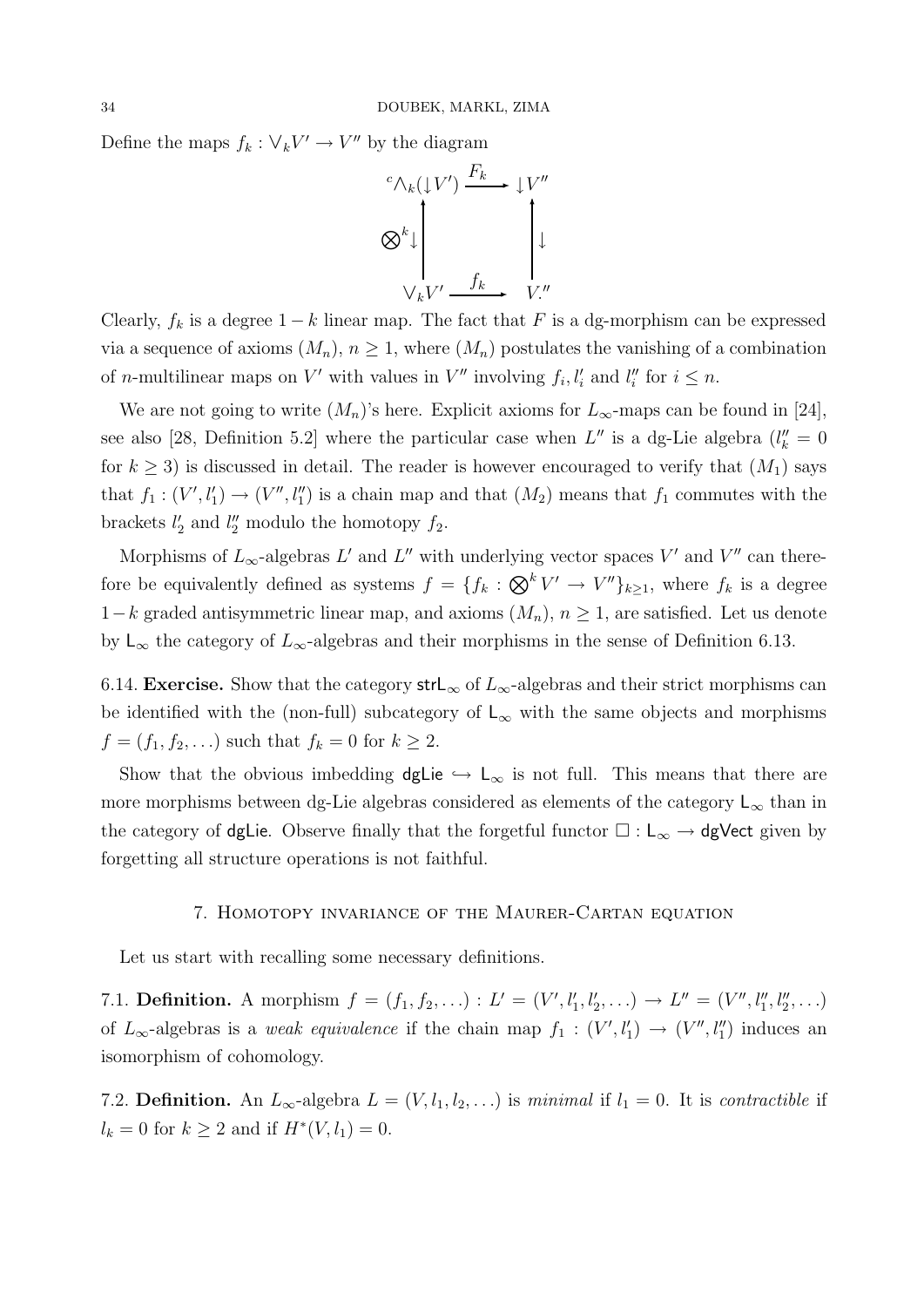Define the maps  $f_k: \forall_k V' \rightarrow V''$  by the diagram



Clearly,  $f_k$  is a degree  $1 - k$  linear map. The fact that F is a dg-morphism can be expressed via a sequence of axioms  $(M_n)$ ,  $n \geq 1$ , where  $(M_n)$  postulates the vanishing of a combination of *n*-multilinear maps on V' with values in V'' involving  $f_i, l'_i$  and  $l''_i$  for  $i \leq n$ .

We are not going to write  $(M_n)$ 's here. Explicit axioms for  $L_\infty$ -maps can be found in [24], see also [28, Definition 5.2] where the particular case when  $L''$  is a dg-Lie algebra  $(l''_k = 0)$ for  $k \geq 3$ ) is discussed in detail. The reader is however encouraged to verify that  $(M_1)$  says that  $f_1: (V', l'_1) \to (V'', l''_1)$  is a chain map and that  $(M_2)$  means that  $f_1$  commutes with the brackets  $l'_2$  and  $l''_2$  modulo the homotopy  $f_2$ .

Morphisms of  $L_{\infty}$ -algebras L' and L'' with underlying vector spaces V' and V'' can therefore be equivalently defined as systems  $f = \{f_k : \bigotimes^k V' \to V''\}_{k \geq 1}$ , where  $f_k$  is a degree  $1-k$  graded antisymmetric linear map, and axioms  $(M_n)$ ,  $n \geq 1$ , are satisfied. Let us denote by L<sub>∞</sub> the category of  $L_{\infty}$ -algebras and their morphisms in the sense of Definition 6.13.

6.14. Exercise. Show that the category strL<sub>∞</sub> of  $L_{\infty}$ -algebras and their strict morphisms can be identified with the (non-full) subcategory of  $\mathsf{L}_{\infty}$  with the same objects and morphisms  $f = (f_1, f_2, ...)$  such that  $f_k = 0$  for  $k \ge 2$ .

Show that the obvious imbedding dgLie  $\hookrightarrow L_{\infty}$  is not full. This means that there are more morphisms between dg-Lie algebras considered as elements of the category  $\mathsf{L}_{\infty}$  than in the category of dgLie. Observe finally that the forgetful functor  $\Box : L_{\infty} \to dg$ Vect given by forgetting all structure operations is not faithful.

#### 7. Homotopy invariance of the Maurer-Cartan equation

Let us start with recalling some necessary definitions.

7.1. **Definition.** A morphism  $f = (f_1, f_2, \ldots) : L' = (V', l'_1, l'_2, \ldots) \to L'' = (V'', l''_1, l''_2, \ldots)$ of  $L_{\infty}$ -algebras is a *weak equivalence* if the chain map  $f_1 : (V', l'_1) \to (V'', l''_1)$  induces an isomorphism of cohomology.

7.2. **Definition.** An  $L_{\infty}$ -algebra  $L = (V, l_1, l_2, ...)$  is minimal if  $l_1 = 0$ . It is contractible if  $l_k = 0$  for  $k \geq 2$  and if  $H^*(V, l_1) = 0$ .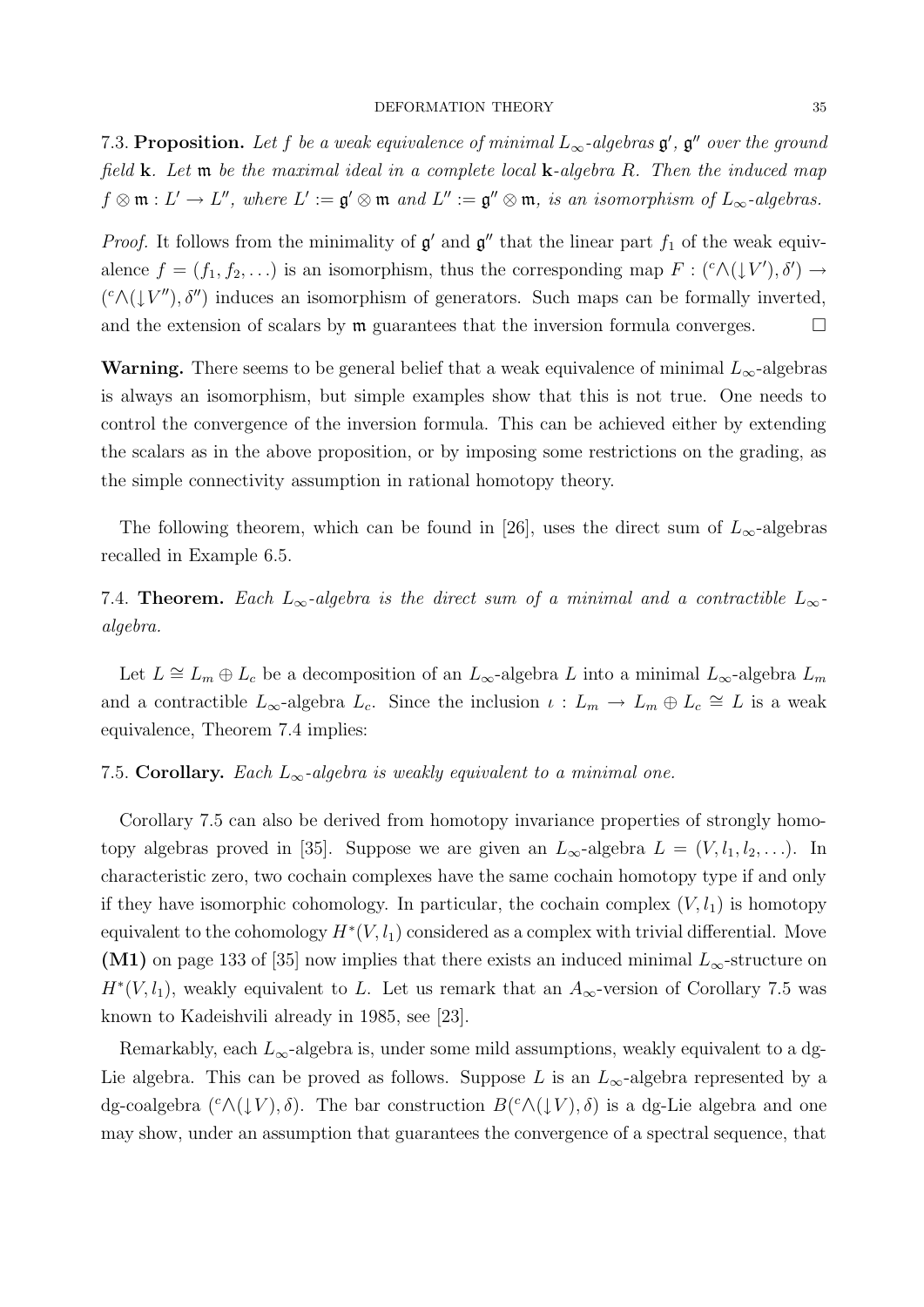7.3. Proposition. Let f be a weak equivalence of minimal  $L_{\infty}$ -algebras  $\mathfrak{g}', \mathfrak{g}''$  over the ground field  $k$ . Let  $m$  be the maximal ideal in a complete local  $k$ -algebra  $R$ . Then the induced map  $f \otimes \mathfrak{m} : L' \to L''$ , where  $L' := \mathfrak{g}' \otimes \mathfrak{m}$  and  $L'' := \mathfrak{g}'' \otimes \mathfrak{m}$ , is an isomorphism of  $L_{\infty}$ -algebras.

*Proof.* It follows from the minimality of  $\mathfrak{g}'$  and  $\mathfrak{g}''$  that the linear part  $f_1$  of the weak equivalence  $f = (f_1, f_2, \ldots)$  is an isomorphism, thus the corresponding map  $F : ({}^c \Lambda(\downarrow V'), \delta') \to$  $({}^c \wedge (\downarrow V'') , \delta'')$  induces an isomorphism of generators. Such maps can be formally inverted, and the extension of scalars by  $m$  guarantees that the inversion formula converges.  $\Box$ 

**Warning.** There seems to be general belief that a weak equivalence of minimal  $L_{\infty}$ -algebras is always an isomorphism, but simple examples show that this is not true. One needs to control the convergence of the inversion formula. This can be achieved either by extending the scalars as in the above proposition, or by imposing some restrictions on the grading, as the simple connectivity assumption in rational homotopy theory.

The following theorem, which can be found in [26], uses the direct sum of  $L_{\infty}$ -algebras recalled in Example 6.5.

7.4. Theorem. Each  $L_{\infty}$ -algebra is the direct sum of a minimal and a contractible  $L_{\infty}$ algebra.

Let  $L \cong L_m \oplus L_c$  be a decomposition of an  $L_{\infty}$ -algebra L into a minimal  $L_{\infty}$ -algebra  $L_m$ and a contractible  $L_{\infty}$ -algebra  $L_c$ . Since the inclusion  $\iota: L_m \to L_m \oplus L_c \cong L$  is a weak equivalence, Theorem 7.4 implies:

#### 7.5. Corollary. Each  $L_{\infty}$ -algebra is weakly equivalent to a minimal one.

Corollary 7.5 can also be derived from homotopy invariance properties of strongly homotopy algebras proved in [35]. Suppose we are given an  $L_{\infty}$ -algebra  $L = (V, l_1, l_2, \ldots)$ . In characteristic zero, two cochain complexes have the same cochain homotopy type if and only if they have isomorphic cohomology. In particular, the cochain complex  $(V, l_1)$  is homotopy equivalent to the cohomology  $H^*(V, l_1)$  considered as a complex with trivial differential. Move (M1) on page 133 of [35] now implies that there exists an induced minimal  $L_{\infty}$ -structure on  $H^*(V, l_1)$ , weakly equivalent to L. Let us remark that an  $A_{\infty}$ -version of Corollary 7.5 was known to Kadeishvili already in 1985, see [23].

Remarkably, each  $L_{\infty}$ -algebra is, under some mild assumptions, weakly equivalent to a dg-Lie algebra. This can be proved as follows. Suppose L is an  $L_{\infty}$ -algebra represented by a dg-coalgebra  $({}^c \wedge (\downarrow V), \delta)$ . The bar construction  $B({}^c \wedge (\downarrow V), \delta)$  is a dg-Lie algebra and one may show, under an assumption that guarantees the convergence of a spectral sequence, that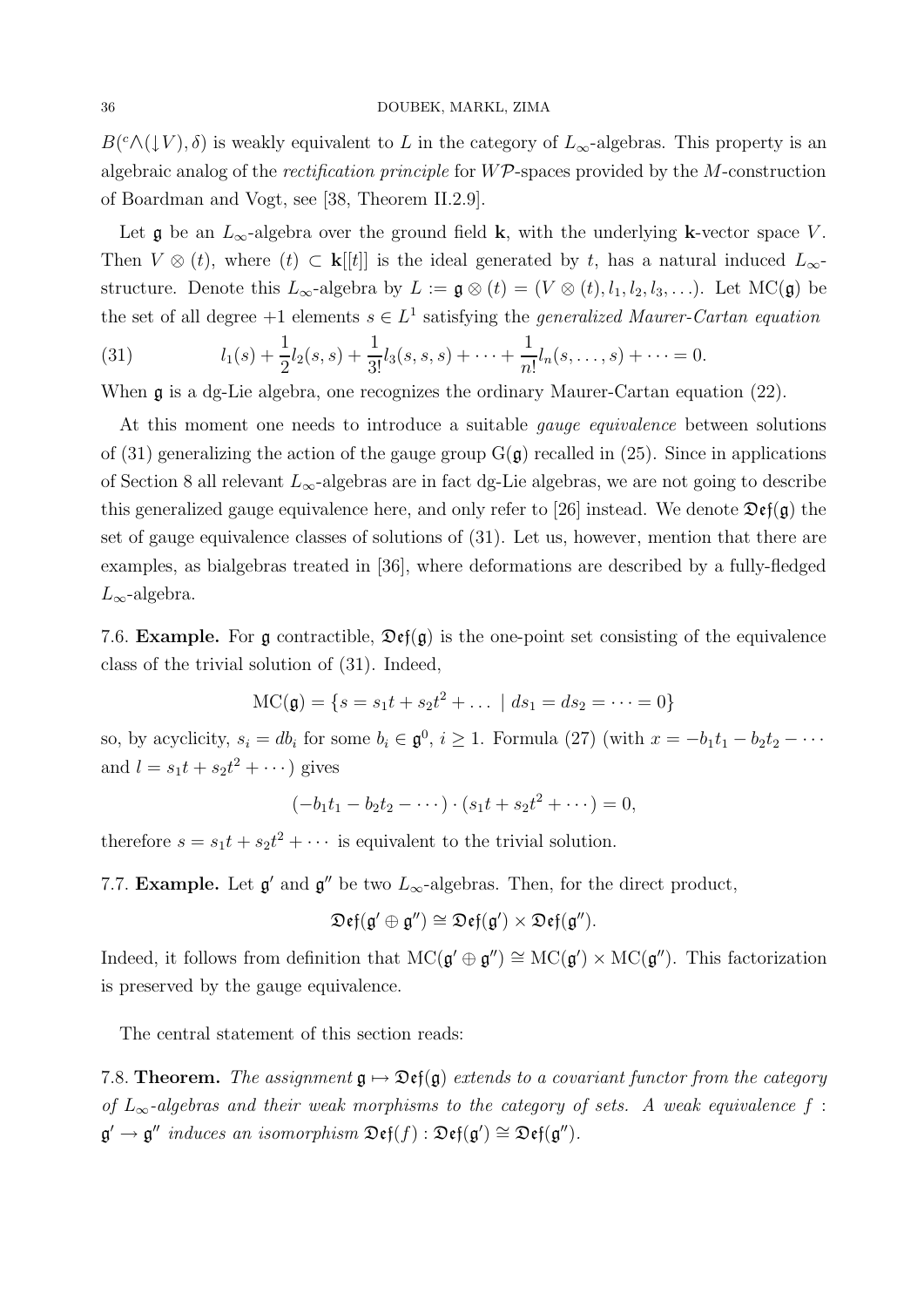$B({}^c\wedge(\downarrow V),\delta)$  is weakly equivalent to L in the category of  $L_{\infty}$ -algebras. This property is an algebraic analog of the *rectification principle* for  $W\mathcal{P}$ -spaces provided by the M-construction of Boardman and Vogt, see [38, Theorem II.2.9].

Let  $\mathfrak g$  be an  $L_{\infty}$ -algebra over the ground field **k**, with the underlying **k**-vector space V. Then  $V \otimes (t)$ , where  $(t) \subset \mathbf{k}[[t]]$  is the ideal generated by t, has a natural induced  $L_{\infty}$ structure. Denote this  $L_{\infty}$ -algebra by  $L := \mathfrak{g} \otimes (t) = (V \otimes (t), l_1, l_2, l_3, \ldots)$ . Let MC( $\mathfrak{g}$ ) be the set of all degree  $+1$  elements  $s \in L^1$  satisfying the *generalized Maurer-Cartan equation* 

(31) 
$$
l_1(s) + \frac{1}{2}l_2(s,s) + \frac{1}{3!}l_3(s,s,s) + \cdots + \frac{1}{n!}l_n(s,\ldots,s) + \cdots = 0.
$$

When g is a dg-Lie algebra, one recognizes the ordinary Maurer-Cartan equation (22).

At this moment one needs to introduce a suitable gauge equivalence between solutions of (31) generalizing the action of the gauge group  $G(\mathfrak{g})$  recalled in (25). Since in applications of Section 8 all relevant  $L_{\infty}$ -algebras are in fact dg-Lie algebras, we are not going to describe this generalized gauge equivalence here, and only refer to [26] instead. We denote  $\mathfrak{Def}(\mathfrak{g})$  the set of gauge equivalence classes of solutions of (31). Let us, however, mention that there are examples, as bialgebras treated in [36], where deformations are described by a fully-fledged  $L_{\infty}$ -algebra.

7.6. **Example.** For g contractible,  $\mathfrak{Def}(g)$  is the one-point set consisting of the equivalence class of the trivial solution of (31). Indeed,

$$
MC(\mathfrak{g}) = \{s = s_1t + s_2t^2 + \dots \mid ds_1 = ds_2 = \dots = 0\}
$$

so, by acyclicity,  $s_i = db_i$  for some  $b_i \in \mathfrak{g}^0$ ,  $i \geq 1$ . Formula (27) (with  $x = -b_1t_1 - b_2t_2 - \cdots$ and  $l = s_1t + s_2t^2 + \cdots$ ) gives

$$
(-b_1t_1 - b_2t_2 - \cdots) \cdot (s_1t + s_2t^2 + \cdots) = 0,
$$

therefore  $s = s_1 t + s_2 t^2 + \cdots$  is equivalent to the trivial solution.

7.7. **Example.** Let  $\mathfrak{g}'$  and  $\mathfrak{g}''$  be two  $L_{\infty}$ -algebras. Then, for the direct product,

$$
\mathfrak{Def}(\mathfrak{g}' \oplus \mathfrak{g}'') \cong \mathfrak{Def}(\mathfrak{g}') \times \mathfrak{Def}(\mathfrak{g}'').
$$

Indeed, it follows from definition that  $MC(\mathfrak{g}' \oplus \mathfrak{g}'') \cong MC(\mathfrak{g}') \times MC(\mathfrak{g}'')$ . This factorization is preserved by the gauge equivalence.

The central statement of this section reads:

7.8. **Theorem.** The assignment  $\mathfrak{g} \mapsto \mathfrak{Def}(\mathfrak{g})$  extends to a covariant functor from the category of  $L_{\infty}$ -algebras and their weak morphisms to the category of sets. A weak equivalence f:  $\mathfrak{g}' \to \mathfrak{g}''$  induces an isomorphism  $\mathfrak{Def}(f) : \mathfrak{Def}(\mathfrak{g}') \cong \mathfrak{Def}(\mathfrak{g}'').$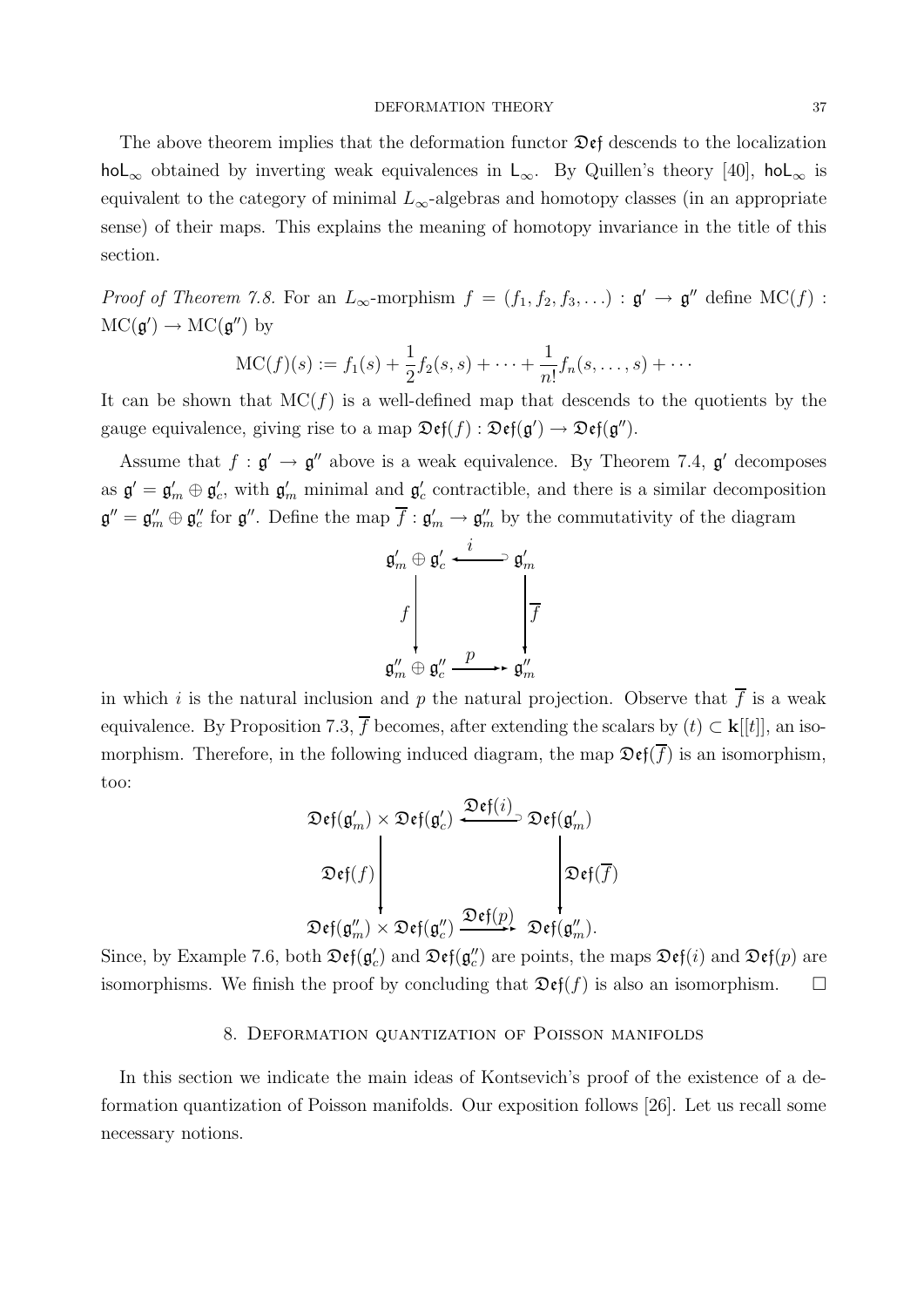#### DEFORMATION THEORY 37

The above theorem implies that the deformation functor  $\mathfrak{Def}$  descends to the localization hoL<sub>∞</sub> obtained by inverting weak equivalences in L<sub>∞</sub>. By Quillen's theory [40], hoL<sub>∞</sub> is equivalent to the category of minimal  $L_{\infty}$ -algebras and homotopy classes (in an appropriate sense) of their maps. This explains the meaning of homotopy invariance in the title of this section.

*Proof of Theorem 7.8.* For an  $L_{\infty}$ -morphism  $f = (f_1, f_2, f_3, ...) : \mathfrak{g}' \to \mathfrak{g}''$  define  $MC(f)$ :  $MC(\mathfrak{g}') \to MC(\mathfrak{g}'')$  by

$$
MC(f)(s) := f_1(s) + \frac{1}{2}f_2(s, s) + \cdots + \frac{1}{n!}f_n(s, \ldots, s) + \cdots
$$

It can be shown that  $MC(f)$  is a well-defined map that descends to the quotients by the gauge equivalence, giving rise to a map  $\mathfrak{Def}(f) : \mathfrak{Def}(g') \to \mathfrak{Def}(g'')$ .

Assume that  $f : \mathfrak{g}' \to \mathfrak{g}''$  above is a weak equivalence. By Theorem 7.4,  $\mathfrak{g}'$  decomposes as  $\mathfrak{g}' = \mathfrak{g}'_m \oplus \mathfrak{g}'_c$ , with  $\mathfrak{g}'_m$  minimal and  $\mathfrak{g}'_c$  contractible, and there is a similar decomposition  $\mathfrak{g}'' = \mathfrak{g}''_m \oplus \mathfrak{g}''_c$  for  $\mathfrak{g}''$ . Define the map  $\overline{f} : \mathfrak{g}'_m \to \mathfrak{g}''_m$  by the commutativity of the diagram

$$
\mathfrak{g}'_m \oplus \mathfrak{g}'_c \stackrel{i}{\longleftarrow} \mathfrak{g}'_m
$$
  

$$
f \downarrow \qquad \qquad \downarrow
$$
  

$$
\mathfrak{g}''_m \oplus \mathfrak{g}''_c \stackrel{p}{\longrightarrow} \mathfrak{g}''_m
$$

in which i is the natural inclusion and p the natural projection. Observe that  $\overline{f}$  is a weak equivalence. By Proposition 7.3,  $\overline{f}$  becomes, after extending the scalars by  $(t) \subset \mathbf{k}[[t]]$ , an isomorphism. Therefore, in the following induced diagram, the map  $\mathfrak{Def}(\overline{f})$  is an isomorphism, too:

$$
\mathfrak{Def}(\mathfrak{g}'_m) \times \mathfrak{Def}(\mathfrak{g}'_c) \xrightarrow{\mathfrak{Def}(i)} \mathfrak{Def}(\mathfrak{g}'_m)
$$
  

$$
\mathfrak{Def}(f) \longrightarrow \longrightarrow \mathfrak{Def}(\mathfrak{g}''_m) \times \mathfrak{Def}(\mathfrak{g}''_c) \xrightarrow{\mathfrak{Def}(p)} \mathfrak{Def}(\mathfrak{g}''_m).
$$

Since, by Example 7.6, both  $\mathfrak{Def}(\mathfrak{g}_c')$  and  $\mathfrak{Def}(\mathfrak{g}_c'')$  are points, the maps  $\mathfrak{Def}(i)$  and  $\mathfrak{Def}(p)$  are isomorphisms. We finish the proof by concluding that  $\mathfrak{Def}(f)$  is also an isomorphism.  $\Box$ 

#### 8. Deformation quantization of Poisson manifolds

In this section we indicate the main ideas of Kontsevich's proof of the existence of a deformation quantization of Poisson manifolds. Our exposition follows [26]. Let us recall some necessary notions.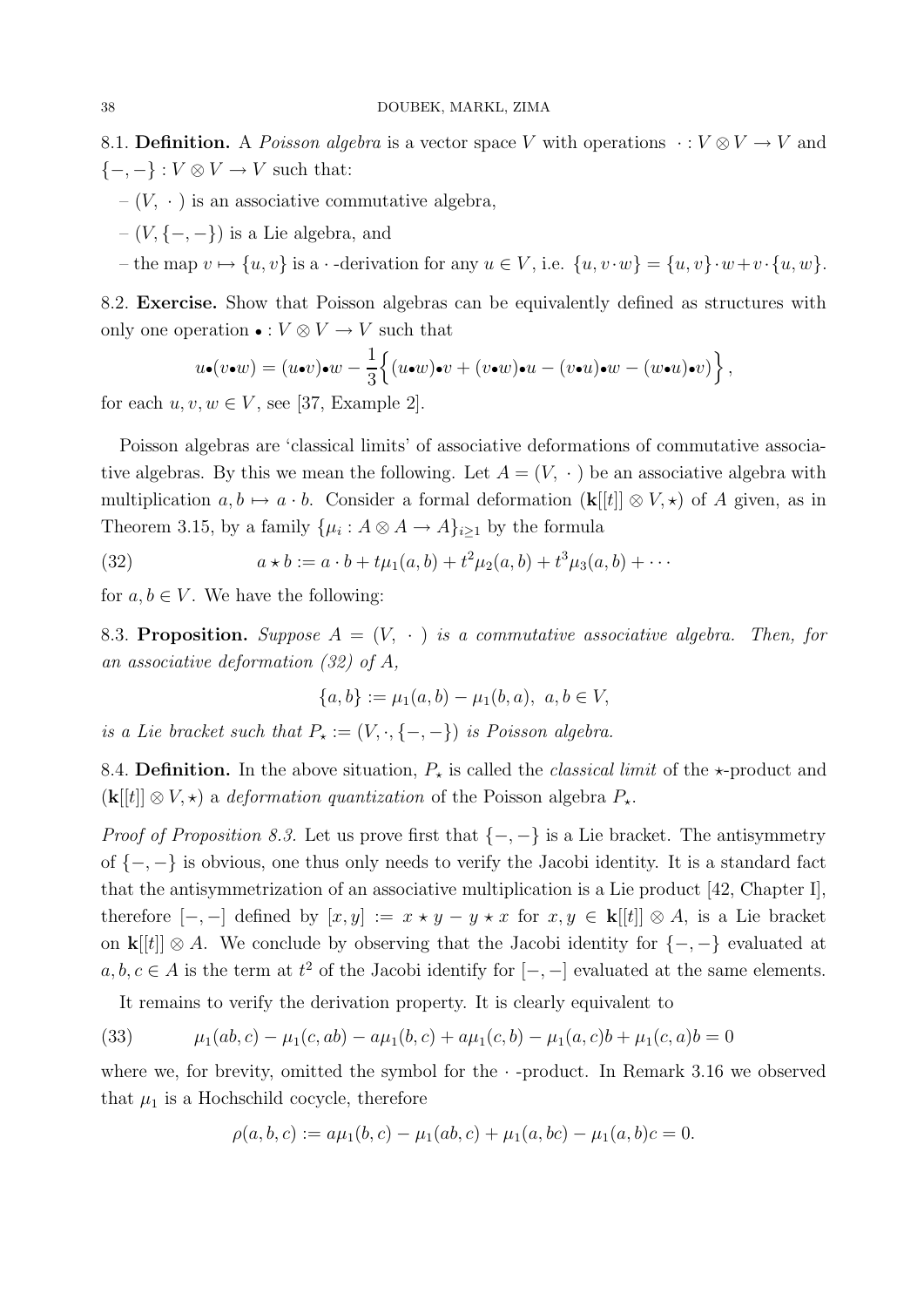8.1. Definition. A Poisson algebra is a vector space V with operations  $\cdot : V \otimes V \to V$  and  $\{-,-\}: V \otimes V \to V$  such that:

- $-(V, \cdot)$  is an associative commutative algebra,
- $-(V, \{-,-\})$  is a Lie algebra, and
- the map  $v \mapsto \{u, v\}$  is a  $\cdot$ -derivation for any  $u \in V$ , i.e.  $\{u, v \cdot w\} = \{u, v\} \cdot w + v \cdot \{u, w\}.$

8.2. Exercise. Show that Poisson algebras can be equivalently defined as structures with only one operation • :  $V \otimes V \rightarrow V$  such that

$$
u\bullet (v\bullet w)=(u\bullet v)\bullet w-\frac{1}{3}\Big\{(u\bullet w)\bullet v+(v\bullet w)\bullet u-(v\bullet u)\bullet w-(w\bullet u)\bullet v)\Big\}\,,
$$

for each  $u, v, w \in V$ , see [37, Example 2].

Poisson algebras are 'classical limits' of associative deformations of commutative associative algebras. By this we mean the following. Let  $A = (V, \cdot)$  be an associative algebra with multiplication  $a, b \mapsto a \cdot b$ . Consider a formal deformation  $(\mathbf{k}[[t]] \otimes V, \star)$  of A given, as in Theorem 3.15, by a family  $\{\mu_i : A \otimes A \to A\}_{i \geq 1}$  by the formula

(32) 
$$
a * b := a \cdot b + t\mu_1(a,b) + t^2\mu_2(a,b) + t^3\mu_3(a,b) + \cdots
$$

for  $a, b \in V$ . We have the following:

8.3. Proposition. Suppose  $A = (V, \cdot)$  is a commutative associative algebra. Then, for an associative deformation (32) of A,

$$
\{a, b\} := \mu_1(a, b) - \mu_1(b, a), \ a, b \in V,
$$

is a Lie bracket such that  $P_{\star} := (V, \cdot, \{-, -\})$  is Poisson algebra.

8.4. Definition. In the above situation,  $P_{\star}$  is called the *classical limit* of the  $\star$ -product and  $(k[[t]] \otimes V, \star)$  a *deformation quantization* of the Poisson algebra  $P_{\star}$ .

*Proof of Proposition 8.3.* Let us prove first that  $\{-,-\}$  is a Lie bracket. The antisymmetry of {−, −} is obvious, one thus only needs to verify the Jacobi identity. It is a standard fact that the antisymmetrization of an associative multiplication is a Lie product [42, Chapter I], therefore  $[-,-]$  defined by  $[x,y] := x \star y - y \star x$  for  $x, y \in \mathbf{k}[[t]] \otimes A$ , is a Lie bracket on  $\mathbf{k}[[t]] \otimes A$ . We conclude by observing that the Jacobi identity for  $\{-,-\}$  evaluated at  $a, b, c \in A$  is the term at  $t^2$  of the Jacobi identify for  $[-, -]$  evaluated at the same elements.

It remains to verify the derivation property. It is clearly equivalent to

(33) 
$$
\mu_1(ab, c) - \mu_1(c, ab) - a\mu_1(b, c) + a\mu_1(c, b) - \mu_1(a, c)b + \mu_1(c, a)b = 0
$$

where we, for brevity, omitted the symbol for the  $\cdot$ -product. In Remark 3.16 we observed that  $\mu_1$  is a Hochschild cocycle, therefore

$$
\rho(a, b, c) := a\mu_1(b, c) - \mu_1(ab, c) + \mu_1(a, bc) - \mu_1(a, b)c = 0.
$$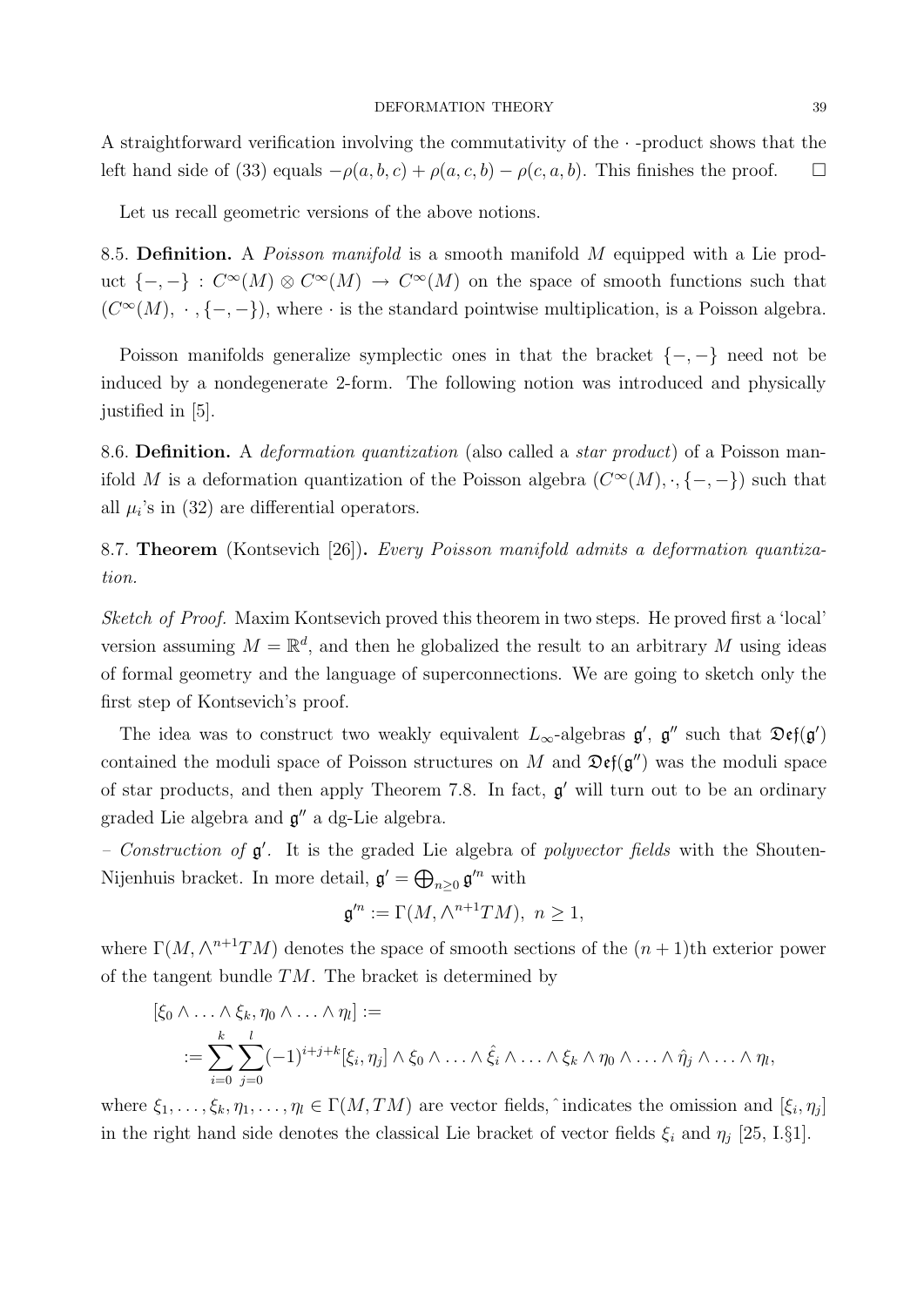#### DEFORMATION THEORY 39

A straightforward verification involving the commutativity of the  $\cdot$ -product shows that the left hand side of (33) equals  $-\rho(a, b, c) + \rho(a, c, b) - \rho(c, a, b)$ . This finishes the proof.  $\square$ 

Let us recall geometric versions of the above notions.

8.5. Definition. A *Poisson manifold* is a smooth manifold M equipped with a Lie product  $\{-,-\}$ :  $C^{\infty}(M) \otimes C^{\infty}(M) \to C^{\infty}(M)$  on the space of smooth functions such that  $(C^{\infty}(M), \cdot, \{-, -\})$ , where  $\cdot$  is the standard pointwise multiplication, is a Poisson algebra.

Poisson manifolds generalize symplectic ones in that the bracket  $\{-,-\}$  need not be induced by a nondegenerate 2-form. The following notion was introduced and physically justified in [5].

8.6. Definition. A *deformation quantization* (also called a *star product*) of a Poisson manifold M is a deformation quantization of the Poisson algebra  $(C^{\infty}(M), \cdot, \{-, -\})$  such that all  $\mu_i$ 's in (32) are differential operators.

8.7. **Theorem** (Kontsevich [26]). Every Poisson manifold admits a deformation quantization.

Sketch of Proof. Maxim Kontsevich proved this theorem in two steps. He proved first a 'local' version assuming  $M = \mathbb{R}^d$ , and then he globalized the result to an arbitrary M using ideas of formal geometry and the language of superconnections. We are going to sketch only the first step of Kontsevich's proof.

The idea was to construct two weakly equivalent  $L_{\infty}$ -algebras  $\mathfrak{g}'$ ,  $\mathfrak{g}''$  such that  $\mathfrak{Def}(\mathfrak{g}')$ contained the moduli space of Poisson structures on M and  $\mathfrak{Def}(\mathfrak{g}'')$  was the moduli space of star products, and then apply Theorem 7.8. In fact,  $g'$  will turn out to be an ordinary graded Lie algebra and  $\mathfrak{g}''$  a dg-Lie algebra.

- Construction of  $g'$ . It is the graded Lie algebra of polyvector fields with the Shouten-Nijenhuis bracket. In more detail,  $\mathfrak{g}' = \bigoplus_{n \geq 0} \mathfrak{g}'^n$  with

$$
\mathfrak{g}^{\prime n} := \Gamma(M, \wedge^{n+1}TM), \ n \ge 1,
$$

where  $\Gamma(M, \wedge^{n+1}TM)$  denotes the space of smooth sections of the  $(n+1)$ th exterior power of the tangent bundle  $TM$ . The bracket is determined by

$$
[\xi_0 \wedge \ldots \wedge \xi_k, \eta_0 \wedge \ldots \wedge \eta_l] :=
$$
  

$$
:= \sum_{i=0}^k \sum_{j=0}^l (-1)^{i+j+k} [\xi_i, \eta_j] \wedge \xi_0 \wedge \ldots \wedge \hat{\xi_i} \wedge \ldots \wedge \xi_k \wedge \eta_0 \wedge \ldots \wedge \hat{\eta_j} \wedge \ldots \wedge \eta_l,
$$

where  $\xi_1, \ldots, \xi_k, \eta_1, \ldots, \eta_l \in \Gamma(M, TM)$  are vector fields,  $\hat{\ }$  indicates the omission and  $[\xi_i, \eta_j]$ in the right hand side denotes the classical Lie bracket of vector fields  $\xi_i$  and  $\eta_j$  [25, I.§1].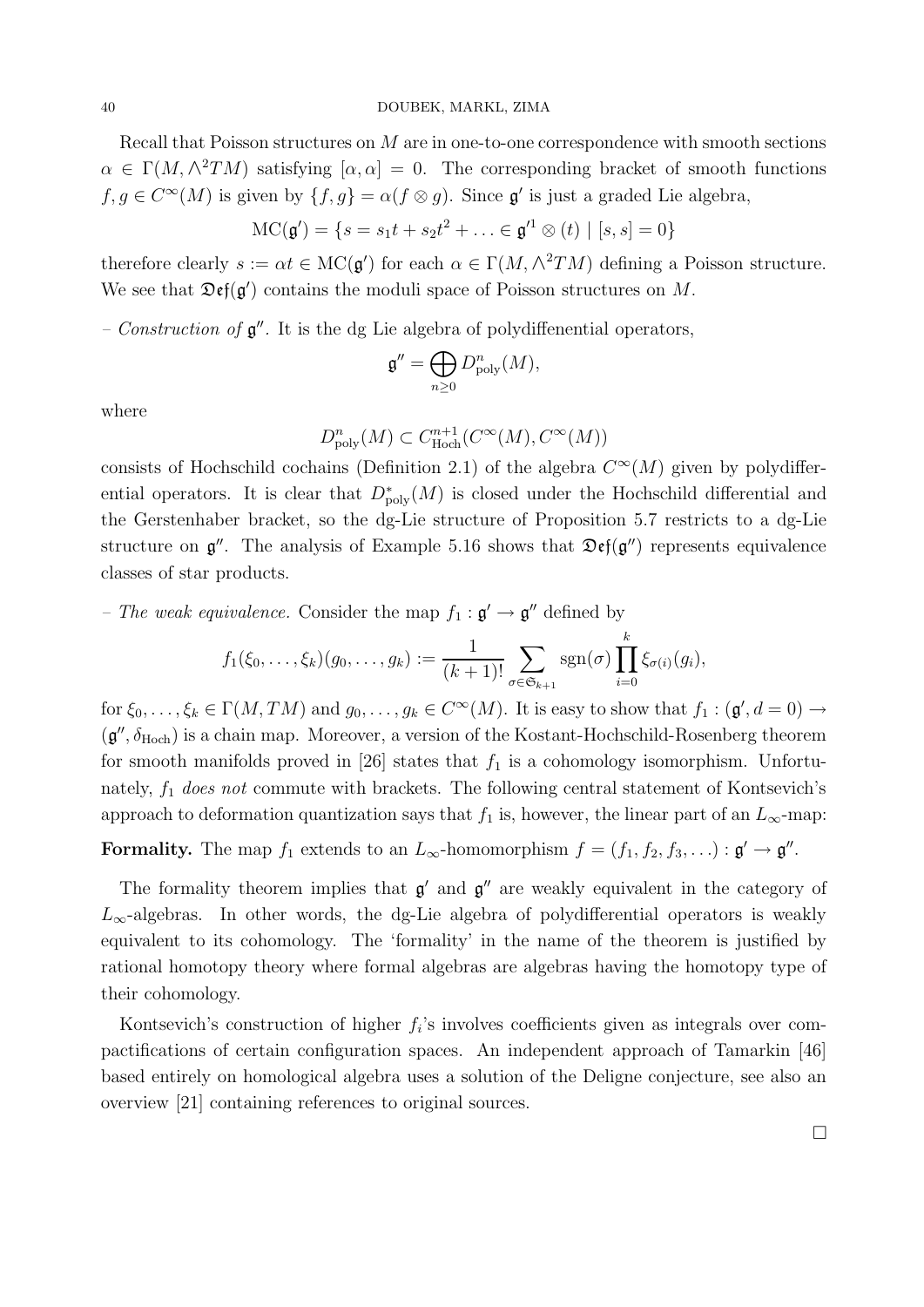Recall that Poisson structures on M are in one-to-one correspondence with smooth sections  $\alpha \in \Gamma(M, \wedge^2 TM)$  satisfying  $[\alpha, \alpha] = 0$ . The corresponding bracket of smooth functions  $f, g \in C^{\infty}(M)$  is given by  $\{f, g\} = \alpha(f \otimes g)$ . Since  $\mathfrak{g}'$  is just a graded Lie algebra,

$$
MC(\mathbf{g}') = \{s = s_1t + s_2t^2 + \ldots \in \mathbf{g}'^1 \otimes (t) \mid [s, s] = 0\}
$$

therefore clearly  $s := \alpha t \in \text{MC}(\mathfrak{g}')$  for each  $\alpha \in \Gamma(M, \wedge^2 TM)$  defining a Poisson structure. We see that  $\mathfrak{Def}(\mathfrak{g}')$  contains the moduli space of Poisson structures on M.

– Construction of  $\mathfrak{g}''$ . It is the dg Lie algebra of polydiffenential operators,

$$
\mathfrak{g}'' = \bigoplus_{n \geq 0} D_{\text{poly}}^n(M),
$$

where

$$
D_{\text{poly}}^n(M) \subset C_{\text{Hoch}}^{n+1}(C^{\infty}(M), C^{\infty}(M))
$$

consists of Hochschild cochains (Definition 2.1) of the algebra  $C^{\infty}(M)$  given by polydifferential operators. It is clear that  $D^*_{\text{poly}}(M)$  is closed under the Hochschild differential and the Gerstenhaber bracket, so the dg-Lie structure of Proposition 5.7 restricts to a dg-Lie structure on  $\mathfrak{g}''$ . The analysis of Example 5.16 shows that  $\mathfrak{Def}(\mathfrak{g}'')$  represents equivalence classes of star products.

- The weak equivalence. Consider the map  $f_1 : \mathfrak{g}' \to \mathfrak{g}''$  defined by

$$
f_1(\xi_0,\ldots,\xi_k)(g_0,\ldots,g_k):=\frac{1}{(k+1)!}\sum_{\sigma\in\mathfrak{S}_{k+1}}\mathrm{sgn}(\sigma)\prod_{i=0}^k\xi_{\sigma(i)}(g_i),
$$

for  $\xi_0, \ldots, \xi_k \in \Gamma(M, TM)$  and  $g_0, \ldots, g_k \in C^{\infty}(M)$ . It is easy to show that  $f_1 : (\mathfrak{g}', d = 0) \to$  $(\mathfrak{g}'', \delta_{\mathrm{Hoch}})$  is a chain map. Moreover, a version of the Kostant-Hochschild-Rosenberg theorem for smooth manifolds proved in [26] states that  $f_1$  is a cohomology isomorphism. Unfortunately,  $f_1$  does not commute with brackets. The following central statement of Kontsevich's approach to deformation quantization says that  $f_1$  is, however, the linear part of an  $L_{\infty}$ -map:

Formality. The map  $f_1$  extends to an  $L_{\infty}$ -homomorphism  $f = (f_1, f_2, f_3, \ldots) : \mathfrak{g}' \to \mathfrak{g}''$ .

The formality theorem implies that  $\mathfrak{g}'$  and  $\mathfrak{g}''$  are weakly equivalent in the category of  $L_{\infty}$ -algebras. In other words, the dg-Lie algebra of polydifferential operators is weakly equivalent to its cohomology. The 'formality' in the name of the theorem is justified by rational homotopy theory where formal algebras are algebras having the homotopy type of their cohomology.

Kontsevich's construction of higher  $f_i$ 's involves coefficients given as integrals over compactifications of certain configuration spaces. An independent approach of Tamarkin [46] based entirely on homological algebra uses a solution of the Deligne conjecture, see also an overview [21] containing references to original sources.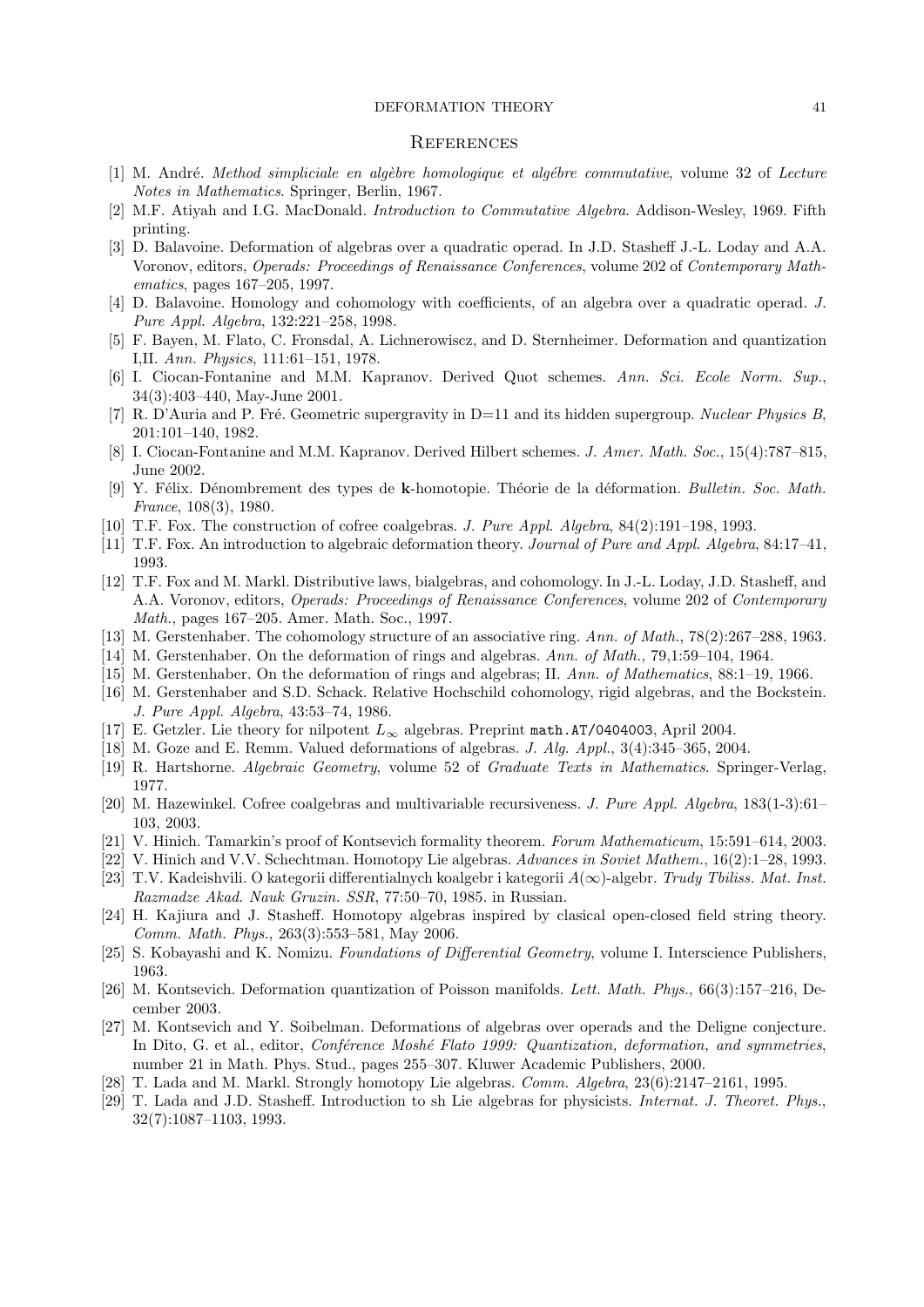#### DEFORMATION THEORY 41

#### **REFERENCES**

- [1] M. André. Method simpliciale en algèbre homologique et algébre commutative, volume 32 of Lecture Notes in Mathematics. Springer, Berlin, 1967.
- [2] M.F. Atiyah and I.G. MacDonald. Introduction to Commutative Algebra. Addison-Wesley, 1969. Fifth printing.
- [3] D. Balavoine. Deformation of algebras over a quadratic operad. In J.D. Stasheff J.-L. Loday and A.A. Voronov, editors, Operads: Proceedings of Renaissance Conferences, volume 202 of Contemporary Mathematics, pages 167–205, 1997.
- [4] D. Balavoine. Homology and cohomology with coefficients, of an algebra over a quadratic operad. J. Pure Appl. Algebra, 132:221–258, 1998.
- [5] F. Bayen, M. Flato, C. Fronsdal, A. Lichnerowiscz, and D. Sternheimer. Deformation and quantization I,II. Ann. Physics, 111:61–151, 1978.
- [6] I. Ciocan-Fontanine and M.M. Kapranov. Derived Quot schemes. Ann. Sci. Ecole Norm. Sup., 34(3):403–440, May-June 2001.
- [7] R. D'Auria and P. Fré. Geometric supergravity in D=11 and its hidden supergroup. Nuclear Physics B, 201:101–140, 1982.
- [8] I. Ciocan-Fontanine and M.M. Kapranov. Derived Hilbert schemes. J. Amer. Math. Soc., 15(4):787–815, June 2002.
- [9] Y. Félix. Dénombrement des types de k-homotopie. Théorie de la déformation. Bulletin. Soc. Math. France, 108(3), 1980.
- [10] T.F. Fox. The construction of cofree coalgebras. J. Pure Appl. Algebra, 84(2):191–198, 1993.
- [11] T.F. Fox. An introduction to algebraic deformation theory. Journal of Pure and Appl. Algebra, 84:17–41, 1993.
- [12] T.F. Fox and M. Markl. Distributive laws, bialgebras, and cohomology. In J.-L. Loday, J.D. Stasheff, and A.A. Voronov, editors, *Operads: Proceedings of Renaissance Conferences*, volume 202 of *Contemporary* Math., pages 167–205. Amer. Math. Soc., 1997.
- [13] M. Gerstenhaber. The cohomology structure of an associative ring. Ann. of Math., 78(2):267–288, 1963.
- [14] M. Gerstenhaber. On the deformation of rings and algebras. Ann. of Math., 79,1:59–104, 1964.
- [15] M. Gerstenhaber. On the deformation of rings and algebras; II. Ann. of Mathematics, 88:1–19, 1966.
- [16] M. Gerstenhaber and S.D. Schack. Relative Hochschild cohomology, rigid algebras, and the Bockstein. J. Pure Appl. Algebra, 43:53–74, 1986.
- [17] E. Getzler. Lie theory for nilpotent  $L_{\infty}$  algebras. Preprint math.AT/0404003, April 2004.
- [18] M. Goze and E. Remm. Valued deformations of algebras. J. Alg. Appl., 3(4):345–365, 2004.
- [19] R. Hartshorne. Algebraic Geometry, volume 52 of Graduate Texts in Mathematics. Springer-Verlag, 1977.
- [20] M. Hazewinkel. Cofree coalgebras and multivariable recursiveness. J. Pure Appl. Algebra, 183(1-3):61– 103, 2003.
- [21] V. Hinich. Tamarkin's proof of Kontsevich formality theorem. Forum Mathematicum, 15:591–614, 2003.
- [22] V. Hinich and V.V. Schechtman. Homotopy Lie algebras. Advances in Soviet Mathem., 16(2):1–28, 1993.
- [23] T.V. Kadeishvili. O kategorii differentialnych koalgebr i kategorii  $A(\infty)$ -algebr. Trudy Tbiliss. Mat. Inst. Razmadze Akad. Nauk Gruzin. SSR, 77:50–70, 1985. in Russian.
- [24] H. Kajiura and J. Stasheff. Homotopy algebras inspired by clasical open-closed field string theory. Comm. Math. Phys., 263(3):553–581, May 2006.
- [25] S. Kobayashi and K. Nomizu. Foundations of Differential Geometry, volume I. Interscience Publishers, 1963.
- [26] M. Kontsevich. Deformation quantization of Poisson manifolds. Lett. Math. Phys., 66(3):157–216, December 2003.
- [27] M. Kontsevich and Y. Soibelman. Deformations of algebras over operads and the Deligne conjecture. In Dito, G. et al., editor, Conférence Moshé Flato 1999: Quantization, deformation, and symmetries, number 21 in Math. Phys. Stud., pages 255–307. Kluwer Academic Publishers, 2000.
- [28] T. Lada and M. Markl. Strongly homotopy Lie algebras. Comm. Algebra, 23(6):2147–2161, 1995.
- [29] T. Lada and J.D. Stasheff. Introduction to sh Lie algebras for physicists. Internat. J. Theoret. Phys., 32(7):1087–1103, 1993.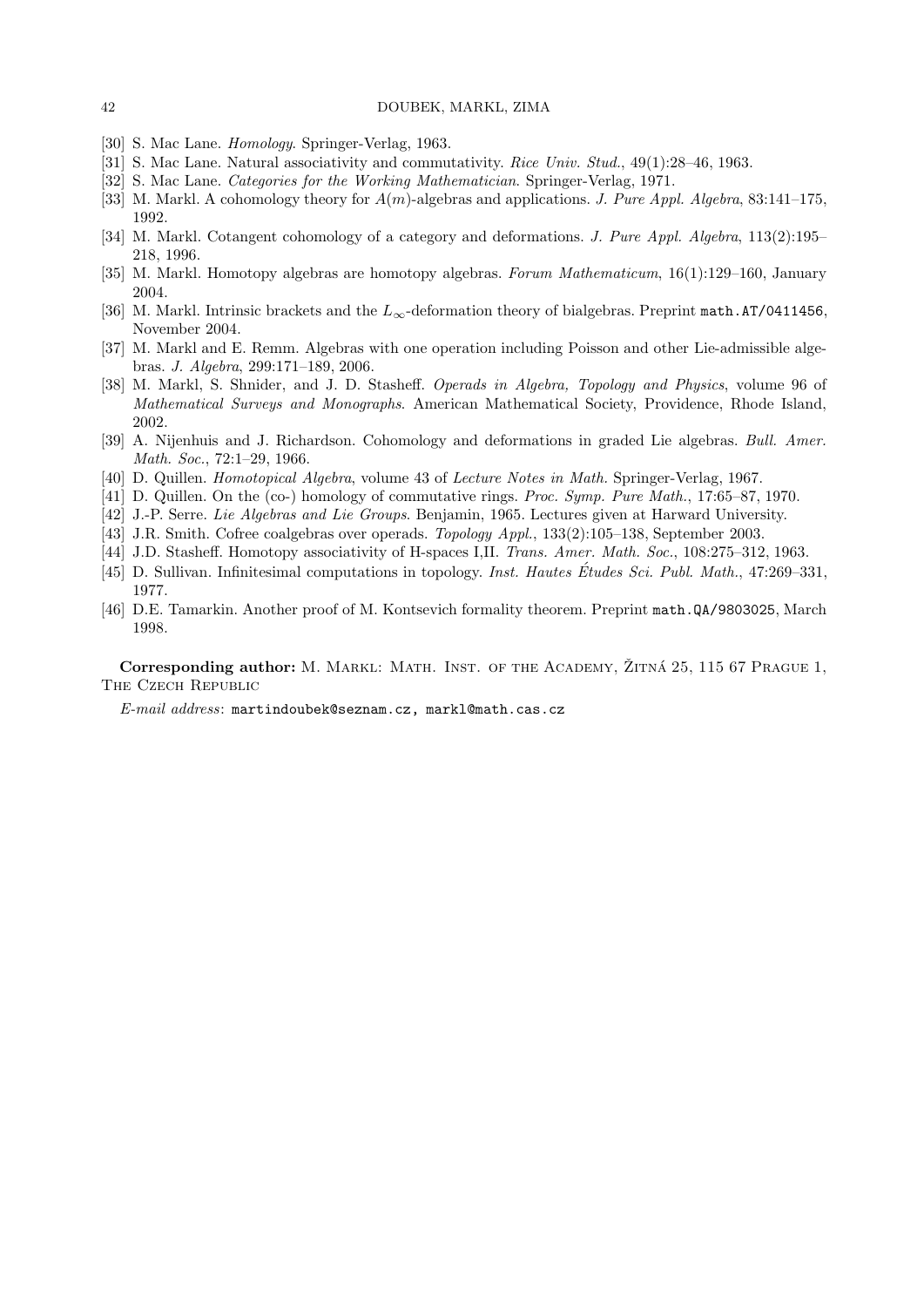#### 42 DOUBEK, MARKL, ZIMA

- [30] S. Mac Lane. *Homology*. Springer-Verlag, 1963.
- [31] S. Mac Lane. Natural associativity and commutativity. Rice Univ. Stud., 49(1):28–46, 1963.
- [32] S. Mac Lane. Categories for the Working Mathematician. Springer-Verlag, 1971.
- [33] M. Markl. A cohomology theory for  $A(m)$ -algebras and applications. J. Pure Appl. Algebra, 83:141–175, 1992.
- [34] M. Markl. Cotangent cohomology of a category and deformations. J. Pure Appl. Algebra, 113(2):195– 218, 1996.
- [35] M. Markl. Homotopy algebras are homotopy algebras. Forum Mathematicum, 16(1):129–160, January 2004.
- [36] M. Markl. Intrinsic brackets and the  $L_{\infty}$ -deformation theory of bialgebras. Preprint math.AT/0411456, November 2004.
- [37] M. Markl and E. Remm. Algebras with one operation including Poisson and other Lie-admissible algebras. J. Algebra, 299:171–189, 2006.
- [38] M. Markl, S. Shnider, and J. D. Stasheff. Operads in Algebra, Topology and Physics, volume 96 of Mathematical Surveys and Monographs. American Mathematical Society, Providence, Rhode Island, 2002.
- [39] A. Nijenhuis and J. Richardson. Cohomology and deformations in graded Lie algebras. Bull. Amer. Math. Soc., 72:1–29, 1966.
- [40] D. Quillen. Homotopical Algebra, volume 43 of Lecture Notes in Math. Springer-Verlag, 1967.
- [41] D. Quillen. On the (co-) homology of commutative rings. Proc. Symp. Pure Math., 17:65–87, 1970.
- [42] J.-P. Serre. Lie Algebras and Lie Groups. Benjamin, 1965. Lectures given at Harward University.
- [43] J.R. Smith. Cofree coalgebras over operads. Topology Appl., 133(2):105–138, September 2003.
- [44] J.D. Stasheff. Homotopy associativity of H-spaces I,II. Trans. Amer. Math. Soc., 108:275–312, 1963.
- [45] D. Sullivan. Infinitesimal computations in topology. Inst. Hautes Études Sci. Publ. Math., 47:269–331, 1977.
- [46] D.E. Tamarkin. Another proof of M. Kontsevich formality theorem. Preprint math.QA/9803025, March 1998.

Corresponding author: M. MARKL: MATH. INST. OF THE ACADEMY, ŽITNÁ 25, 115 67 PRAGUE 1, The Czech Republic

E-mail address: martindoubek@seznam.cz, markl@math.cas.cz